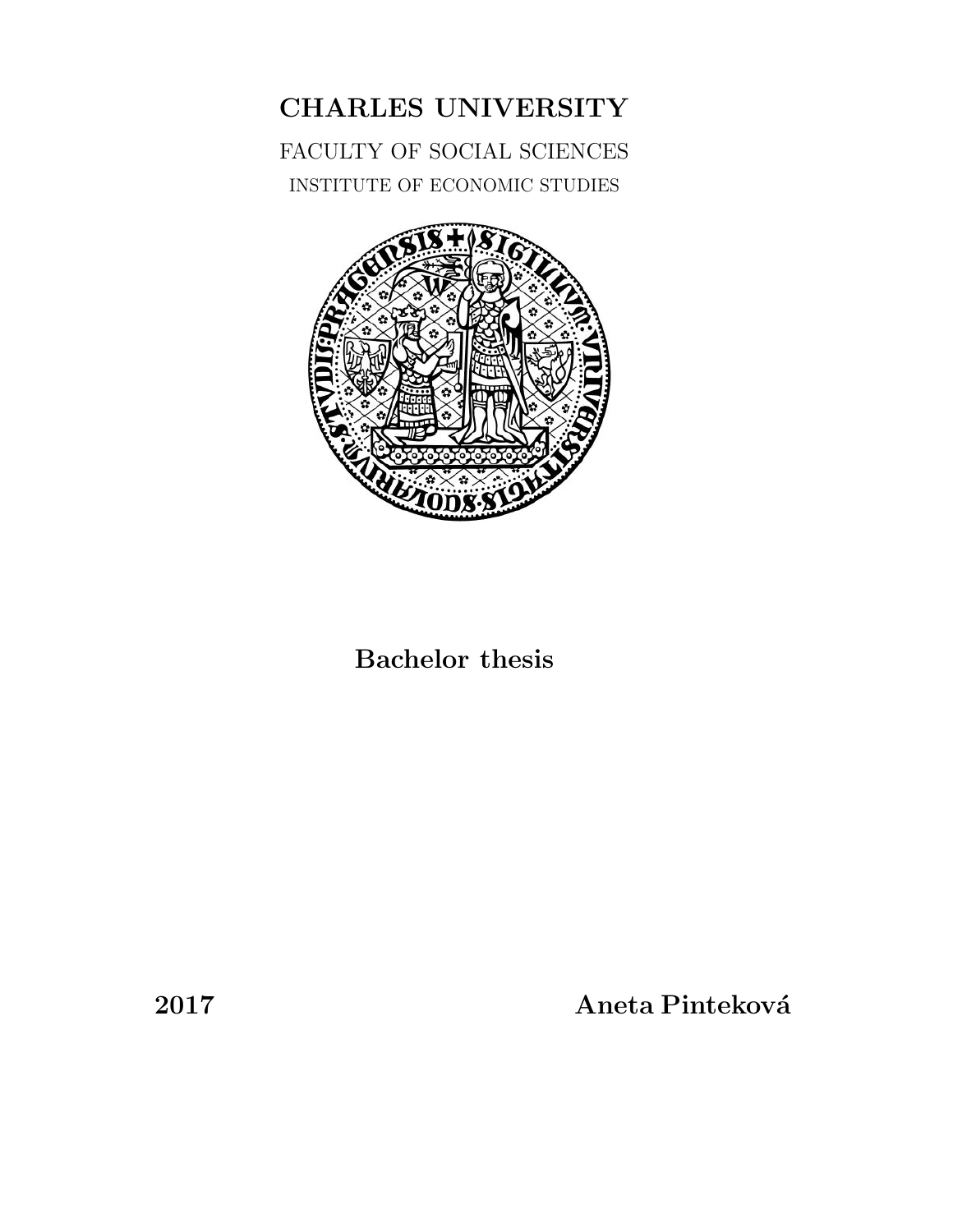

CHARLES UNIVERSITY

FACULTY OF SOCIAL SCIENCES

# Bachelor thesis

2017 Aneta Pintekov´a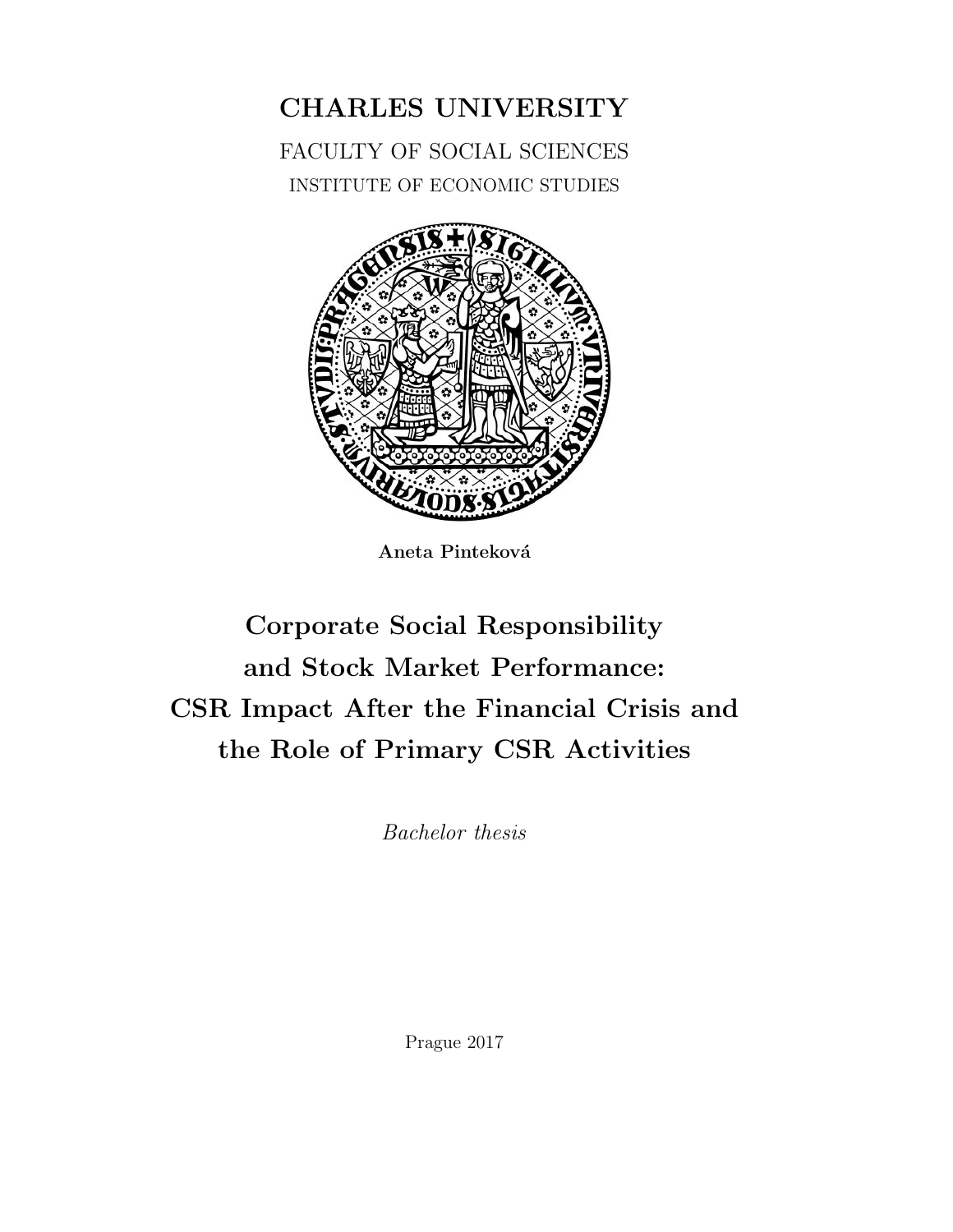

CHARLES UNIVERSITY

FACULTY OF SOCIAL SCIENCES

Aneta Pinteková

# Corporate Social Responsibility and Stock Market Performance: CSR Impact After the Financial Crisis and the Role of Primary CSR Activities

Bachelor thesis

Prague 2017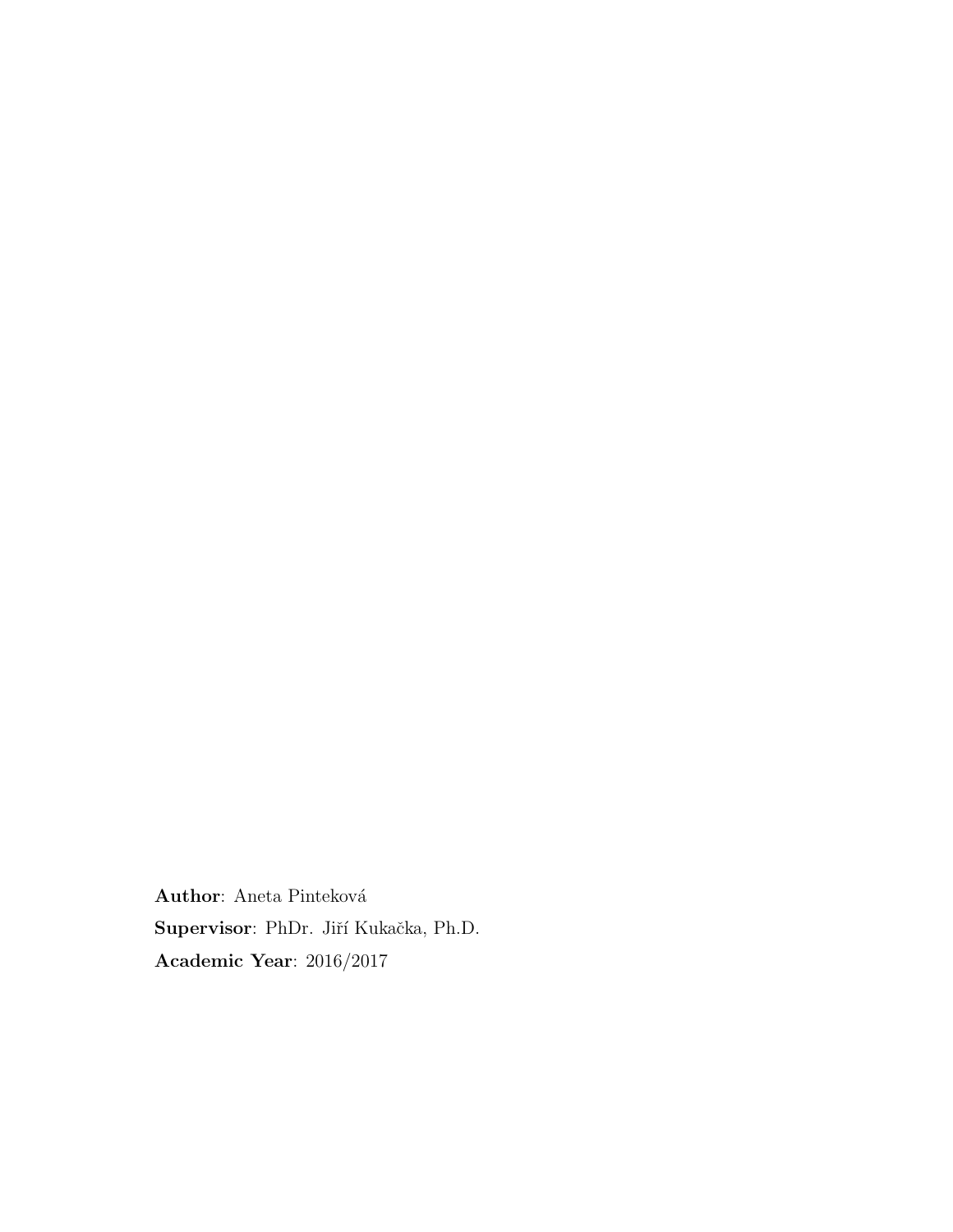${\bf Author:}$  Aneta Pinteková Supervisor: PhDr. Jiří Kukačka, Ph.D. Academic Year: 2016/2017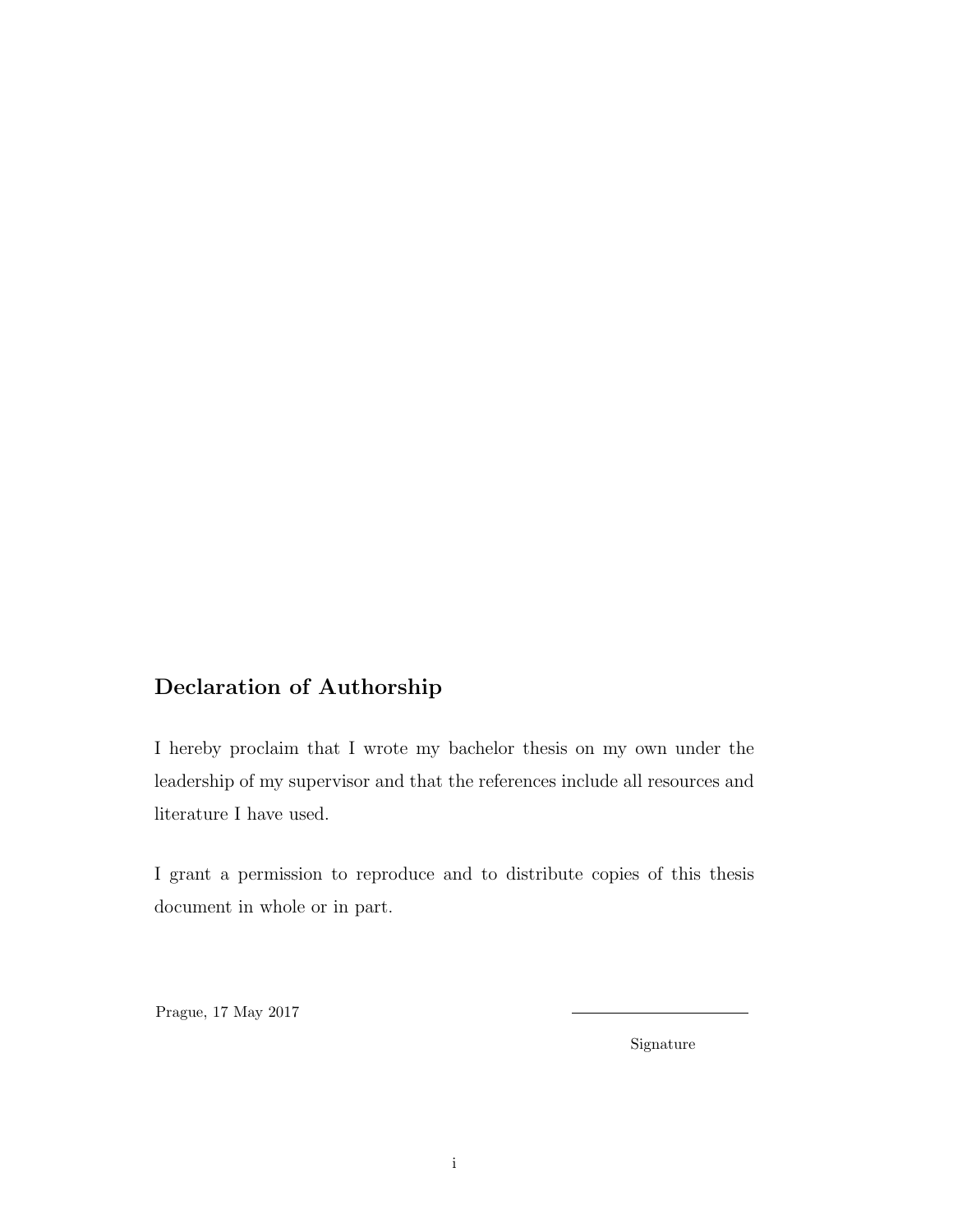# Declaration of Authorship

I hereby proclaim that I wrote my bachelor thesis on my own under the leadership of my supervisor and that the references include all resources and literature I have used.

I grant a permission to reproduce and to distribute copies of this thesis document in whole or in part.

Prague, 17 May 2017

Signature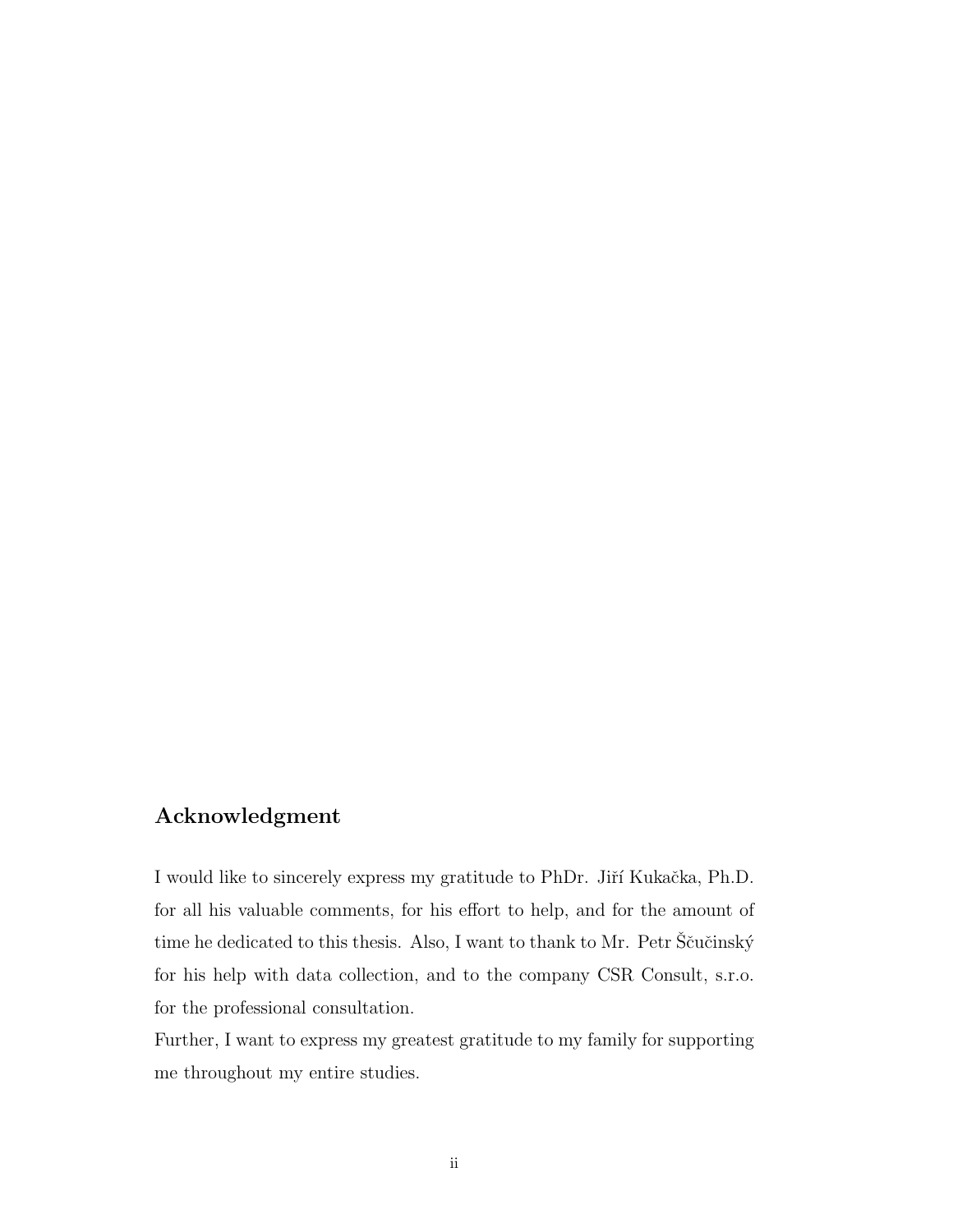## Acknowledgment

I would like to sincerely express my gratitude to PhDr. Jiří Kukačka, Ph.D. for all his valuable comments, for his effort to help, and for the amount of time he dedicated to this thesis. Also, I want to thank to Mr. Petr Ščučinský for his help with data collection, and to the company CSR Consult, s.r.o. for the professional consultation.

Further, I want to express my greatest gratitude to my family for supporting me throughout my entire studies.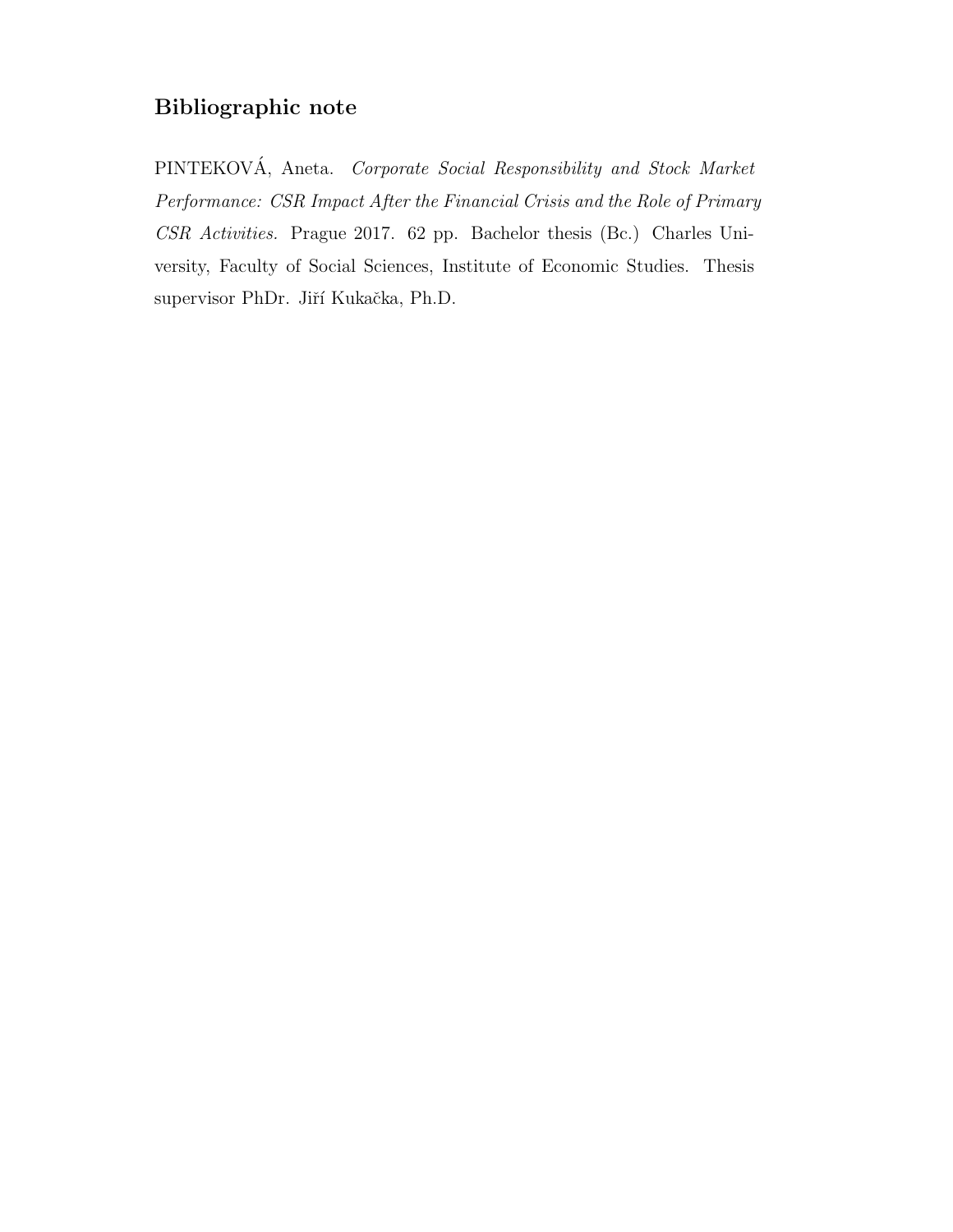# Bibliographic note

PINTEKOVÁ, Aneta. Corporate Social Responsibility and Stock Market Performance: CSR Impact After the Financial Crisis and the Role of Primary CSR Activities. Prague 2017. 62 pp. Bachelor thesis (Bc.) Charles University, Faculty of Social Sciences, Institute of Economic Studies. Thesis supervisor PhDr. Jiří Kukačka, Ph.D.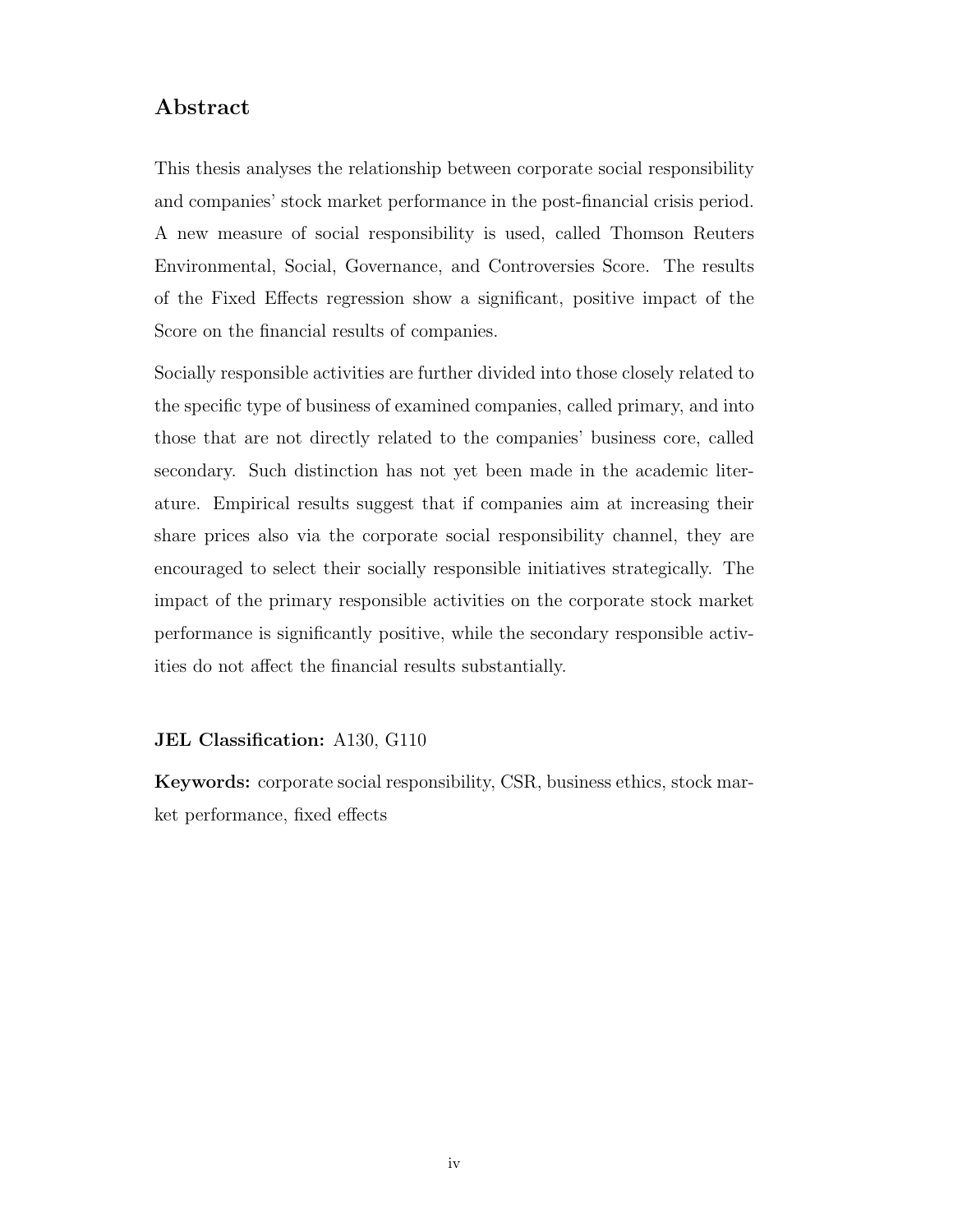### Abstract

This thesis analyses the relationship between corporate social responsibility and companies' stock market performance in the post-financial crisis period. A new measure of social responsibility is used, called Thomson Reuters Environmental, Social, Governance, and Controversies Score. The results of the Fixed Effects regression show a significant, positive impact of the Score on the financial results of companies.

Socially responsible activities are further divided into those closely related to the specific type of business of examined companies, called primary, and into those that are not directly related to the companies' business core, called secondary. Such distinction has not yet been made in the academic literature. Empirical results suggest that if companies aim at increasing their share prices also via the corporate social responsibility channel, they are encouraged to select their socially responsible initiatives strategically. The impact of the primary responsible activities on the corporate stock market performance is significantly positive, while the secondary responsible activities do not affect the financial results substantially.

#### JEL Classification: A130, G110

Keywords: corporate social responsibility, CSR, business ethics, stock market performance, fixed effects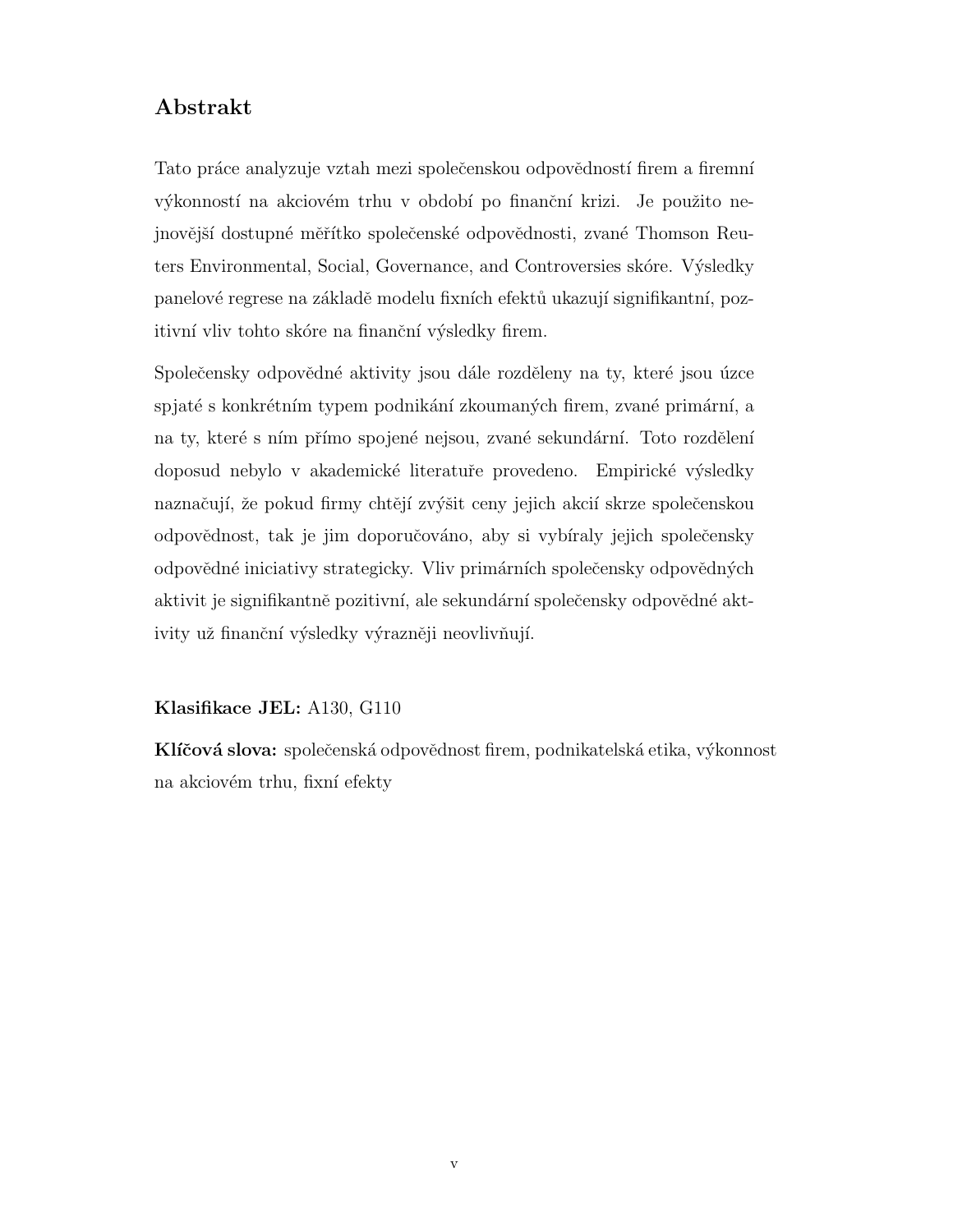### Abstrakt

Tato práce analyzuje vztah mezi společenskou odpovědností firem a firemní výkonností na akciovém trhu v období po finanční krizi. Je použito nejnovější dostupné měřítko společenské odpovědnosti, zvané Thomson Reuters Environmental, Social, Governance, and Controversies skóre. Výsledky panelové regrese na základě modelu fixních efektů ukazují signifikantní, pozitivní vliv tohto skóre na finanční výsledky firem.

Společensky odpovědné aktivity jsou dále rozděleny na ty, které jsou úzce spjaté s konkrétním typem podnikání zkoumaných firem, zvané primární, a na ty, které s ním přímo spojené nejsou, zvané sekundární. Toto rozdělení doposud nebylo v akademické literatuře provedeno. Empirické výsledky naznačují, že pokud firmy chtějí zvýšit ceny jejich akcií skrze společenskou odpovˇednost, tak je jim doporuˇcov´ano, aby si vyb´ıraly jejich spoleˇcensky odpovědné iniciativy strategicky. Vliv primárních společensky odpovědných aktivit je signifikantně pozitivní, ale sekundární společensky odpovědné aktivity už finanční výsledky výrazněji neovlivňují.

#### Klasifikace JEL: A130, G110

Klíčová slova: společenská odpovědnost firem, podnikatelská etika, výkonnost na akciovém trhu, fixní efekty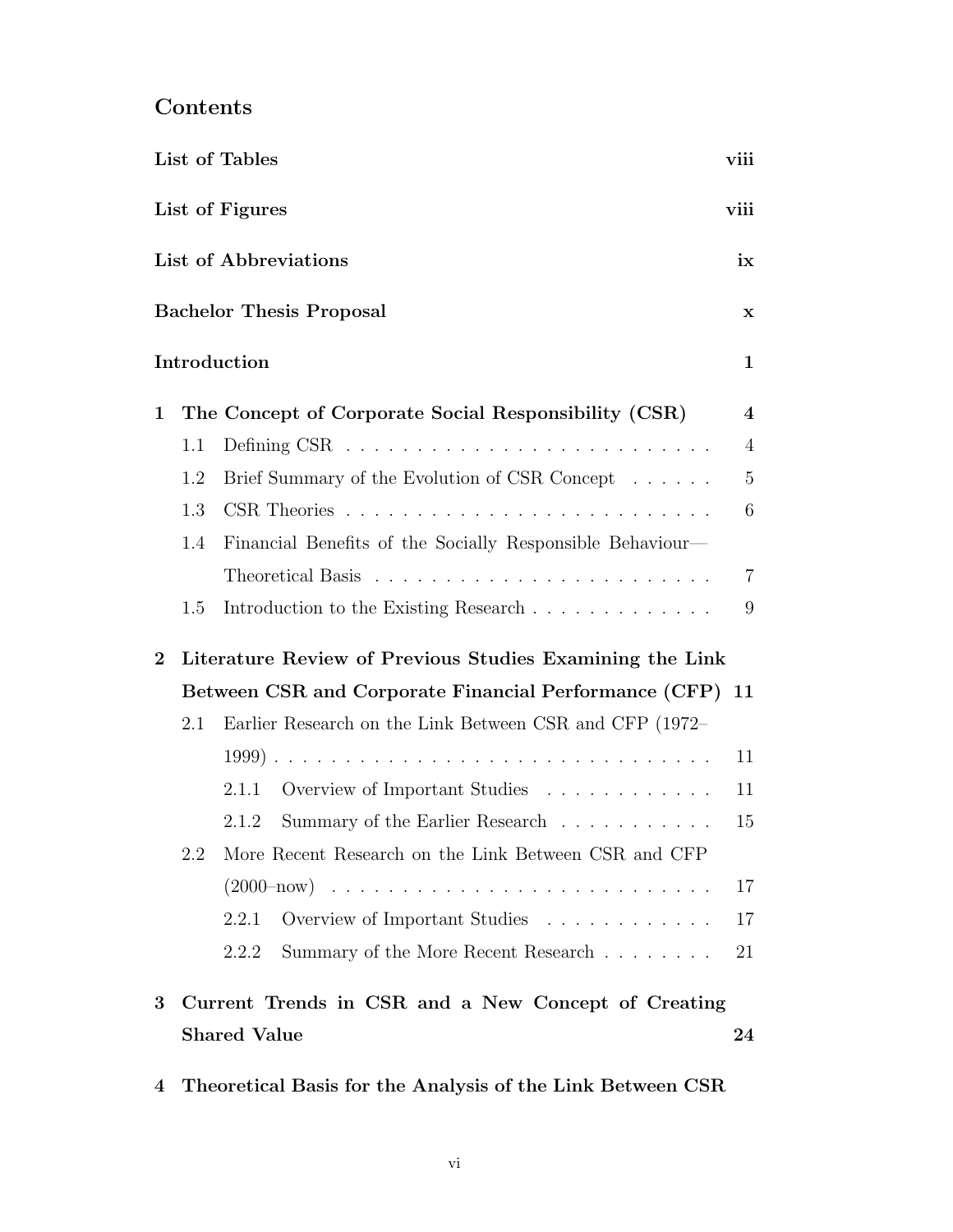# Contents

|             |     | List of Tables                                            | viii                    |
|-------------|-----|-----------------------------------------------------------|-------------------------|
|             |     | List of Figures                                           | viii                    |
|             |     | List of Abbreviations                                     | ix                      |
|             |     | <b>Bachelor Thesis Proposal</b>                           | $\mathbf x$             |
|             |     | Introduction                                              | $\mathbf{1}$            |
| $\mathbf 1$ |     | The Concept of Corporate Social Responsibility (CSR)      | $\overline{\mathbf{4}}$ |
|             | 1.1 |                                                           | $\overline{4}$          |
|             | 1.2 | Brief Summary of the Evolution of CSR Concept             | $\overline{5}$          |
|             | 1.3 |                                                           | 6                       |
|             | 1.4 | Financial Benefits of the Socially Responsible Behaviour- |                         |
|             |     |                                                           | $\overline{7}$          |
|             | 1.5 |                                                           | 9                       |
| $\bf{2}$    |     | Literature Review of Previous Studies Examining the Link  |                         |
|             |     | Between CSR and Corporate Financial Performance (CFP) 11  |                         |
|             | 2.1 | Earlier Research on the Link Between CSR and CFP (1972–   |                         |
|             |     |                                                           | 11                      |
|             |     | Overview of Important Studies<br>2.1.1                    | 11                      |
|             |     | Summary of the Earlier Research<br>2.1.2                  | 15                      |
|             | 2.2 | More Recent Research on the Link Between CSR and CFP      |                         |
|             |     |                                                           | 17                      |
|             |     | 2.2.1<br>Overview of Important Studies                    | 17                      |
|             |     | Summary of the More Recent Research<br>2.2.2              | 21                      |
| 3           |     | Current Trends in CSR and a New Concept of Creating       |                         |
|             |     | <b>Shared Value</b>                                       | 24                      |

[4 Theoretical Basis for the Analysis of the Link Between CSR](#page-42-0)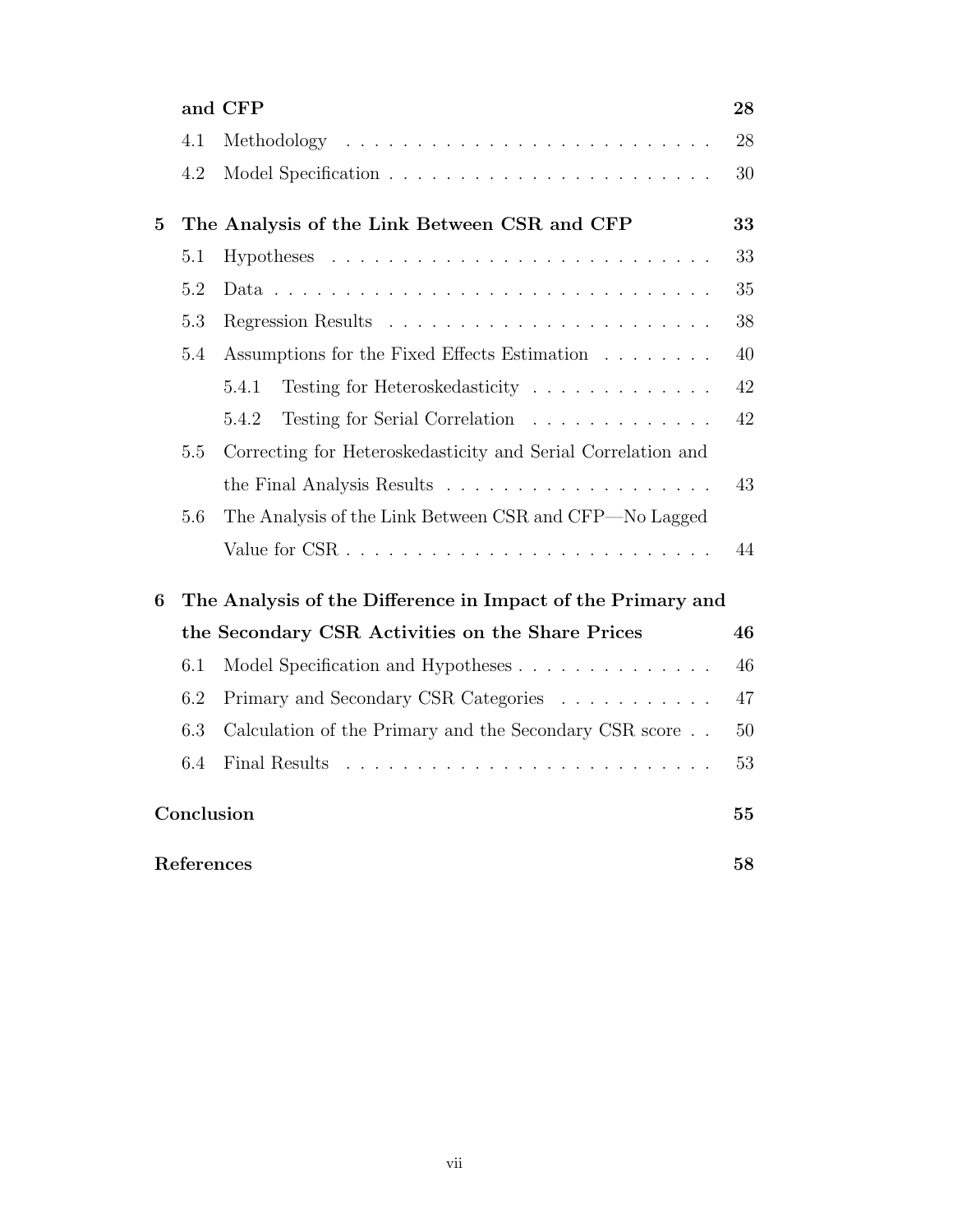|                  |            | and CFP                                                      | 28 |
|------------------|------------|--------------------------------------------------------------|----|
|                  | 4.1        |                                                              | 28 |
|                  | 4.2        |                                                              | 30 |
| $\overline{5}$   |            | The Analysis of the Link Between CSR and CFP                 | 33 |
|                  | 5.1        |                                                              | 33 |
|                  | 5.2        |                                                              | 35 |
|                  | 5.3        |                                                              | 38 |
|                  | 5.4        | Assumptions for the Fixed Effects Estimation                 | 40 |
|                  |            | Testing for Heteroskedasticity<br>5.4.1                      | 42 |
|                  |            | Testing for Serial Correlation<br>5.4.2                      | 42 |
|                  | 5.5        | Correcting for Heteroskedasticity and Serial Correlation and |    |
|                  |            |                                                              | 43 |
|                  | 5.6        | The Analysis of the Link Between CSR and CFP—No Lagged       |    |
|                  |            |                                                              | 44 |
| $\boldsymbol{6}$ |            | The Analysis of the Difference in Impact of the Primary and  |    |
|                  |            | the Secondary CSR Activities on the Share Prices             | 46 |
|                  | 6.1        | Model Specification and Hypotheses                           | 46 |
|                  | 6.2        | Primary and Secondary CSR Categories                         | 47 |
|                  | 6.3        | Calculation of the Primary and the Secondary CSR score       | 50 |
|                  | 6.4        | Final Results                                                | 53 |
|                  | Conclusion |                                                              | 55 |
|                  | References |                                                              | 58 |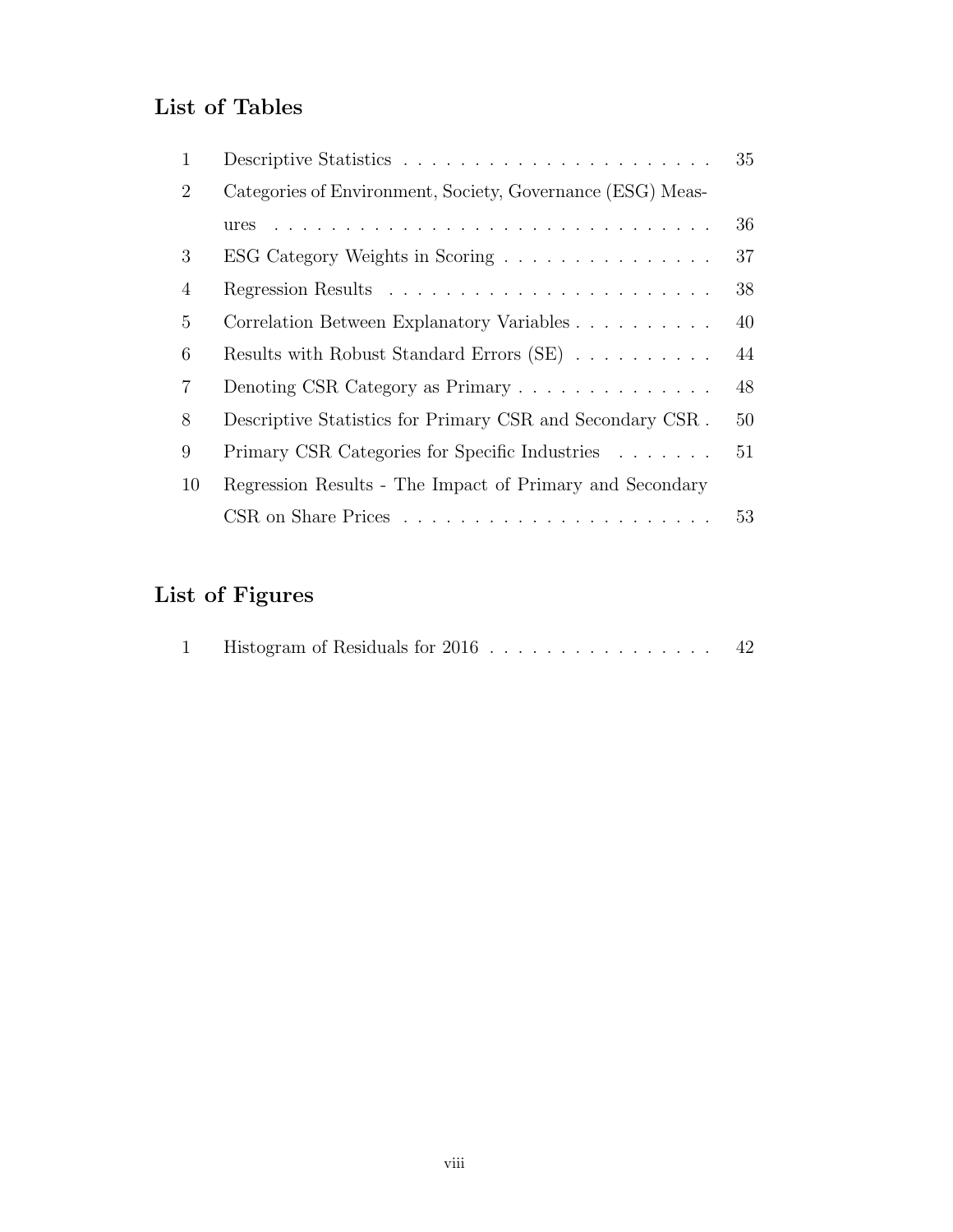# <span id="page-10-0"></span>List of Tables

| 1              |                                                            | 35 |
|----------------|------------------------------------------------------------|----|
| $\overline{2}$ | Categories of Environment, Society, Governance (ESG) Meas- |    |
|                | ures                                                       | 36 |
| 3              | ESG Category Weights in Scoring                            | 37 |
| 4              |                                                            | 38 |
| 5              | Correlation Between Explanatory Variables                  | 40 |
| 6              | Results with Robust Standard Errors (SE)                   | 44 |
| 7              | Denoting CSR Category as Primary                           | 48 |
| 8              | Descriptive Statistics for Primary CSR and Secondary CSR.  | 50 |
| 9              | Primary CSR Categories for Specific Industries             | 51 |
| 10             | Regression Results - The Impact of Primary and Secondary   |    |
|                |                                                            | 53 |

# <span id="page-10-1"></span>List of Figures

|  | Histogram of Residuals for 2016 |  |  |  |  |  |  |  | 42 |
|--|---------------------------------|--|--|--|--|--|--|--|----|
|  |                                 |  |  |  |  |  |  |  |    |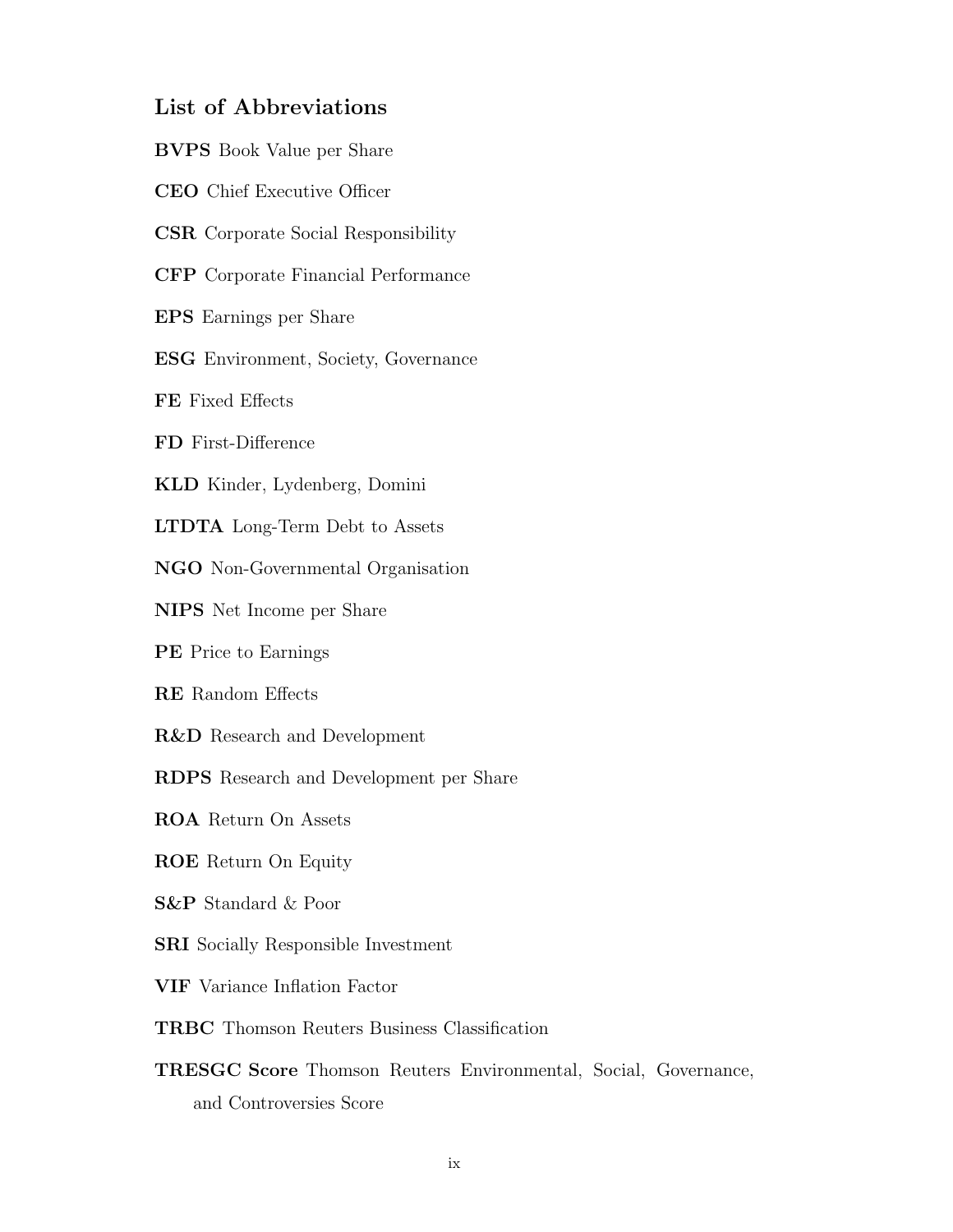### List of Abbreviations

- BVPS Book Value per Share
- <span id="page-11-9"></span>CEO Chief Executive Officer

<span id="page-11-0"></span>CSR Corporate Social Responsibility

<span id="page-11-1"></span>CFP Corporate Financial Performance

<span id="page-11-5"></span>EPS Earnings per Share

<span id="page-11-2"></span>ESG Environment, Society, Governance

FE Fixed Effects

FD First-Difference

<span id="page-11-10"></span>KLD Kinder, Lydenberg, Domini

LTDTA Long-Term Debt to Assets

NGO Non-Governmental Organisation

NIPS Net Income per Share

<span id="page-11-6"></span>PE Price to Earnings

RE Random Effects

<span id="page-11-11"></span>R&D Research and Development

RDPS Research and Development per Share

<span id="page-11-7"></span>ROA Return On Assets

<span id="page-11-8"></span>ROE Return On Equity

<span id="page-11-4"></span>S&P Standard & Poor

<span id="page-11-12"></span>SRI Socially Responsible Investment

VIF Variance Inflation Factor

TRBC Thomson Reuters Business Classification

<span id="page-11-3"></span>TRESGC Score Thomson Reuters Environmental, Social, Governance, and Controversies Score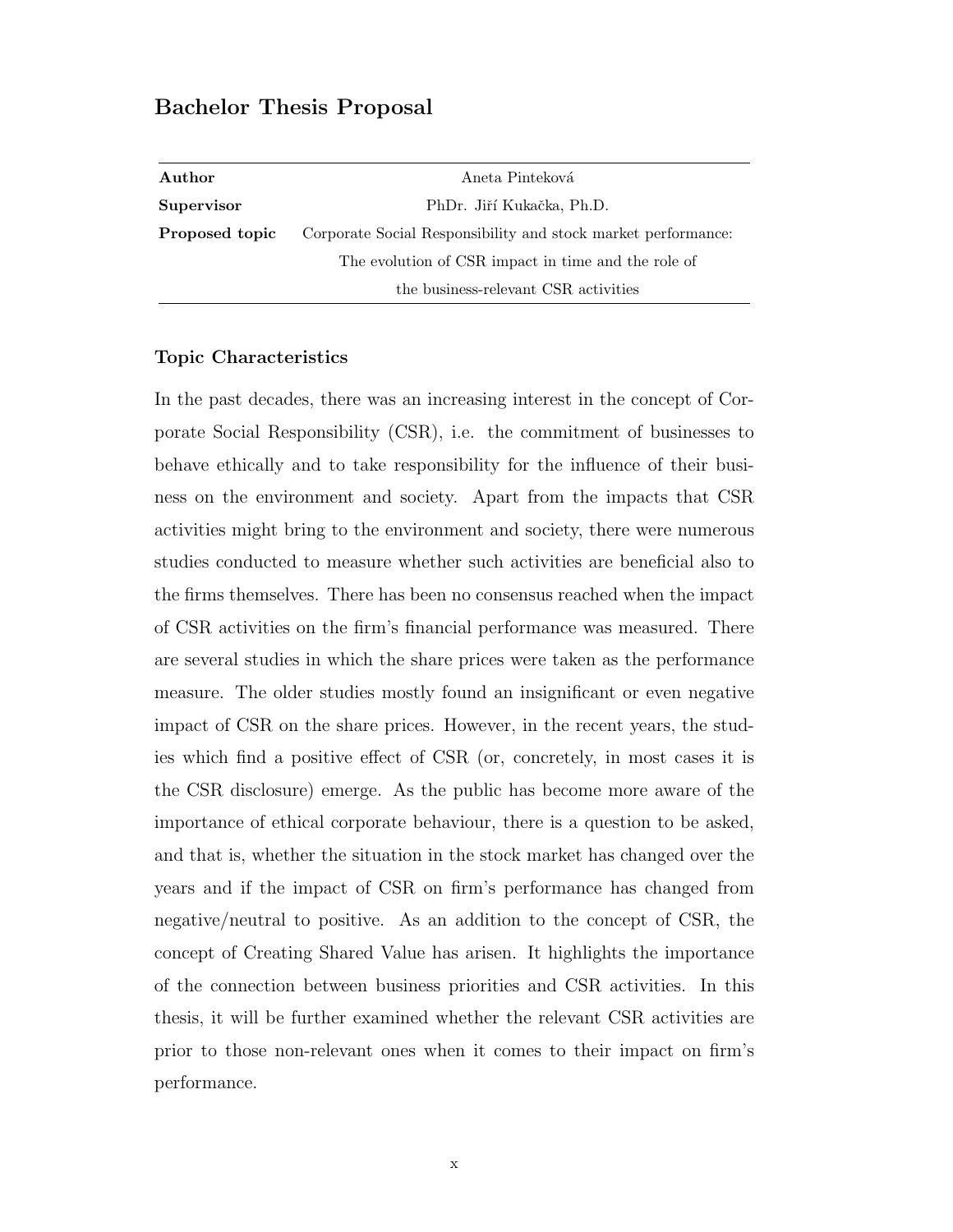#### Bachelor Thesis Proposal

| Author         | Aneta Pinteková                                               |  |  |  |  |
|----------------|---------------------------------------------------------------|--|--|--|--|
| Supervisor     | PhDr. Jiří Kukačka, Ph.D.                                     |  |  |  |  |
| Proposed topic | Corporate Social Responsibility and stock market performance: |  |  |  |  |
|                | The evolution of CSR impact in time and the role of           |  |  |  |  |
|                | the business-relevant CSR activities                          |  |  |  |  |

#### Topic Characteristics

In the past decades, there was an increasing interest in the concept of Corporate Social Responsibility [\(CSR\)](#page-11-0), i.e. the commitment of businesses to behave ethically and to take responsibility for the influence of their business on the environment and society. Apart from the impacts that [CSR](#page-11-0) activities might bring to the environment and society, there were numerous studies conducted to measure whether such activities are beneficial also to the firms themselves. There has been no consensus reached when the impact of [CSR](#page-11-0) activities on the firm's financial performance was measured. There are several studies in which the share prices were taken as the performance measure. The older studies mostly found an insignificant or even negative impact of [CSR](#page-11-0) on the share prices. However, in the recent years, the studies which find a positive effect of [CSR](#page-11-0) (or, concretely, in most cases it is the [CSR](#page-11-0) disclosure) emerge. As the public has become more aware of the importance of ethical corporate behaviour, there is a question to be asked, and that is, whether the situation in the stock market has changed over the years and if the impact of [CSR](#page-11-0) on firm's performance has changed from negative/neutral to positive. As an addition to the concept of [CSR,](#page-11-0) the concept of Creating Shared Value has arisen. It highlights the importance of the connection between business priorities and [CSR](#page-11-0) activities. In this thesis, it will be further examined whether the relevant [CSR](#page-11-0) activities are prior to those non-relevant ones when it comes to their impact on firm's performance.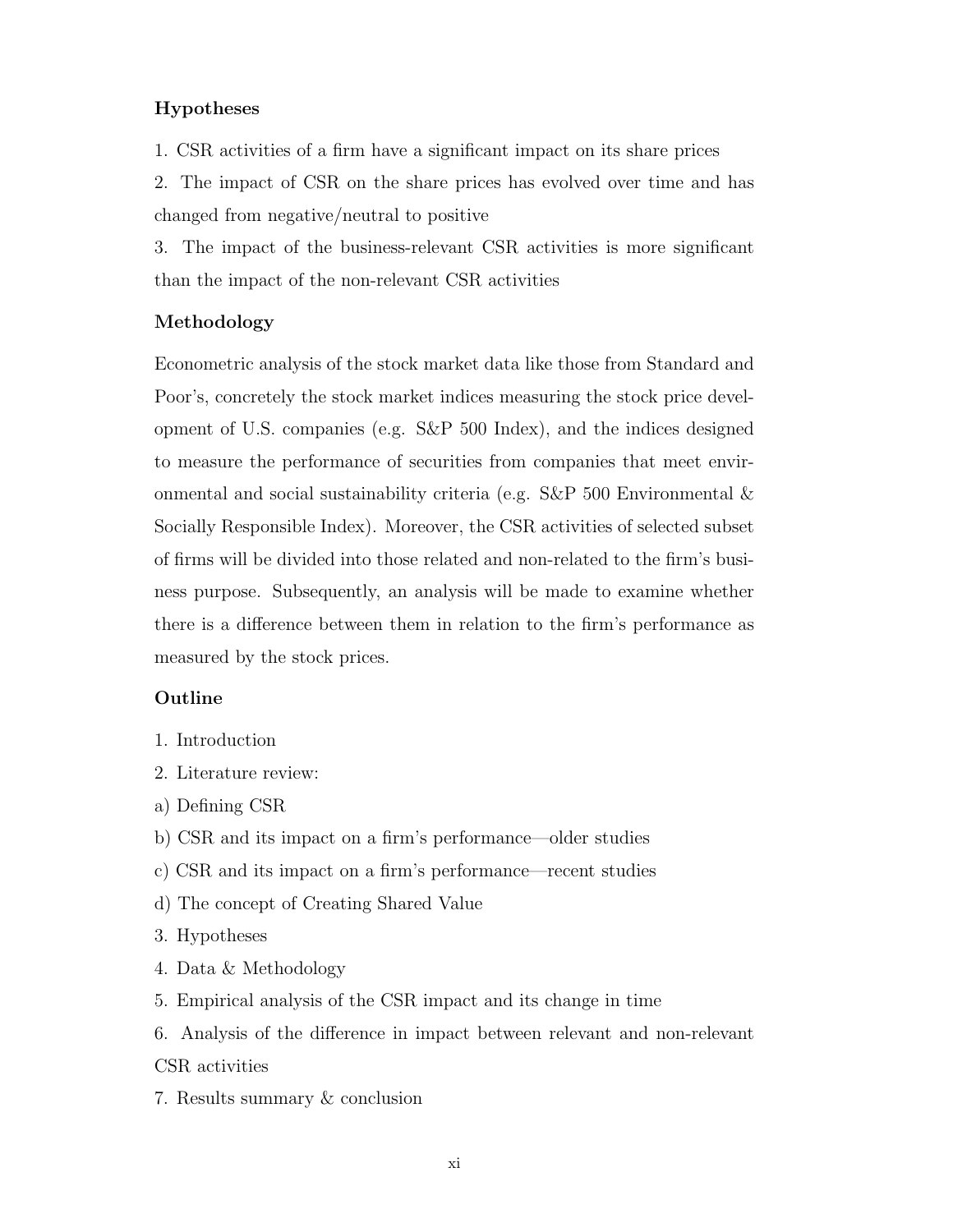#### Hypotheses

1. [CSR](#page-11-0) activities of a firm have a significant impact on its share prices

2. The impact of [CSR](#page-11-0) on the share prices has evolved over time and has changed from negative/neutral to positive

3. The impact of the business-relevant [CSR](#page-11-0) activities is more significant than the impact of the non-relevant [CSR](#page-11-0) activities

#### Methodology

Econometric analysis of the stock market data like those from Standard and Poor's, concretely the stock market indices measuring the stock price development of U.S. companies (e.g. S&P 500 Index), and the indices designed to measure the performance of securities from companies that meet environmental and social sustainability criteria (e.g.  $S\&P$  500 Environmental  $\&$ Socially Responsible Index). Moreover, the [CSR](#page-11-0) activities of selected subset of firms will be divided into those related and non-related to the firm's business purpose. Subsequently, an analysis will be made to examine whether there is a difference between them in relation to the firm's performance as measured by the stock prices.

#### Outline

- 1. Introduction
- 2. Literature review:
- a) Defining [CSR](#page-11-0)
- b) [CSR](#page-11-0) and its impact on a firm's performance—older studies
- c) [CSR](#page-11-0) and its impact on a firm's performance—recent studies
- d) The concept of Creating Shared Value
- 3. Hypotheses
- 4. Data & Methodology
- 5. Empirical analysis of the [CSR](#page-11-0) impact and its change in time
- 6. Analysis of the difference in impact between relevant and non-relevant [CSR](#page-11-0) activities
- 7. Results summary & conclusion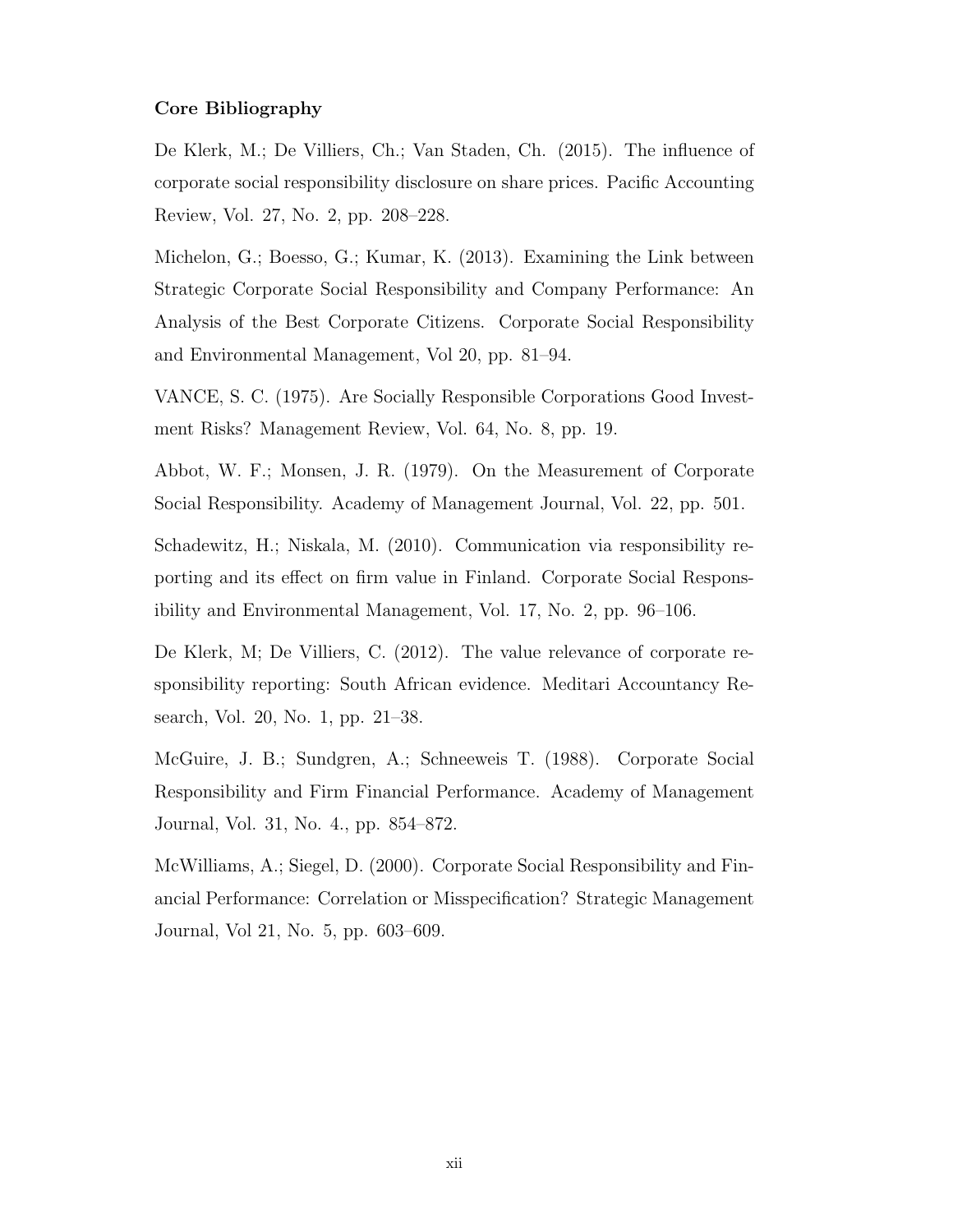#### Core Bibliography

De Klerk, M.; De Villiers, Ch.; Van Staden, Ch. (2015). The influence of corporate social responsibility disclosure on share prices. Pacific Accounting Review, Vol. 27, No. 2, pp. 208–228.

Michelon, G.; Boesso, G.; Kumar, K. (2013). Examining the Link between Strategic Corporate Social Responsibility and Company Performance: An Analysis of the Best Corporate Citizens. Corporate Social Responsibility and Environmental Management, Vol 20, pp. 81–94.

VANCE, S. C. (1975). Are Socially Responsible Corporations Good Investment Risks? Management Review, Vol. 64, No. 8, pp. 19.

Abbot, W. F.; Monsen, J. R. (1979). On the Measurement of Corporate Social Responsibility. Academy of Management Journal, Vol. 22, pp. 501.

Schadewitz, H.; Niskala, M. (2010). Communication via responsibility reporting and its effect on firm value in Finland. Corporate Social Responsibility and Environmental Management, Vol. 17, No. 2, pp. 96–106.

De Klerk, M; De Villiers, C. (2012). The value relevance of corporate responsibility reporting: South African evidence. Meditari Accountancy Research, Vol. 20, No. 1, pp. 21–38.

McGuire, J. B.; Sundgren, A.; Schneeweis T. (1988). Corporate Social Responsibility and Firm Financial Performance. Academy of Management Journal, Vol. 31, No. 4., pp. 854–872.

McWilliams, A.; Siegel, D. (2000). Corporate Social Responsibility and Financial Performance: Correlation or Misspecification? Strategic Management Journal, Vol 21, No. 5, pp. 603–609.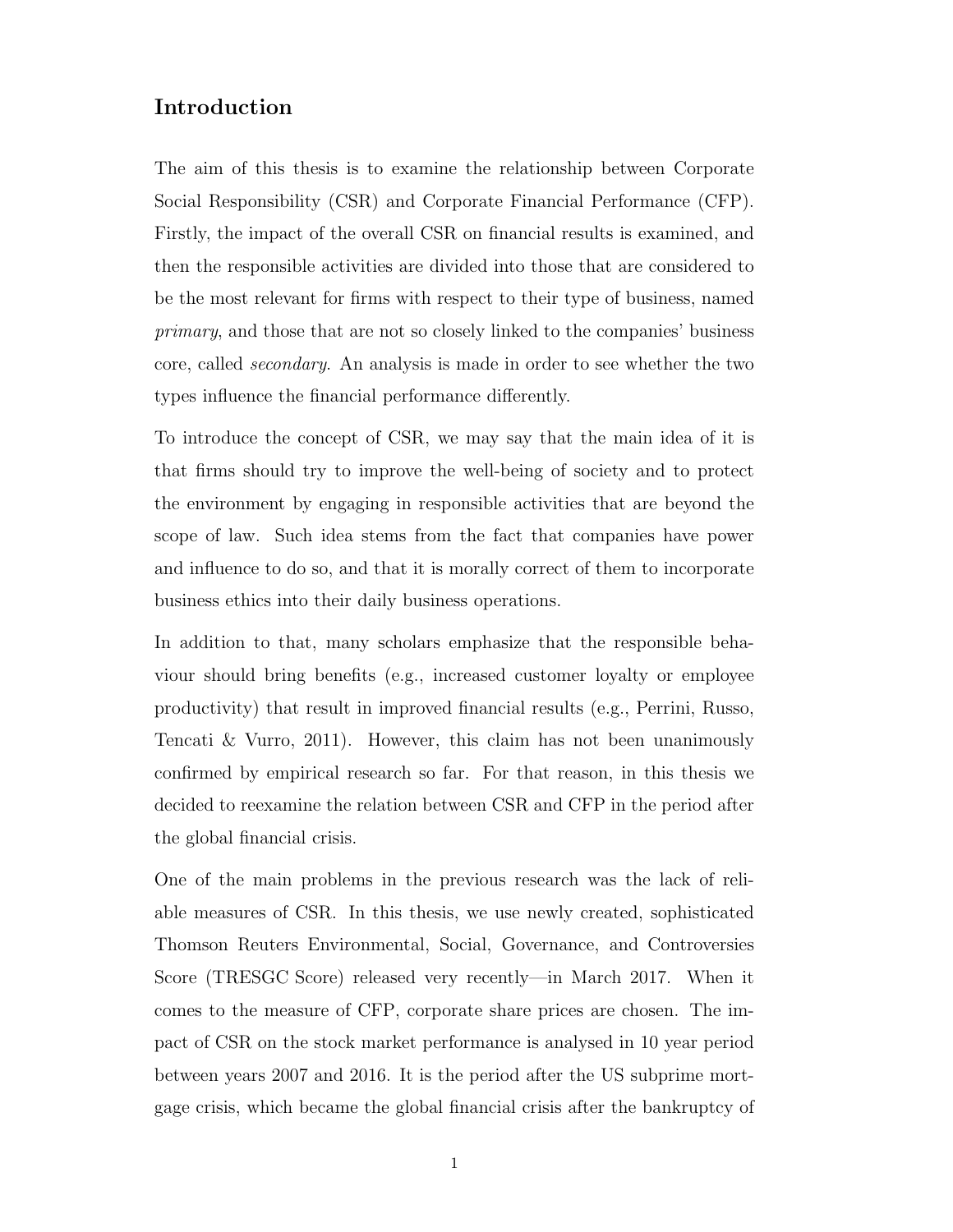### <span id="page-15-0"></span>Introduction

The aim of this thesis is to examine the relationship between Corporate Social Responsibility [\(CSR\)](#page-11-0) and Corporate Financial Performance [\(CFP\)](#page-11-1). Firstly, the impact of the overall [CSR](#page-11-0) on financial results is examined, and then the responsible activities are divided into those that are considered to be the most relevant for firms with respect to their type of business, named primary, and those that are not so closely linked to the companies' business core, called secondary. An analysis is made in order to see whether the two types influence the financial performance differently.

To introduce the concept of [CSR,](#page-11-0) we may say that the main idea of it is that firms should try to improve the well-being of society and to protect the environment by engaging in responsible activities that are beyond the scope of law. Such idea stems from the fact that companies have power and influence to do so, and that it is morally correct of them to incorporate business ethics into their daily business operations.

In addition to that, many scholars emphasize that the responsible behaviour should bring benefits (e.g., increased customer loyalty or employee productivity) that result in improved financial results (e.g., [Perrini, Russo,](#page-75-0) [Tencati & Vurro, 2011\)](#page-75-0). However, this claim has not been unanimously confirmed by empirical research so far. For that reason, in this thesis we decided to reexamine the relation between [CSR](#page-11-0) and [CFP](#page-11-1) in the period after the global financial crisis.

One of the main problems in the previous research was the lack of reliable measures of [CSR.](#page-11-0) In this thesis, we use newly created, sophisticated Thomson Reuters Environmental, Social, Governance, and Controversies Score [\(TRESGC Score\)](#page-11-3) released very recently—in March 2017. When it comes to the measure of [CFP,](#page-11-1) corporate share prices are chosen. The impact of [CSR](#page-11-0) on the stock market performance is analysed in 10 year period between years 2007 and 2016. It is the period after the US subprime mortgage crisis, which became the global financial crisis after the bankruptcy of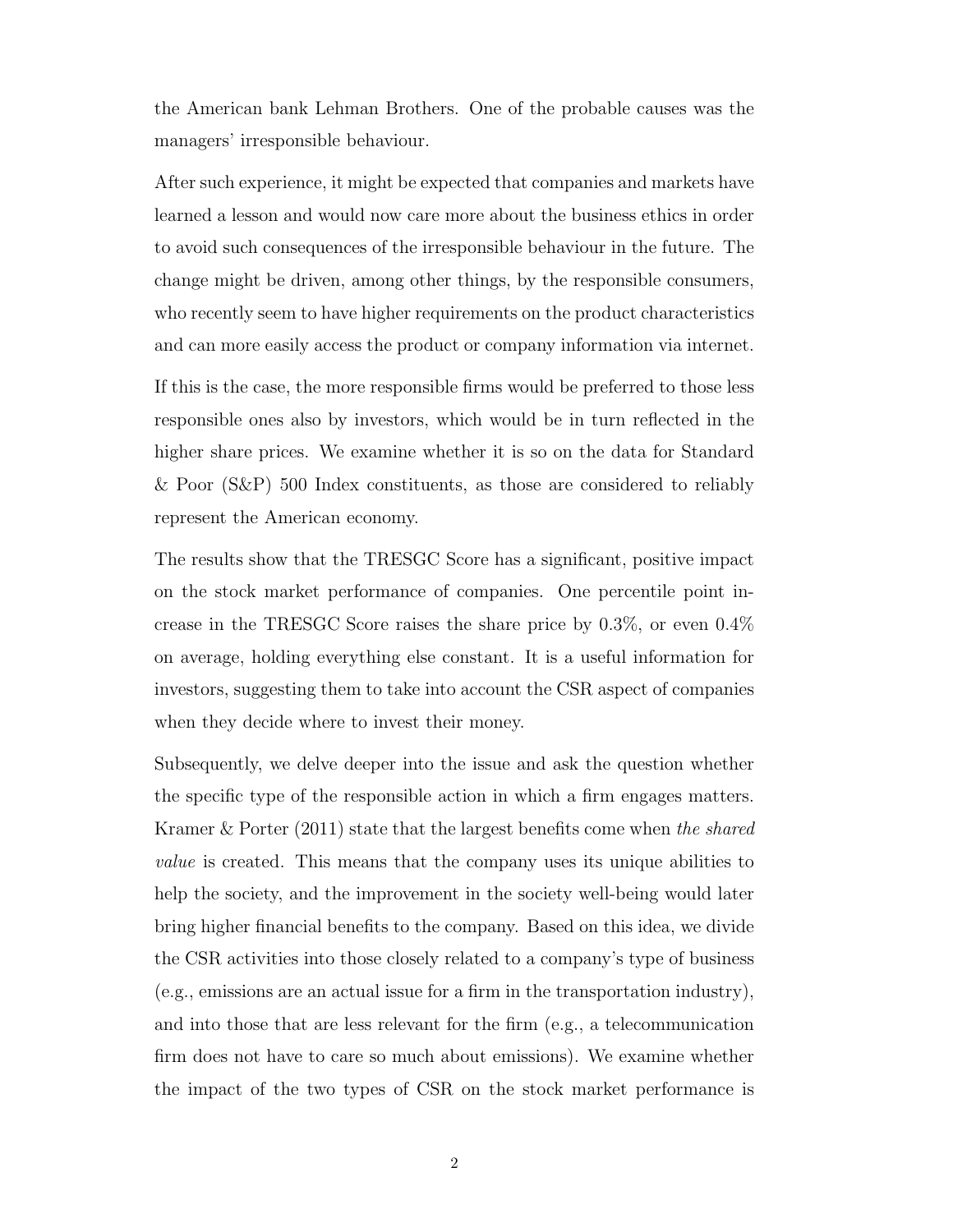the American bank Lehman Brothers. One of the probable causes was the managers' irresponsible behaviour.

After such experience, it might be expected that companies and markets have learned a lesson and would now care more about the business ethics in order to avoid such consequences of the irresponsible behaviour in the future. The change might be driven, among other things, by the responsible consumers, who recently seem to have higher requirements on the product characteristics and can more easily access the product or company information via internet.

If this is the case, the more responsible firms would be preferred to those less responsible ones also by investors, which would be in turn reflected in the higher share prices. We examine whether it is so on the data for Standard & Poor [\(S&P\)](#page-11-4) 500 Index constituents, as those are considered to reliably represent the American economy.

The results show that the [TRESGC Score](#page-11-3) has a significant, positive impact on the stock market performance of companies. One percentile point increase in the [TRESGC Score](#page-11-3) raises the share price by 0.3%, or even 0.4% on average, holding everything else constant. It is a useful information for investors, suggesting them to take into account the [CSR](#page-11-0) aspect of companies when they decide where to invest their money.

Subsequently, we delve deeper into the issue and ask the question whether the specific type of the responsible action in which a firm engages matters. [Kramer & Porter](#page-74-0) [\(2011\)](#page-74-0) state that the largest benefits come when the shared value is created. This means that the company uses its unique abilities to help the society, and the improvement in the society well-being would later bring higher financial benefits to the company. Based on this idea, we divide the [CSR](#page-11-0) activities into those closely related to a company's type of business (e.g., emissions are an actual issue for a firm in the transportation industry), and into those that are less relevant for the firm (e.g., a telecommunication firm does not have to care so much about emissions). We examine whether the impact of the two types of [CSR](#page-11-0) on the stock market performance is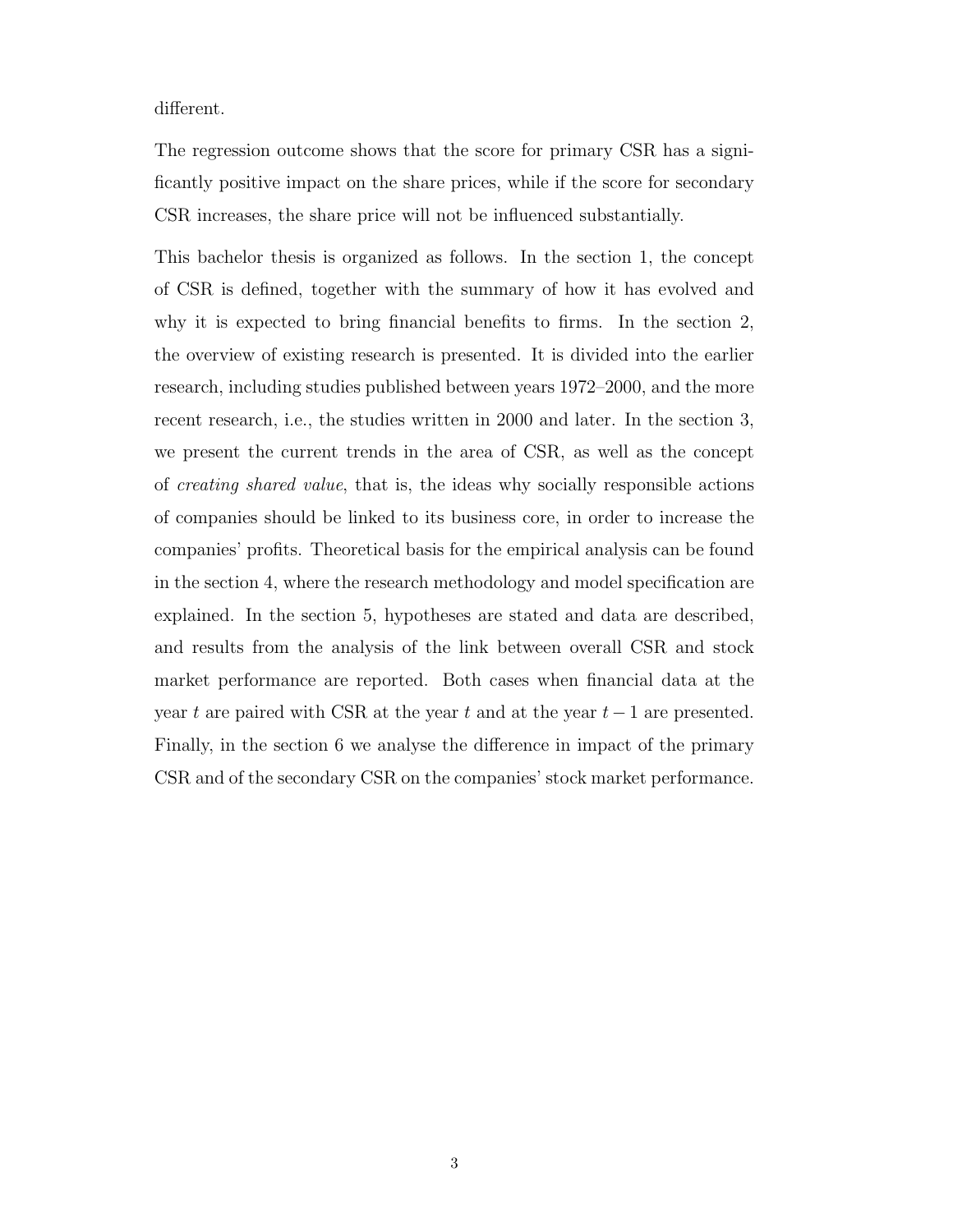different.

The regression outcome shows that the score for primary [CSR](#page-11-0) has a significantly positive impact on the share prices, while if the score for secondary [CSR](#page-11-0) increases, the share price will not be influenced substantially.

This bachelor thesis is organized as follows. In the section 1, the concept of [CSR](#page-11-0) is defined, together with the summary of how it has evolved and why it is expected to bring financial benefits to firms. In the section 2, the overview of existing research is presented. It is divided into the earlier research, including studies published between years 1972–2000, and the more recent research, i.e., the studies written in 2000 and later. In the section 3, we present the current trends in the area of [CSR,](#page-11-0) as well as the concept of creating shared value, that is, the ideas why socially responsible actions of companies should be linked to its business core, in order to increase the companies' profits. Theoretical basis for the empirical analysis can be found in the section 4, where the research methodology and model specification are explained. In the section 5, hypotheses are stated and data are described, and results from the analysis of the link between overall [CSR](#page-11-0) and stock market performance are reported. Both cases when financial data at the year t are paired with [CSR](#page-11-0) at the year t and at the year  $t-1$  are presented. Finally, in the section 6 we analyse the difference in impact of the primary [CSR](#page-11-0) and of the secondary [CSR](#page-11-0) on the companies' stock market performance.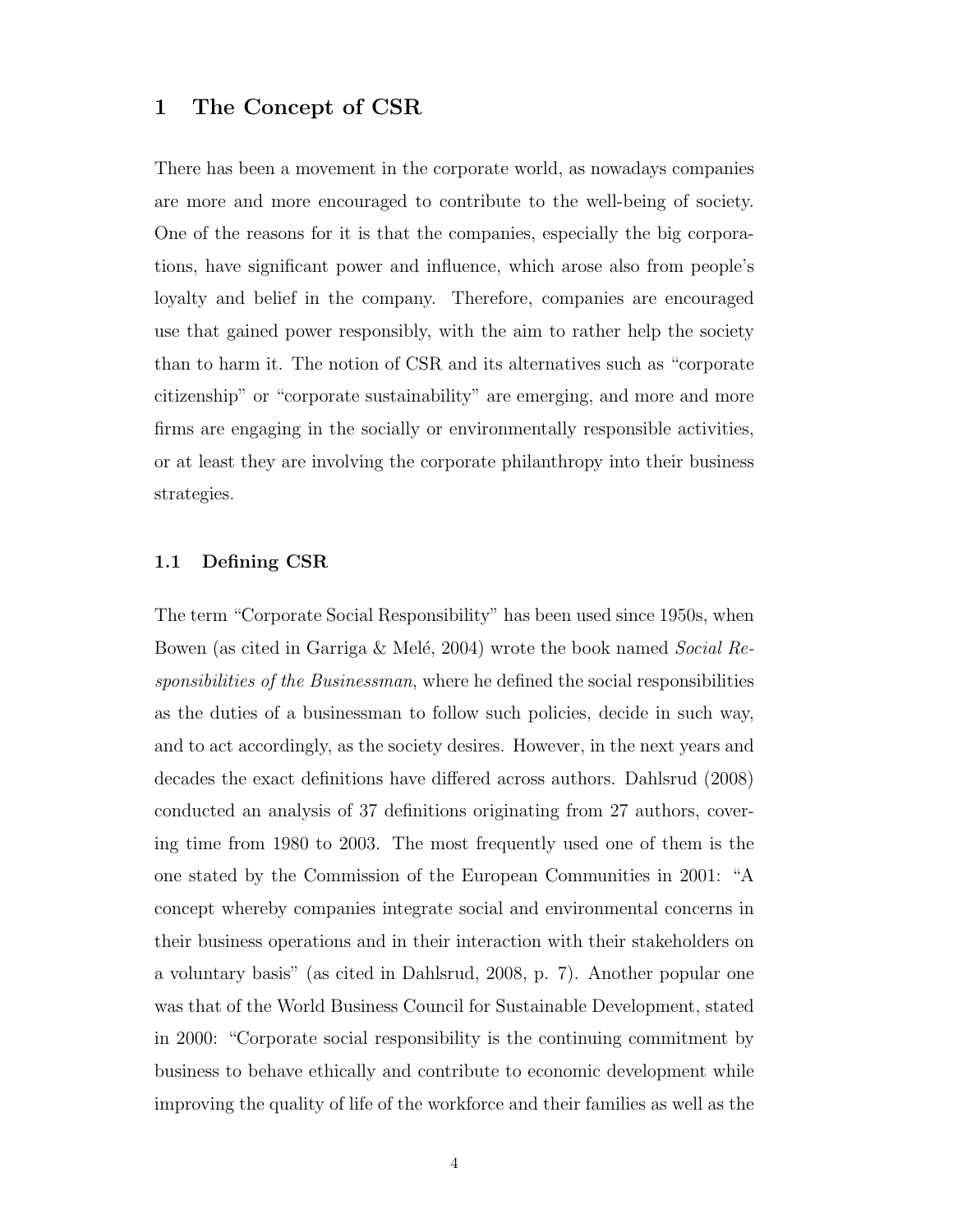#### <span id="page-18-0"></span>1 The Concept of [CSR](#page-11-0)

There has been a movement in the corporate world, as nowadays companies are more and more encouraged to contribute to the well-being of society. One of the reasons for it is that the companies, especially the big corporations, have significant power and influence, which arose also from people's loyalty and belief in the company. Therefore, companies are encouraged use that gained power responsibly, with the aim to rather help the society than to harm it. The notion of [CSR](#page-11-0) and its alternatives such as "corporate citizenship" or "corporate sustainability" are emerging, and more and more firms are engaging in the socially or environmentally responsible activities, or at least they are involving the corporate philanthropy into their business strategies.

#### <span id="page-18-1"></span>1.1 Defining [CSR](#page-11-0)

The term "Corporate Social Responsibility" has been used since 1950s, when Bowen (as cited in Garriga & Melé, 2004) wrote the book named *Social Re*sponsibilities of the Businessman, where he defined the social responsibilities as the duties of a businessman to follow such policies, decide in such way, and to act accordingly, as the society desires. However, in the next years and decades the exact definitions have differed across authors. [Dahlsrud](#page-73-1) [\(2008\)](#page-73-1) conducted an analysis of 37 definitions originating from 27 authors, covering time from 1980 to 2003. The most frequently used one of them is the one stated by the Commission of the European Communities in 2001: "A concept whereby companies integrate social and environmental concerns in their business operations and in their interaction with their stakeholders on a voluntary basis" (as cited in [Dahlsrud, 2008,](#page-73-1) p. 7). Another popular one was that of the World Business Council for Sustainable Development, stated in 2000: "Corporate social responsibility is the continuing commitment by business to behave ethically and contribute to economic development while improving the quality of life of the workforce and their families as well as the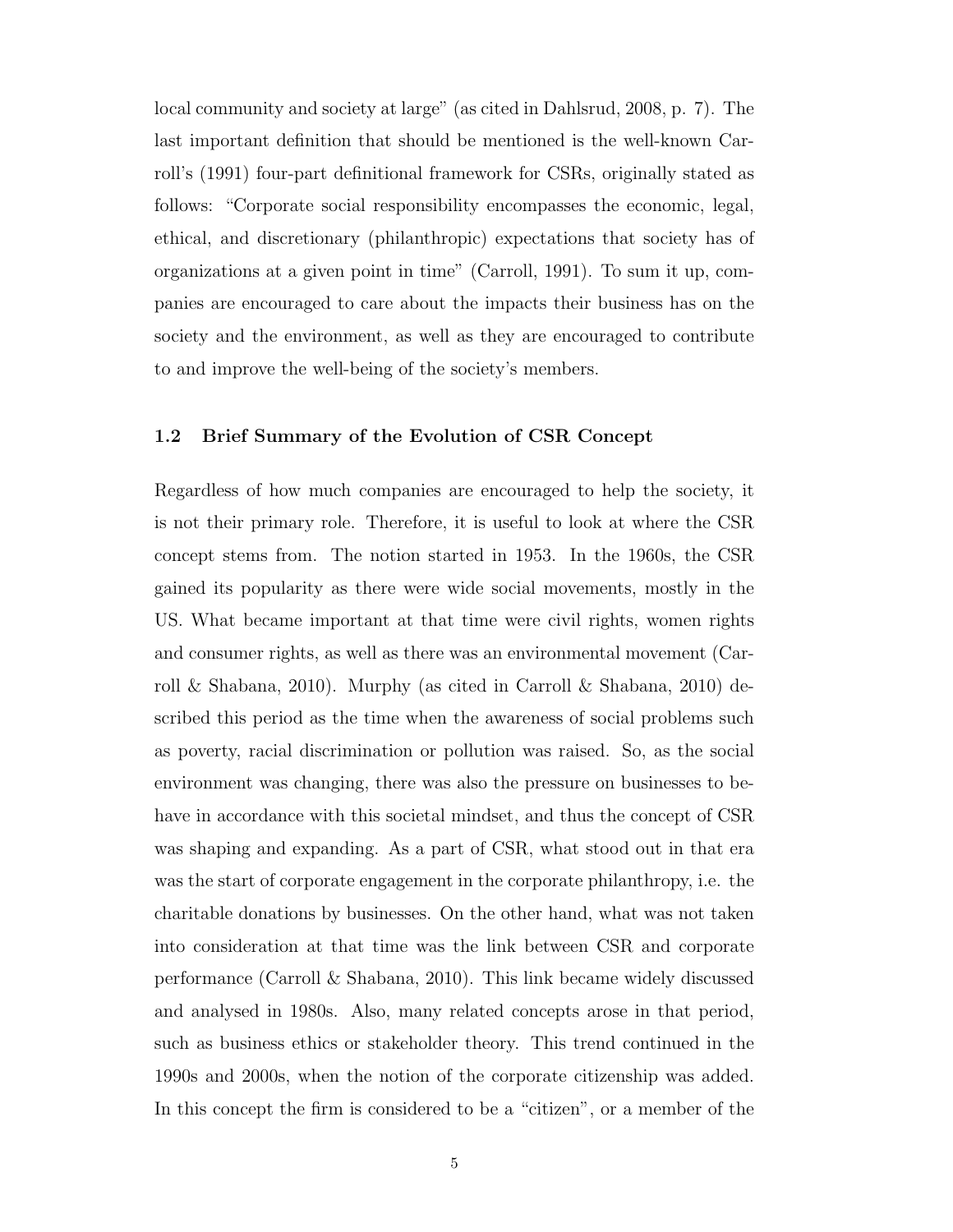local community and society at large" (as cited in [Dahlsrud, 2008,](#page-73-1) p. 7). The last important definition that should be mentioned is the well-known [Car](#page-72-0)[roll'](#page-72-0)s [\(1991\)](#page-72-0) four-part definitional framework for [CSRs](#page-11-0), originally stated as follows: "Corporate social responsibility encompasses the economic, legal, ethical, and discretionary (philanthropic) expectations that society has of organizations at a given point in time" [\(Carroll, 1991\)](#page-72-0). To sum it up, companies are encouraged to care about the impacts their business has on the society and the environment, as well as they are encouraged to contribute to and improve the well-being of the society's members.

#### <span id="page-19-0"></span>1.2 Brief Summary of the Evolution of [CSR](#page-11-0) Concept

Regardless of how much companies are encouraged to help the society, it is not their primary role. Therefore, it is useful to look at where the [CSR](#page-11-0) concept stems from. The notion started in 1953. In the 1960s, the [CSR](#page-11-0) gained its popularity as there were wide social movements, mostly in the US. What became important at that time were civil rights, women rights and consumer rights, as well as there was an environmental movement [\(Car](#page-72-1)[roll & Shabana, 2010\)](#page-72-1). Murphy (as cited in [Carroll & Shabana, 2010\)](#page-72-1) described this period as the time when the awareness of social problems such as poverty, racial discrimination or pollution was raised. So, as the social environment was changing, there was also the pressure on businesses to behave in accordance with this societal mindset, and thus the concept of [CSR](#page-11-0) was shaping and expanding. As a part of [CSR,](#page-11-0) what stood out in that era was the start of corporate engagement in the corporate philanthropy, i.e. the charitable donations by businesses. On the other hand, what was not taken into consideration at that time was the link between [CSR](#page-11-0) and corporate performance [\(Carroll & Shabana, 2010\)](#page-72-1). This link became widely discussed and analysed in 1980s. Also, many related concepts arose in that period, such as business ethics or stakeholder theory. This trend continued in the 1990s and 2000s, when the notion of the corporate citizenship was added. In this concept the firm is considered to be a "citizen", or a member of the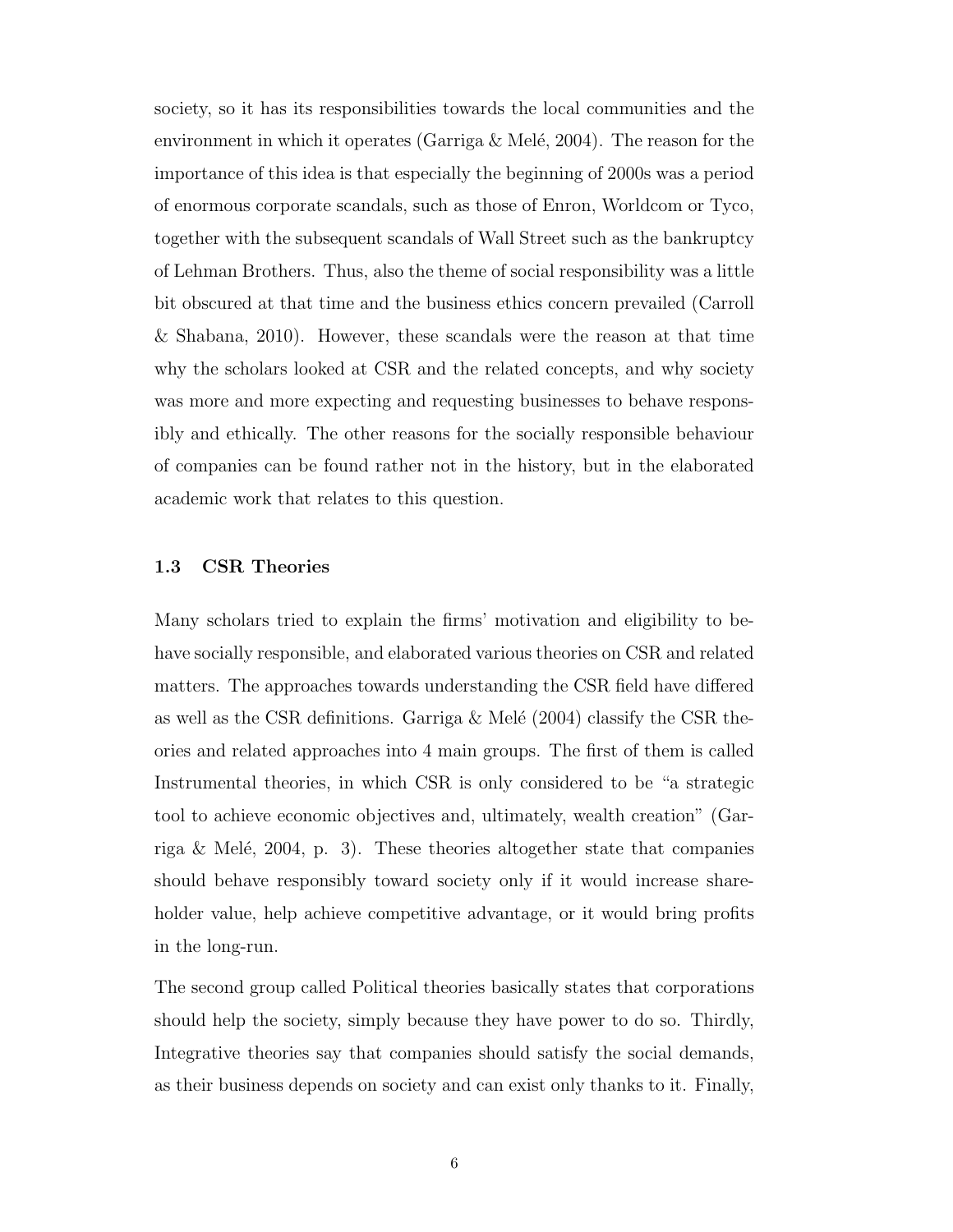society, so it has its responsibilities towards the local communities and the environment in which it operates (Garriga  $\&$  Melé, 2004). The reason for the importance of this idea is that especially the beginning of 2000s was a period of enormous corporate scandals, such as those of Enron, Worldcom or Tyco, together with the subsequent scandals of Wall Street such as the bankruptcy of Lehman Brothers. Thus, also the theme of social responsibility was a little bit obscured at that time and the business ethics concern prevailed [\(Carroll](#page-72-1) [& Shabana, 2010\)](#page-72-1). However, these scandals were the reason at that time why the scholars looked at [CSR](#page-11-0) and the related concepts, and why society was more and more expecting and requesting businesses to behave responsibly and ethically. The other reasons for the socially responsible behaviour of companies can be found rather not in the history, but in the elaborated academic work that relates to this question.

#### <span id="page-20-0"></span>1.3 [CSR](#page-11-0) Theories

Many scholars tried to explain the firms' motivation and eligibility to behave socially responsible, and elaborated various theories on [CSR](#page-11-0) and related matters. The approaches towards understanding the [CSR](#page-11-0) field have differed as well as the [CSR](#page-11-0) definitions. Garriga  $\&$  Melé [\(2004\)](#page-73-0) classify the CSR theories and related approaches into 4 main groups. The first of them is called Instrumental theories, in which [CSR](#page-11-0) is only considered to be "a strategic tool to achieve economic objectives and, ultimately, wealth creation" [\(Gar](#page-73-0)riga & Melé, 2004, p. 3). These theories altogether state that companies should behave responsibly toward society only if it would increase shareholder value, help achieve competitive advantage, or it would bring profits in the long-run.

The second group called Political theories basically states that corporations should help the society, simply because they have power to do so. Thirdly, Integrative theories say that companies should satisfy the social demands, as their business depends on society and can exist only thanks to it. Finally,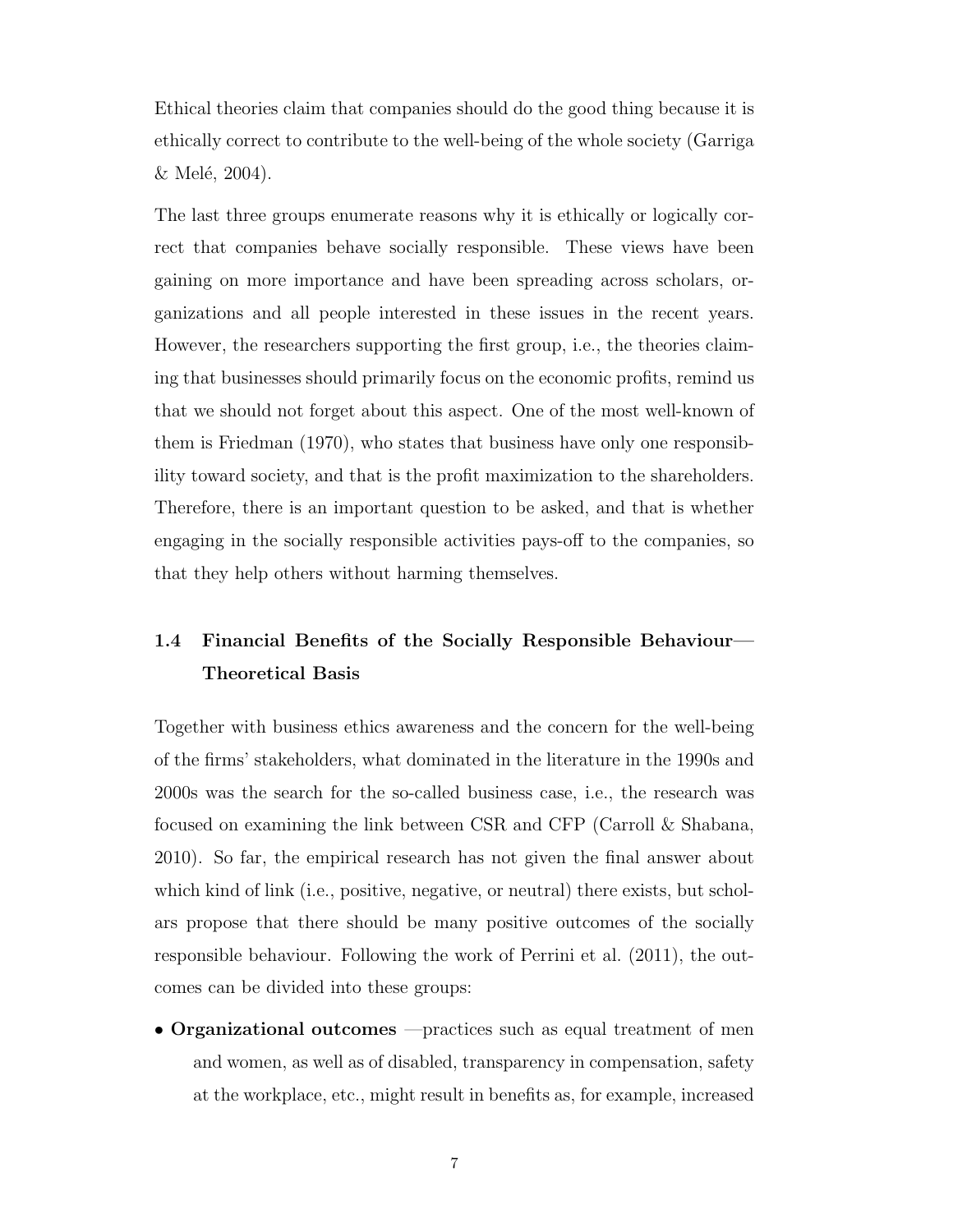Ethical theories claim that companies should do the good thing because it is ethically correct to contribute to the well-being of the whole society [\(Garriga](#page-73-0)  $&$  Melé, 2004).

The last three groups enumerate reasons why it is ethically or logically correct that companies behave socially responsible. These views have been gaining on more importance and have been spreading across scholars, organizations and all people interested in these issues in the recent years. However, the researchers supporting the first group, i.e., the theories claiming that businesses should primarily focus on the economic profits, remind us that we should not forget about this aspect. One of the most well-known of them is [Friedman](#page-73-2) [\(1970\)](#page-73-2), who states that business have only one responsibility toward society, and that is the profit maximization to the shareholders. Therefore, there is an important question to be asked, and that is whether engaging in the socially responsible activities pays-off to the companies, so that they help others without harming themselves.

# <span id="page-21-0"></span>1.4 Financial Benefits of the Socially Responsible Behaviour— Theoretical Basis

Together with business ethics awareness and the concern for the well-being of the firms' stakeholders, what dominated in the literature in the 1990s and 2000s was the search for the so-called business case, i.e., the research was focused on examining the link between [CSR](#page-11-0) and [CFP](#page-11-1) [\(Carroll & Shabana,](#page-72-1) [2010\)](#page-72-1). So far, the empirical research has not given the final answer about which kind of link (i.e., positive, negative, or neutral) there exists, but scholars propose that there should be many positive outcomes of the socially responsible behaviour. Following the work of [Perrini et al.](#page-75-0) [\(2011\)](#page-75-0), the outcomes can be divided into these groups:

• Organizational outcomes —practices such as equal treatment of men and women, as well as of disabled, transparency in compensation, safety at the workplace, etc., might result in benefits as, for example, increased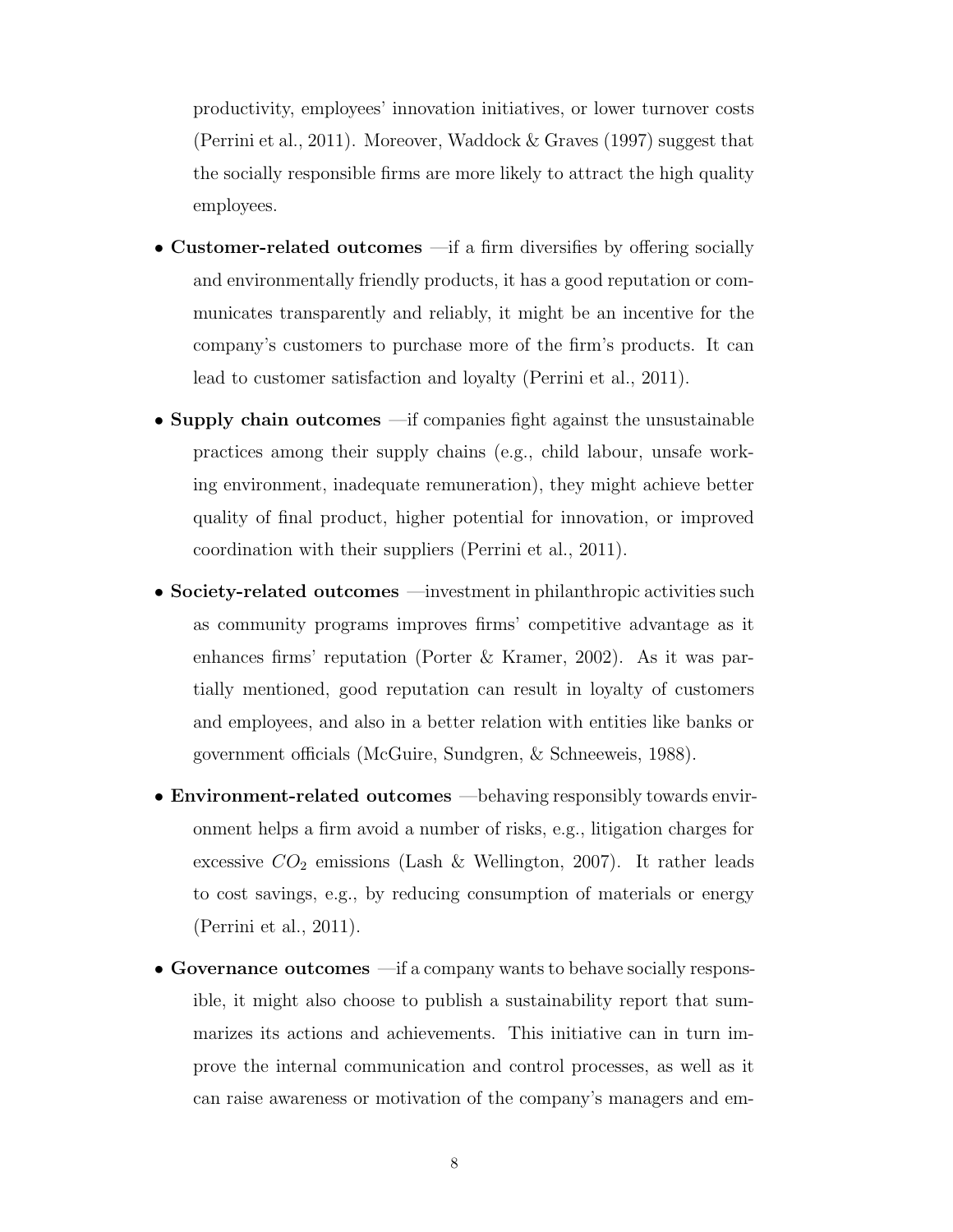productivity, employees' innovation initiatives, or lower turnover costs [\(Perrini et al., 2011\)](#page-75-0). Moreover, [Waddock & Graves](#page-75-1) [\(1997\)](#page-75-1) suggest that the socially responsible firms are more likely to attract the high quality employees.

- Customer-related outcomes —if a firm diversifies by offering socially and environmentally friendly products, it has a good reputation or communicates transparently and reliably, it might be an incentive for the company's customers to purchase more of the firm's products. It can lead to customer satisfaction and loyalty [\(Perrini et al., 2011\)](#page-75-0).
- Supply chain outcomes —if companies fight against the unsustainable practices among their supply chains (e.g., child labour, unsafe working environment, inadequate remuneration), they might achieve better quality of final product, higher potential for innovation, or improved coordination with their suppliers [\(Perrini et al., 2011\)](#page-75-0).
- Society-related outcomes —investment in philanthropic activities such as community programs improves firms' competitive advantage as it enhances firms' reputation [\(Porter & Kramer, 2002\)](#page-75-2). As it was partially mentioned, good reputation can result in loyalty of customers and employees, and also in a better relation with entities like banks or government officials [\(McGuire, Sundgren, & Schneeweis, 1988\)](#page-74-1).
- Environment-related outcomes —behaving responsibly towards environment helps a firm avoid a number of risks, e.g., litigation charges for excessive  $CO_2$  emissions [\(Lash & Wellington, 2007\)](#page-74-2). It rather leads to cost savings, e.g., by reducing consumption of materials or energy [\(Perrini et al., 2011\)](#page-75-0).
- Governance outcomes —if a company wants to behave socially responsible, it might also choose to publish a sustainability report that summarizes its actions and achievements. This initiative can in turn improve the internal communication and control processes, as well as it can raise awareness or motivation of the company's managers and em-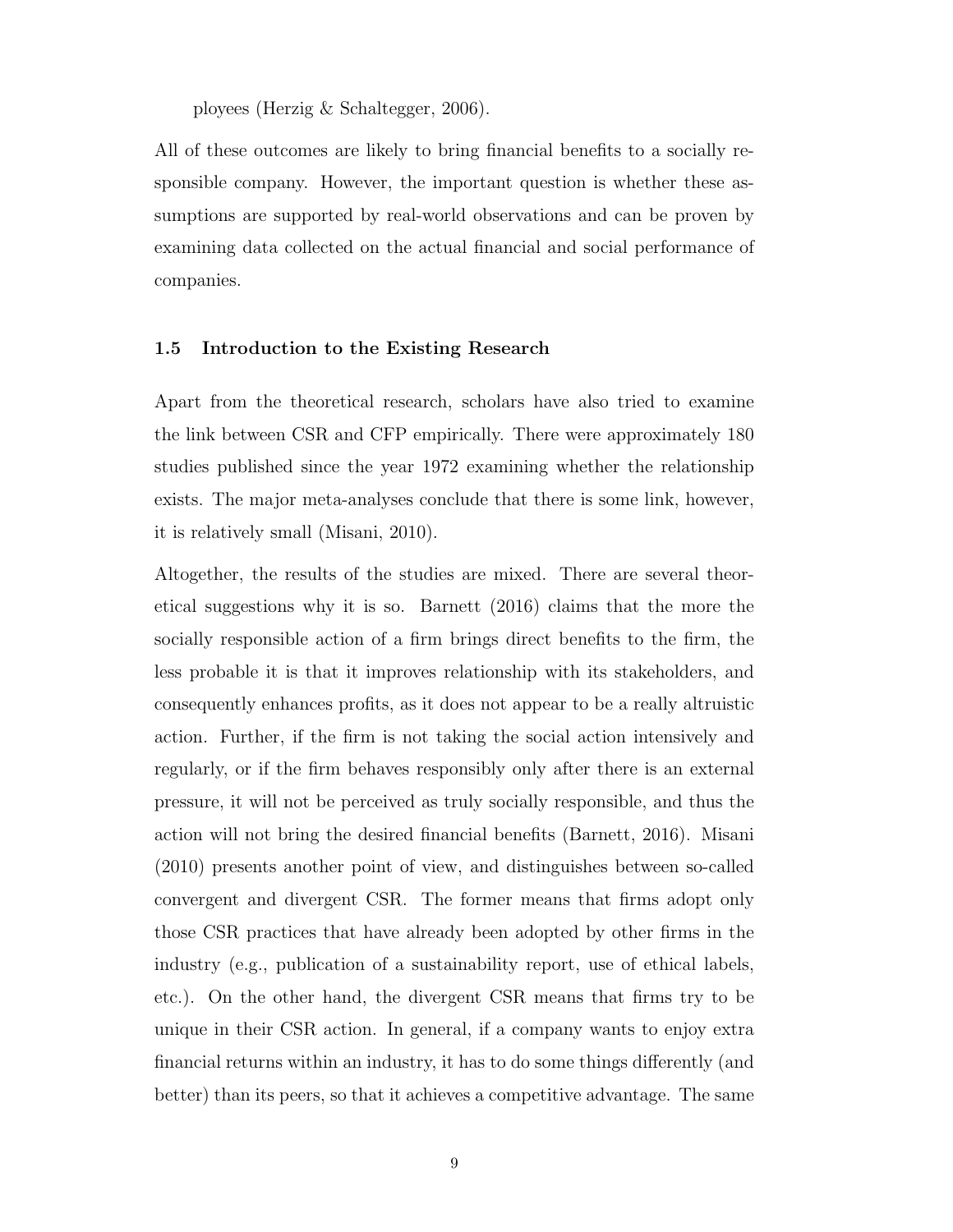ployees [\(Herzig & Schaltegger, 2006\)](#page-73-3).

All of these outcomes are likely to bring financial benefits to a socially responsible company. However, the important question is whether these assumptions are supported by real-world observations and can be proven by examining data collected on the actual financial and social performance of companies.

#### <span id="page-23-0"></span>1.5 Introduction to the Existing Research

Apart from the theoretical research, scholars have also tried to examine the link between [CSR](#page-11-0) and [CFP](#page-11-1) empirically. There were approximately 180 studies published since the year 1972 examining whether the relationship exists. The major meta-analyses conclude that there is some link, however, it is relatively small [\(Misani, 2010\)](#page-74-3).

Altogether, the results of the studies are mixed. There are several theoretical suggestions why it is so. [Barnett](#page-72-2) [\(2016\)](#page-72-2) claims that the more the socially responsible action of a firm brings direct benefits to the firm, the less probable it is that it improves relationship with its stakeholders, and consequently enhances profits, as it does not appear to be a really altruistic action. Further, if the firm is not taking the social action intensively and regularly, or if the firm behaves responsibly only after there is an external pressure, it will not be perceived as truly socially responsible, and thus the action will not bring the desired financial benefits [\(Barnett, 2016\)](#page-72-2). [Misani](#page-74-3) [\(2010\)](#page-74-3) presents another point of view, and distinguishes between so-called convergent and divergent [CSR.](#page-11-0) The former means that firms adopt only those [CSR](#page-11-0) practices that have already been adopted by other firms in the industry (e.g., publication of a sustainability report, use of ethical labels, etc.). On the other hand, the divergent [CSR](#page-11-0) means that firms try to be unique in their [CSR](#page-11-0) action. In general, if a company wants to enjoy extra financial returns within an industry, it has to do some things differently (and better) than its peers, so that it achieves a competitive advantage. The same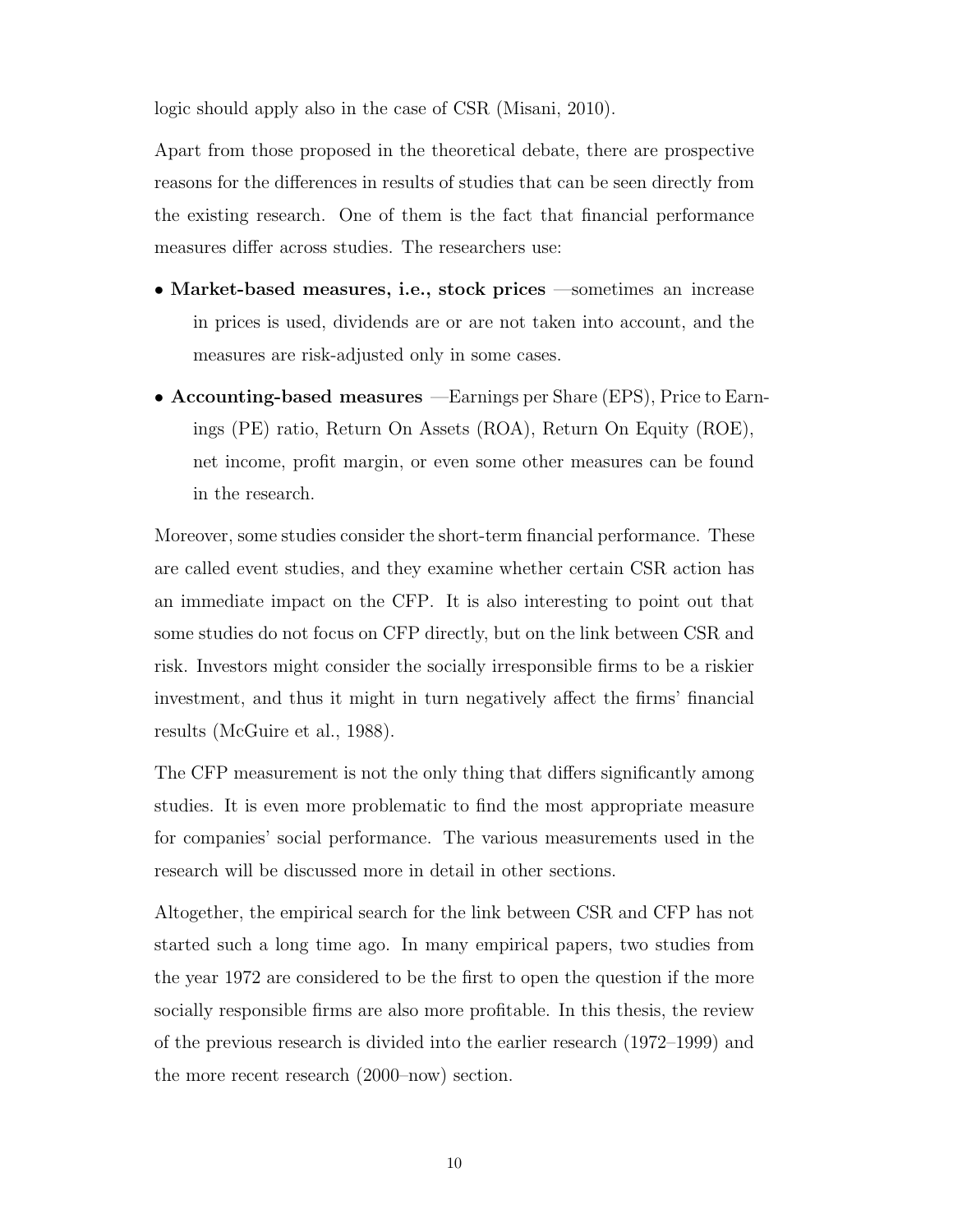logic should apply also in the case of [CSR](#page-11-0) [\(Misani, 2010\)](#page-74-3).

Apart from those proposed in the theoretical debate, there are prospective reasons for the differences in results of studies that can be seen directly from the existing research. One of them is the fact that financial performance measures differ across studies. The researchers use:

- Market-based measures, i.e., stock prices —sometimes an increase in prices is used, dividends are or are not taken into account, and the measures are risk-adjusted only in some cases.
- Accounting-based measures —Earnings per Share [\(EPS\)](#page-11-5), Price to Earnings [\(PE\)](#page-11-6) ratio, Return On Assets [\(ROA\)](#page-11-7), Return On Equity [\(ROE\)](#page-11-8), net income, profit margin, or even some other measures can be found in the research.

Moreover, some studies consider the short-term financial performance. These are called event studies, and they examine whether certain [CSR](#page-11-0) action has an immediate impact on the [CFP.](#page-11-1) It is also interesting to point out that some studies do not focus on [CFP](#page-11-1) directly, but on the link between [CSR](#page-11-0) and risk. Investors might consider the socially irresponsible firms to be a riskier investment, and thus it might in turn negatively affect the firms' financial results [\(McGuire et al., 1988\)](#page-74-1).

The [CFP](#page-11-1) measurement is not the only thing that differs significantly among studies. It is even more problematic to find the most appropriate measure for companies' social performance. The various measurements used in the research will be discussed more in detail in other sections.

Altogether, the empirical search for the link between [CSR](#page-11-0) and [CFP](#page-11-1) has not started such a long time ago. In many empirical papers, two studies from the year 1972 are considered to be the first to open the question if the more socially responsible firms are also more profitable. In this thesis, the review of the previous research is divided into the earlier research (1972–1999) and the more recent research (2000–now) section.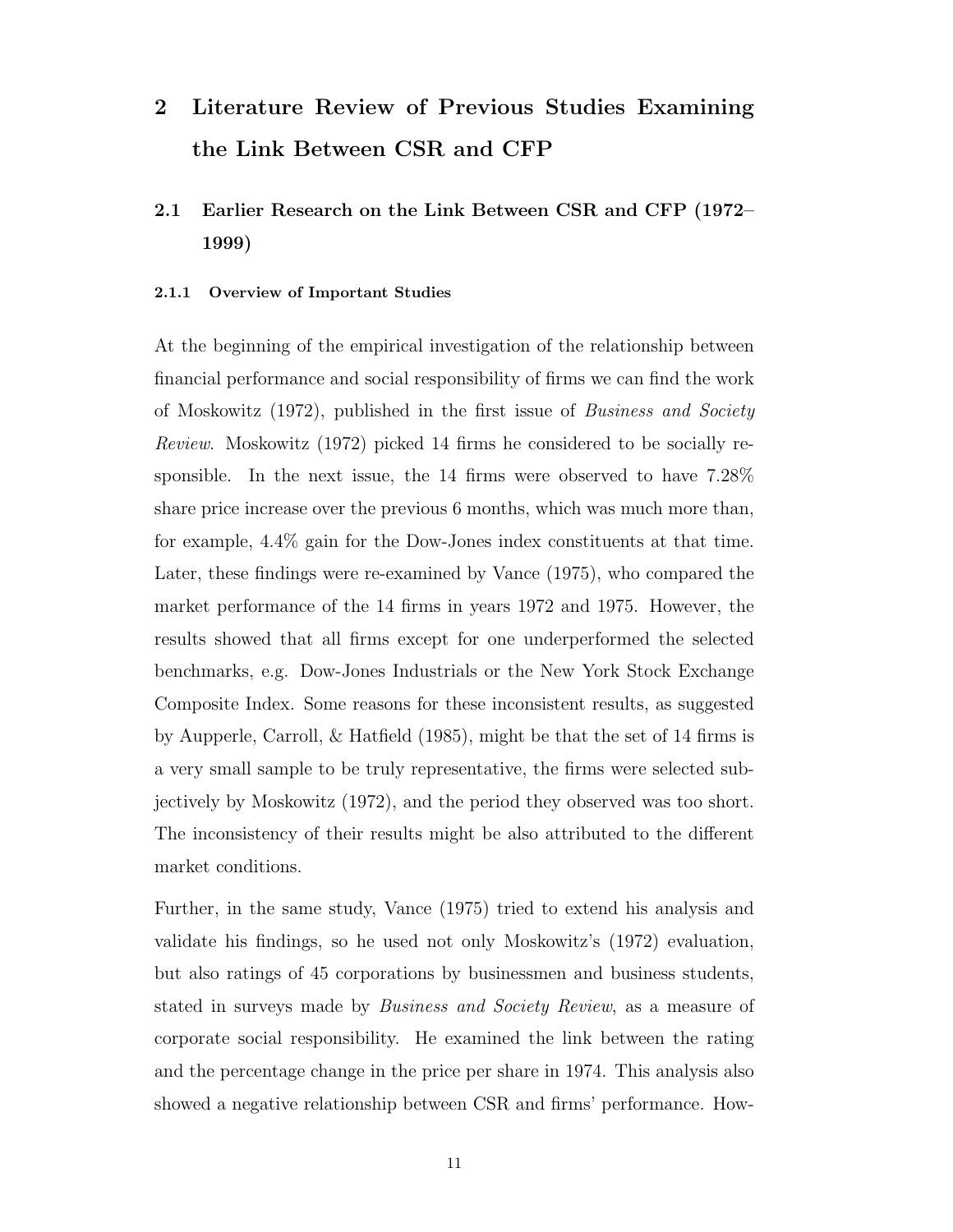# <span id="page-25-0"></span>2 Literature Review of Previous Studies Examining the Link Between [CSR](#page-11-0) and [CFP](#page-11-1)

# <span id="page-25-1"></span>2.1 Earlier Research on the Link Between [CSR](#page-11-0) and [CFP](#page-11-1) (1972– 1999)

#### <span id="page-25-2"></span>2.1.1 Overview of Important Studies

At the beginning of the empirical investigation of the relationship between financial performance and social responsibility of firms we can find the work of [Moskowitz](#page-74-4) [\(1972\)](#page-74-4), published in the first issue of Business and Society Review. [Moskowitz](#page-74-4) [\(1972\)](#page-74-4) picked 14 firms he considered to be socially responsible. In the next issue, the 14 firms were observed to have 7.28% share price increase over the previous 6 months, which was much more than, for example, 4.4% gain for the Dow-Jones index constituents at that time. Later, these findings were re-examined by [Vance](#page-75-3) [\(1975\)](#page-75-3), who compared the market performance of the 14 firms in years 1972 and 1975. However, the results showed that all firms except for one underperformed the selected benchmarks, e.g. Dow-Jones Industrials or the New York Stock Exchange Composite Index. Some reasons for these inconsistent results, as suggested by [Aupperle, Carroll, & Hatfield](#page-72-3) [\(1985\)](#page-72-3), might be that the set of 14 firms is a very small sample to be truly representative, the firms were selected subjectively by [Moskowitz](#page-74-4) [\(1972\)](#page-74-4), and the period they observed was too short. The inconsistency of their results might be also attributed to the different market conditions.

Further, in the same study, [Vance](#page-75-3) [\(1975\)](#page-75-3) tried to extend his analysis and validate his findings, so he used not only [Moskowitz'](#page-74-4)s [\(1972\)](#page-74-4) evaluation, but also ratings of 45 corporations by businessmen and business students, stated in surveys made by Business and Society Review, as a measure of corporate social responsibility. He examined the link between the rating and the percentage change in the price per share in 1974. This analysis also showed a negative relationship between [CSR](#page-11-0) and firms' performance. How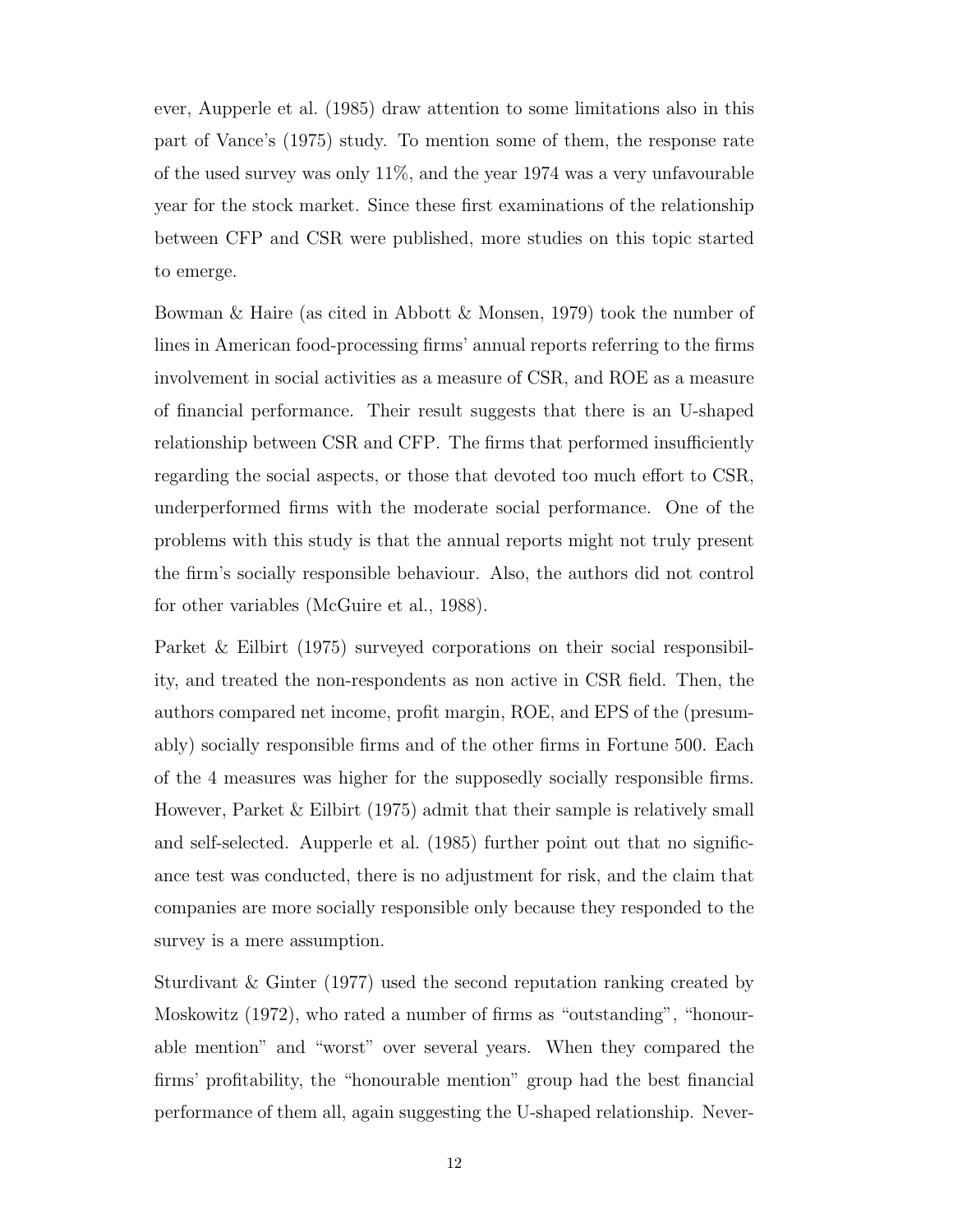ever, [Aupperle et al.](#page-72-3) [\(1985\)](#page-72-3) draw attention to some limitations also in this part of [Vance'](#page-75-3)s [\(1975\)](#page-75-3) study. To mention some of them, the response rate of the used survey was only 11%, and the year 1974 was a very unfavourable year for the stock market. Since these first examinations of the relationship between [CFP](#page-11-1) and [CSR](#page-11-0) were published, more studies on this topic started to emerge.

Bowman & Haire (as cited in [Abbott & Monsen, 1979\)](#page-72-4) took the number of lines in American food-processing firms' annual reports referring to the firms involvement in social activities as a measure of [CSR,](#page-11-0) and [ROE](#page-11-8) as a measure of financial performance. Their result suggests that there is an U-shaped relationship between CSR and [CFP.](#page-11-1) The firms that performed insufficiently regarding the social aspects, or those that devoted too much effort to CSR, underperformed firms with the moderate social performance. One of the problems with this study is that the annual reports might not truly present the firm's socially responsible behaviour. Also, the authors did not control for other variables [\(McGuire et al., 1988\)](#page-74-1).

[Parket & Eilbirt](#page-74-5) [\(1975\)](#page-74-5) surveyed corporations on their social responsibility, and treated the non-respondents as non active in [CSR](#page-11-0) field. Then, the authors compared net income, profit margin, [ROE,](#page-11-8) and [EPS](#page-11-5) of the (presumably) socially responsible firms and of the other firms in Fortune 500. Each of the 4 measures was higher for the supposedly socially responsible firms. However, [Parket & Eilbirt](#page-74-5) [\(1975\)](#page-74-5) admit that their sample is relatively small and self-selected. [Aupperle et al.](#page-72-3) [\(1985\)](#page-72-3) further point out that no significance test was conducted, there is no adjustment for risk, and the claim that companies are more socially responsible only because they responded to the survey is a mere assumption.

[Sturdivant & Ginter](#page-75-4) [\(1977\)](#page-75-4) used the second reputation ranking created by [Moskowitz](#page-74-4) [\(1972\)](#page-74-4), who rated a number of firms as "outstanding", "honourable mention" and "worst" over several years. When they compared the firms' profitability, the "honourable mention" group had the best financial performance of them all, again suggesting the U-shaped relationship. Never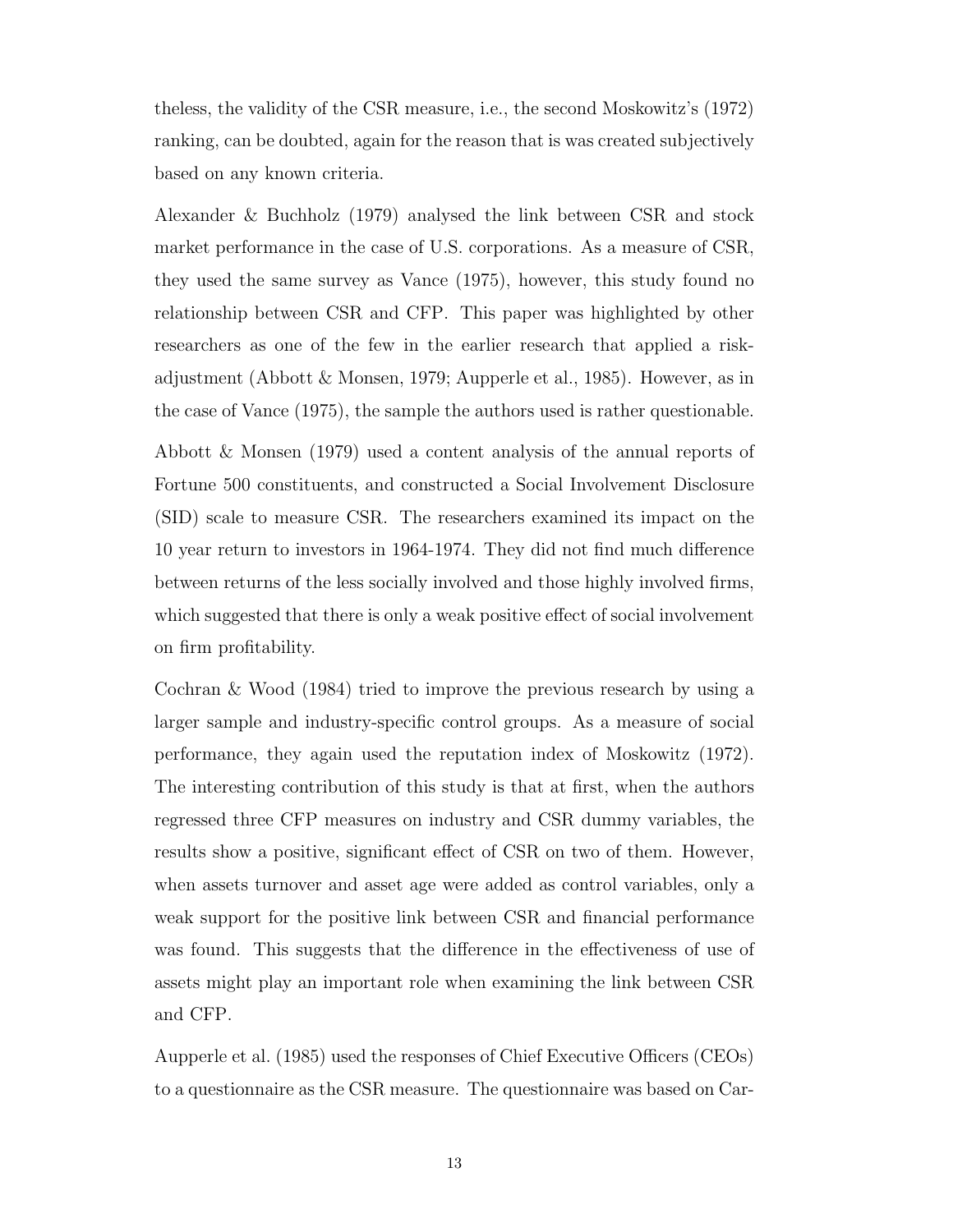theless, the validity of the [CSR](#page-11-0) measure, i.e., the second [Moskowitz'](#page-74-4)s [\(1972\)](#page-74-4) ranking, can be doubted, again for the reason that is was created subjectively based on any known criteria.

[Alexander & Buchholz](#page-72-5) [\(1979\)](#page-72-5) analysed the link between [CSR](#page-11-0) and stock market performance in the case of U.S. corporations. As a measure of [CSR,](#page-11-0) they used the same survey as [Vance](#page-75-3) [\(1975\)](#page-75-3), however, this study found no relationship between [CSR](#page-11-0) and [CFP.](#page-11-1) This paper was highlighted by other researchers as one of the few in the earlier research that applied a riskadjustment [\(Abbott & Monsen, 1979;](#page-72-4) [Aupperle et al., 1985\)](#page-72-3). However, as in the case of [Vance](#page-75-3) [\(1975\)](#page-75-3), the sample the authors used is rather questionable.

[Abbott & Monsen](#page-72-4) [\(1979\)](#page-72-4) used a content analysis of the annual reports of Fortune 500 constituents, and constructed a Social Involvement Disclosure (SID) scale to measure [CSR.](#page-11-0) The researchers examined its impact on the 10 year return to investors in 1964-1974. They did not find much difference between returns of the less socially involved and those highly involved firms, which suggested that there is only a weak positive effect of social involvement on firm profitability.

[Cochran & Wood](#page-72-6) [\(1984\)](#page-72-6) tried to improve the previous research by using a larger sample and industry-specific control groups. As a measure of social performance, they again used the reputation index of [Moskowitz](#page-74-4) [\(1972\)](#page-74-4). The interesting contribution of this study is that at first, when the authors regressed three [CFP](#page-11-1) measures on industry and [CSR](#page-11-0) dummy variables, the results show a positive, significant effect of [CSR](#page-11-0) on two of them. However, when assets turnover and asset age were added as control variables, only a weak support for the positive link between [CSR](#page-11-0) and financial performance was found. This suggests that the difference in the effectiveness of use of assets might play an important role when examining the link between [CSR](#page-11-0) and [CFP.](#page-11-1)

[Aupperle et al.](#page-72-3) [\(1985\)](#page-72-3) used the responses of Chief Executive Officers [\(CEOs](#page-11-9)) to a questionnaire as the [CSR](#page-11-0) measure. The questionnaire was based on [Car-](#page-72-0)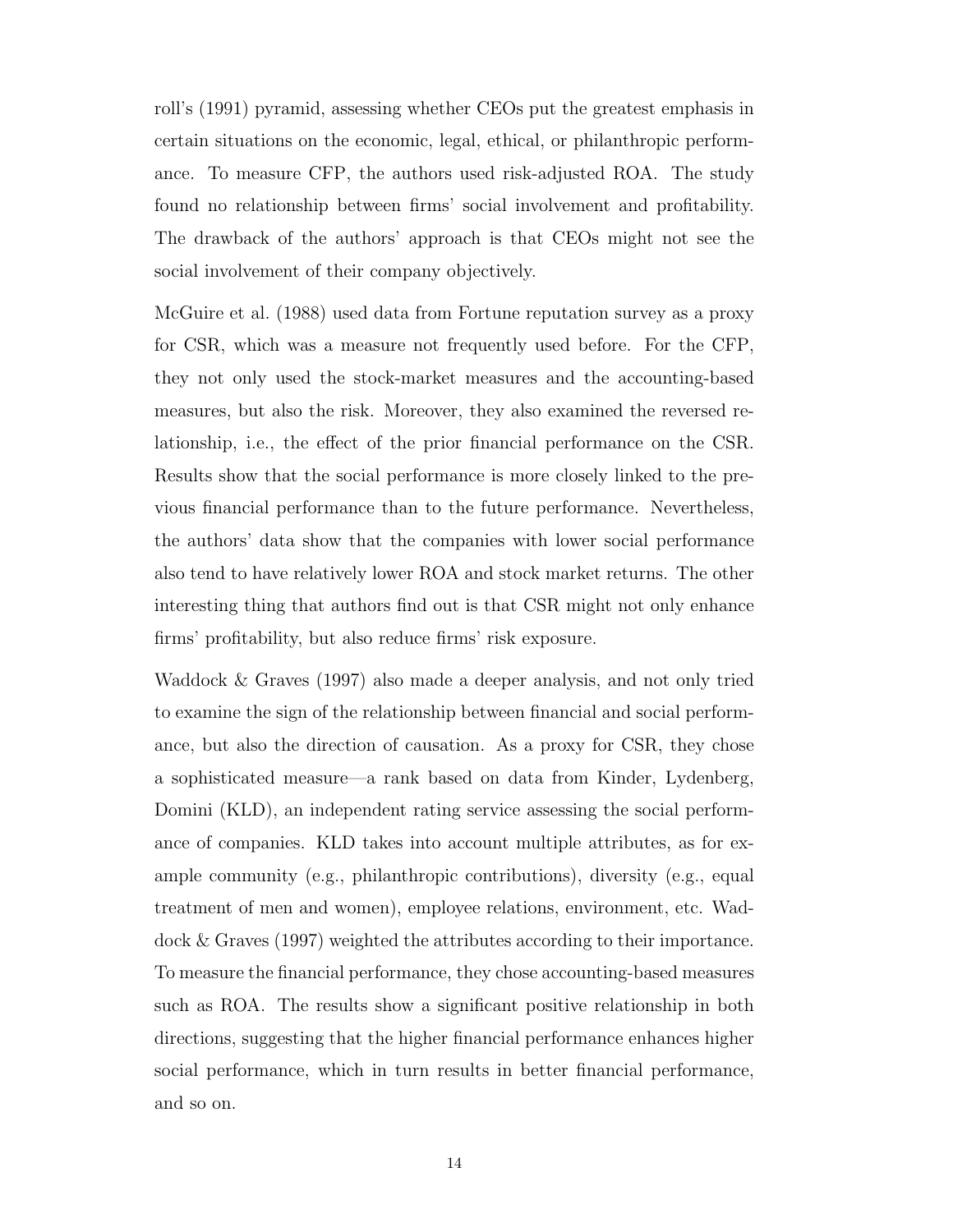[roll'](#page-72-0)s [\(1991\)](#page-72-0) pyramid, assessing whether [CEOs](#page-11-9) put the greatest emphasis in certain situations on the economic, legal, ethical, or philanthropic performance. To measure [CFP,](#page-11-1) the authors used risk-adjusted [ROA.](#page-11-7) The study found no relationship between firms' social involvement and profitability. The drawback of the authors' approach is that [CEOs](#page-11-9) might not see the social involvement of their company objectively.

[McGuire et al.](#page-74-1) [\(1988\)](#page-74-1) used data from Fortune reputation survey as a proxy for [CSR,](#page-11-0) which was a measure not frequently used before. For the [CFP,](#page-11-1) they not only used the stock-market measures and the accounting-based measures, but also the risk. Moreover, they also examined the reversed relationship, i.e., the effect of the prior financial performance on the [CSR.](#page-11-0) Results show that the social performance is more closely linked to the previous financial performance than to the future performance. Nevertheless, the authors' data show that the companies with lower social performance also tend to have relatively lower [ROA](#page-11-7) and stock market returns. The other interesting thing that authors find out is that [CSR](#page-11-0) might not only enhance firms' profitability, but also reduce firms' risk exposure.

[Waddock & Graves](#page-75-1) [\(1997\)](#page-75-1) also made a deeper analysis, and not only tried to examine the sign of the relationship between financial and social performance, but also the direction of causation. As a proxy for [CSR,](#page-11-0) they chose a sophisticated measure—a rank based on data from Kinder, Lydenberg, Domini [\(KLD\)](#page-11-10), an independent rating service assessing the social performance of companies. [KLD](#page-11-10) takes into account multiple attributes, as for example community (e.g., philanthropic contributions), diversity (e.g., equal treatment of men and women), employee relations, environment, etc. [Wad](#page-75-1)[dock & Graves](#page-75-1) [\(1997\)](#page-75-1) weighted the attributes according to their importance. To measure the financial performance, they chose accounting-based measures such as [ROA.](#page-11-7) The results show a significant positive relationship in both directions, suggesting that the higher financial performance enhances higher social performance, which in turn results in better financial performance, and so on.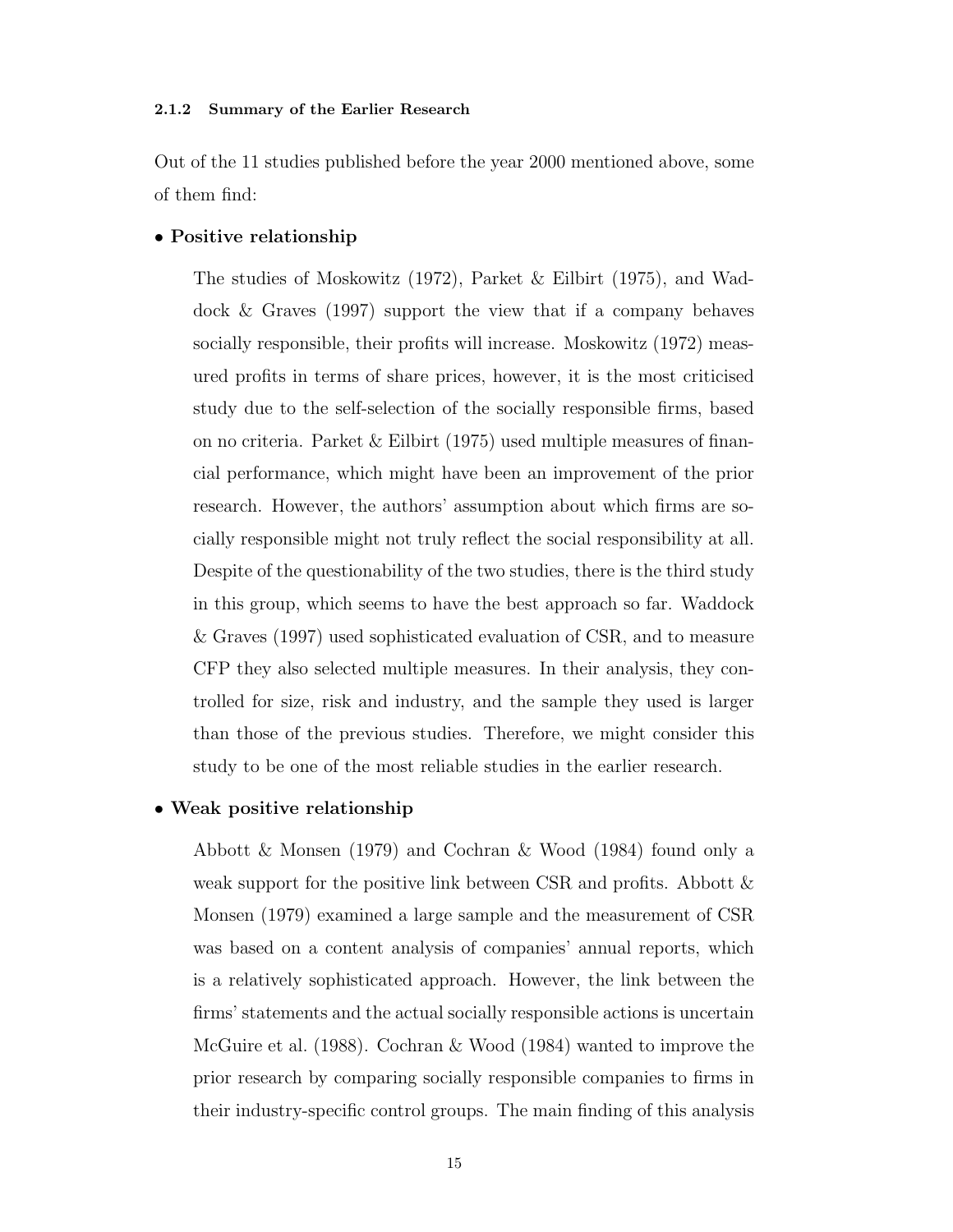#### <span id="page-29-0"></span>2.1.2 Summary of the Earlier Research

Out of the 11 studies published before the year 2000 mentioned above, some of them find:

#### • Positive relationship

The studies of [Moskowitz](#page-74-4) [\(1972\)](#page-74-4), [Parket & Eilbirt](#page-74-5) [\(1975\)](#page-74-5), and [Wad](#page-75-1)[dock & Graves](#page-75-1) [\(1997\)](#page-75-1) support the view that if a company behaves socially responsible, their profits will increase. [Moskowitz](#page-74-4) [\(1972\)](#page-74-4) measured profits in terms of share prices, however, it is the most criticised study due to the self-selection of the socially responsible firms, based on no criteria. Parket  $&$  Eilbirt [\(1975\)](#page-74-5) used multiple measures of financial performance, which might have been an improvement of the prior research. However, the authors' assumption about which firms are socially responsible might not truly reflect the social responsibility at all. Despite of the questionability of the two studies, there is the third study in this group, which seems to have the best approach so far. [Waddock](#page-75-1) [& Graves](#page-75-1) [\(1997\)](#page-75-1) used sophisticated evaluation of [CSR,](#page-11-0) and to measure [CFP](#page-11-1) they also selected multiple measures. In their analysis, they controlled for size, risk and industry, and the sample they used is larger than those of the previous studies. Therefore, we might consider this study to be one of the most reliable studies in the earlier research.

#### • Weak positive relationship

[Abbott & Monsen](#page-72-4) [\(1979\)](#page-72-4) and [Cochran & Wood](#page-72-6) [\(1984\)](#page-72-6) found only a weak support for the positive link between [CSR](#page-11-0) and profits. Abbott  $\&$ [Monsen](#page-72-4) [\(1979\)](#page-72-4) examined a large sample and the measurement of [CSR](#page-11-0) was based on a content analysis of companies' annual reports, which is a relatively sophisticated approach. However, the link between the firms' statements and the actual socially responsible actions is uncertain [McGuire et al.](#page-74-1) [\(1988\)](#page-74-1). [Cochran & Wood](#page-72-6) [\(1984\)](#page-72-6) wanted to improve the prior research by comparing socially responsible companies to firms in their industry-specific control groups. The main finding of this analysis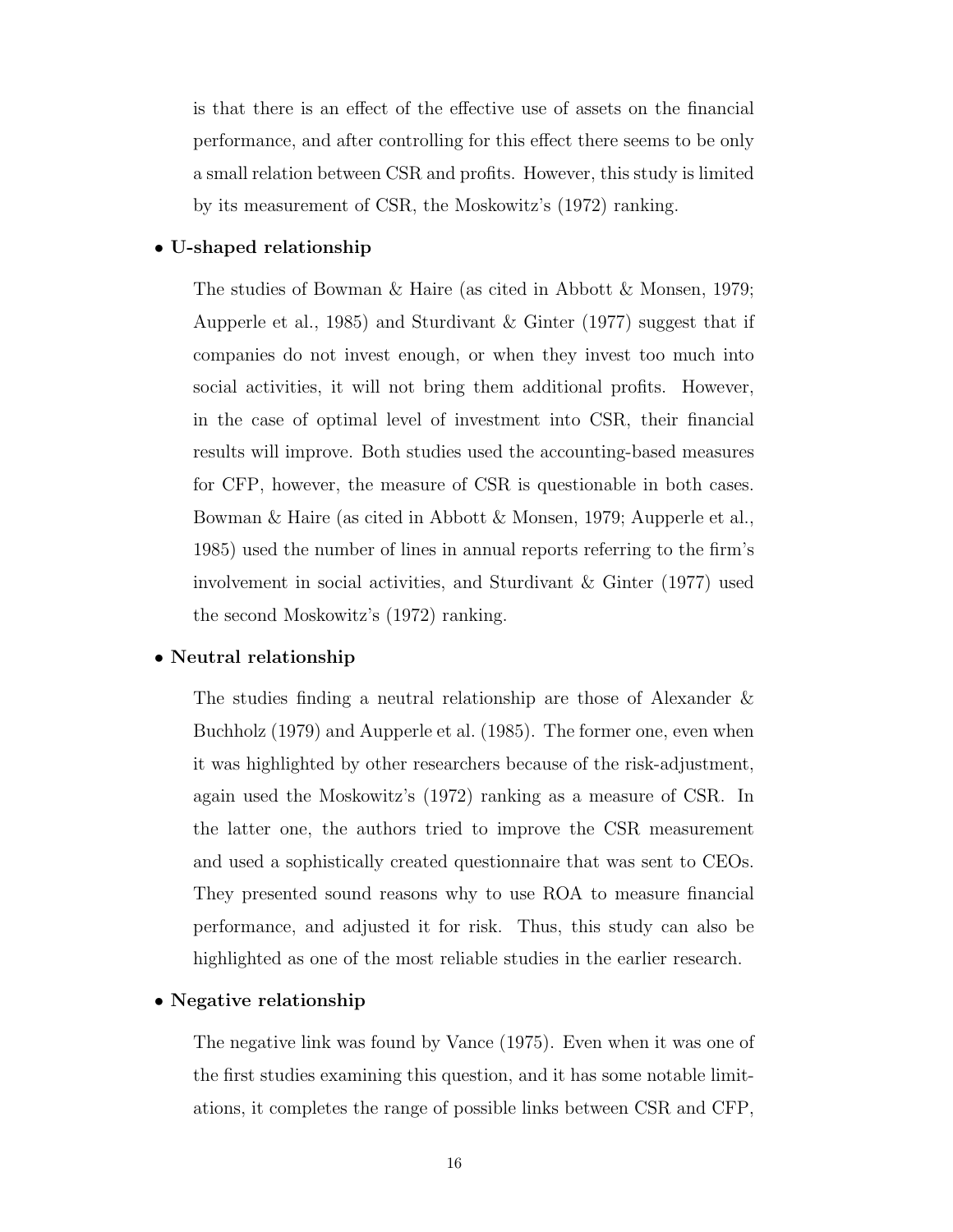is that there is an effect of the effective use of assets on the financial performance, and after controlling for this effect there seems to be only a small relation between [CSR](#page-11-0) and profits. However, this study is limited by its measurement of [CSR,](#page-11-0) the [Moskowitz'](#page-74-4)s [\(1972\)](#page-74-4) ranking.

#### $\bullet$  U-shaped relationship

The studies of Bowman & Haire (as cited in [Abbott & Monsen, 1979;](#page-72-4) [Aupperle et al., 1985\)](#page-72-3) and [Sturdivant & Ginter](#page-75-4) [\(1977\)](#page-75-4) suggest that if companies do not invest enough, or when they invest too much into social activities, it will not bring them additional profits. However, in the case of optimal level of investment into [CSR,](#page-11-0) their financial results will improve. Both studies used the accounting-based measures for [CFP,](#page-11-1) however, the measure of [CSR](#page-11-0) is questionable in both cases. Bowman & Haire (as cited in [Abbott & Monsen, 1979;](#page-72-4) [Aupperle et al.,](#page-72-3) [1985\)](#page-72-3) used the number of lines in annual reports referring to the firm's involvement in social activities, and [Sturdivant & Ginter](#page-75-4) [\(1977\)](#page-75-4) used the second [Moskowitz'](#page-74-4)s [\(1972\)](#page-74-4) ranking.

#### • Neutral relationship

The studies finding a neutral relationship are those of [Alexander &](#page-72-5) [Buchholz](#page-72-5) [\(1979\)](#page-72-5) and [Aupperle et al.](#page-72-3) [\(1985\)](#page-72-3). The former one, even when it was highlighted by other researchers because of the risk-adjustment, again used the [Moskowitz'](#page-74-4)s [\(1972\)](#page-74-4) ranking as a measure of [CSR.](#page-11-0) In the latter one, the authors tried to improve the [CSR](#page-11-0) measurement and used a sophistically created questionnaire that was sent to [CEOs](#page-11-9). They presented sound reasons why to use [ROA](#page-11-7) to measure financial performance, and adjusted it for risk. Thus, this study can also be highlighted as one of the most reliable studies in the earlier research.

#### • Negative relationship

The negative link was found by [Vance](#page-75-3) [\(1975\)](#page-75-3). Even when it was one of the first studies examining this question, and it has some notable limitations, it completes the range of possible links between [CSR](#page-11-0) and [CFP,](#page-11-1)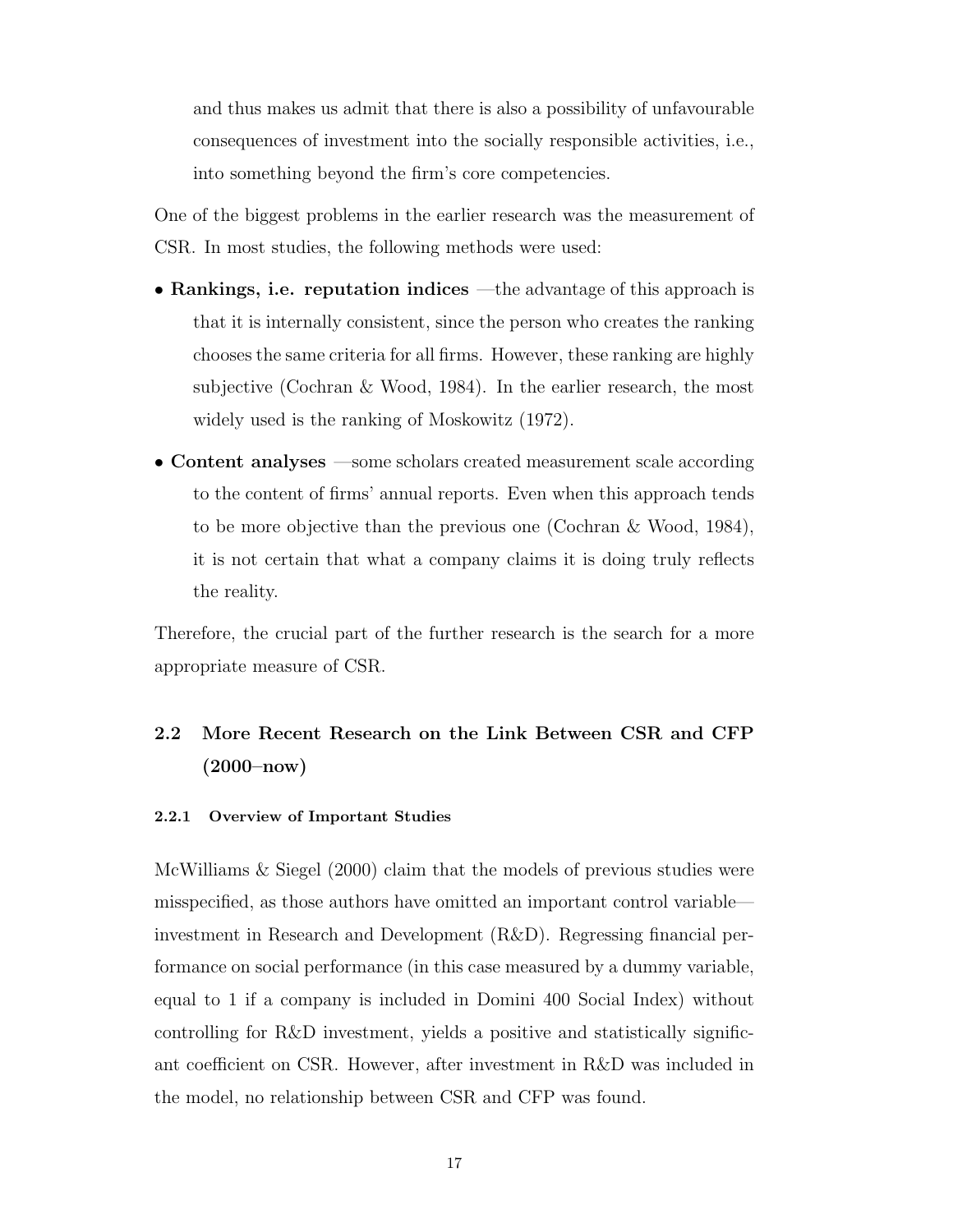and thus makes us admit that there is also a possibility of unfavourable consequences of investment into the socially responsible activities, i.e., into something beyond the firm's core competencies.

One of the biggest problems in the earlier research was the measurement of [CSR.](#page-11-0) In most studies, the following methods were used:

- Rankings, i.e. reputation indices —the advantage of this approach is that it is internally consistent, since the person who creates the ranking chooses the same criteria for all firms. However, these ranking are highly subjective [\(Cochran & Wood, 1984\)](#page-72-6). In the earlier research, the most widely used is the ranking of [Moskowitz](#page-74-4) [\(1972\)](#page-74-4).
- Content analyses —some scholars created measurement scale according to the content of firms' annual reports. Even when this approach tends to be more objective than the previous one (Cochran & Wood, 1984), it is not certain that what a company claims it is doing truly reflects the reality.

Therefore, the crucial part of the further research is the search for a more appropriate measure of [CSR.](#page-11-0)

# <span id="page-31-0"></span>2.2 More Recent Research on the Link Between [CSR](#page-11-0) and [CFP](#page-11-1) (2000–now)

#### <span id="page-31-1"></span>2.2.1 Overview of Important Studies

[McWilliams & Siegel](#page-74-6) [\(2000\)](#page-74-6) claim that the models of previous studies were misspecified, as those authors have omitted an important control variable investment in Research and Development [\(R&D\)](#page-11-11). Regressing financial performance on social performance (in this case measured by a dummy variable, equal to 1 if a company is included in Domini 400 Social Index) without controlling for [R&D](#page-11-11) investment, yields a positive and statistically significant coefficient on [CSR.](#page-11-0) However, after investment in [R&D](#page-11-11) was included in the model, no relationship between [CSR](#page-11-0) and [CFP](#page-11-1) was found.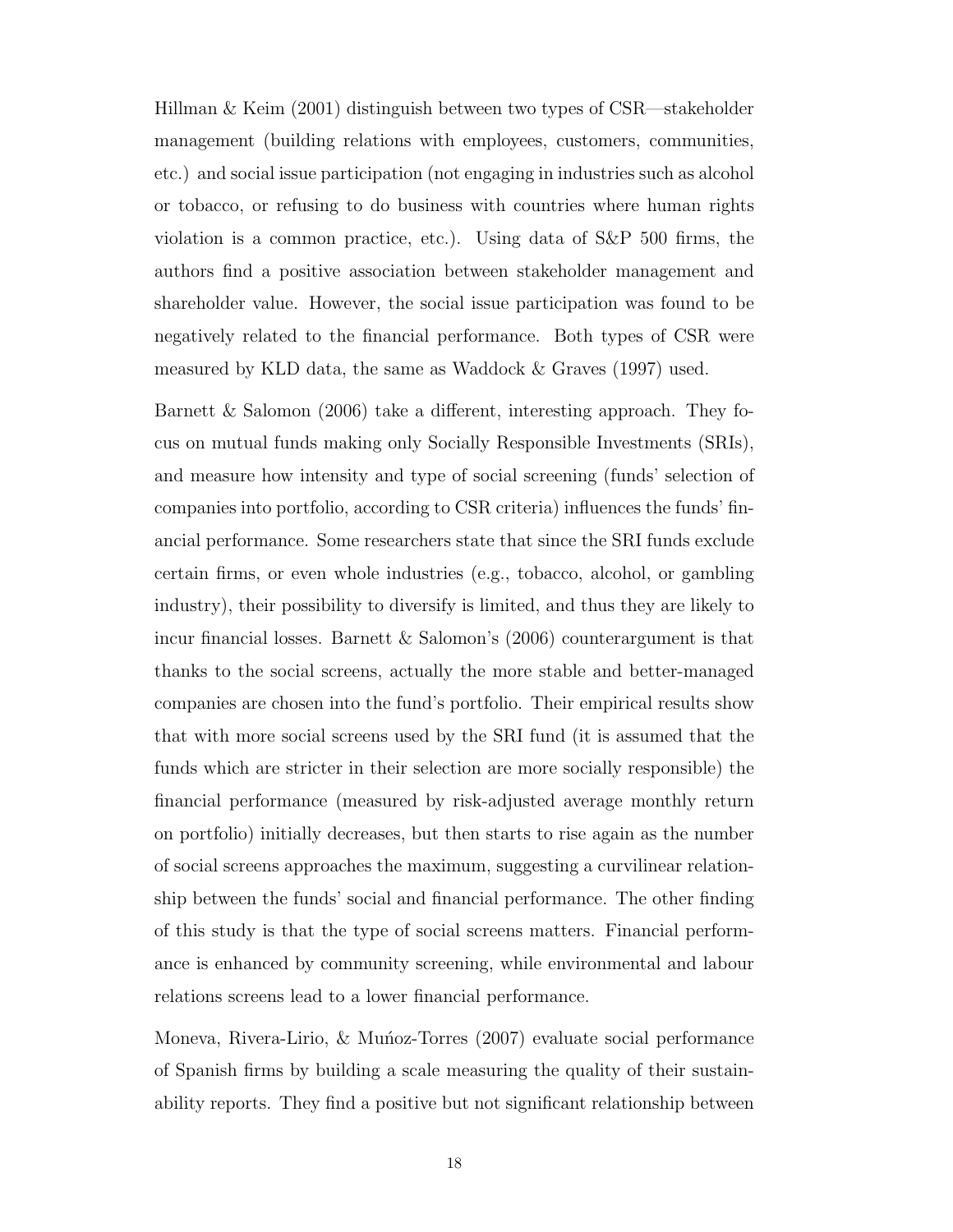[Hillman & Keim](#page-73-4) [\(2001\)](#page-73-4) distinguish between two types of [CSR—](#page-11-0)stakeholder management (building relations with employees, customers, communities, etc.) and social issue participation (not engaging in industries such as alcohol or tobacco, or refusing to do business with countries where human rights violation is a common practice, etc.). Using data of [S&P](#page-11-4) 500 firms, the authors find a positive association between stakeholder management and shareholder value. However, the social issue participation was found to be negatively related to the financial performance. Both types of [CSR](#page-11-0) were measured by [KLD](#page-11-10) data, the same as [Waddock & Graves](#page-75-1) [\(1997\)](#page-75-1) used.

[Barnett & Salomon](#page-72-7) [\(2006\)](#page-72-7) take a different, interesting approach. They focus on mutual funds making only Socially Responsible Investments [\(SRIs](#page-11-12)), and measure how intensity and type of social screening (funds' selection of companies into portfolio, according to [CSR](#page-11-0) criteria) influences the funds' financial performance. Some researchers state that since the [SRI](#page-11-12) funds exclude certain firms, or even whole industries (e.g., tobacco, alcohol, or gambling industry), their possibility to diversify is limited, and thus they are likely to incur financial losses. [Barnett & Salomon'](#page-72-7)s [\(2006\)](#page-72-7) counterargument is that thanks to the social screens, actually the more stable and better-managed companies are chosen into the fund's portfolio. Their empirical results show that with more social screens used by the [SRI](#page-11-12) fund (it is assumed that the funds which are stricter in their selection are more socially responsible) the financial performance (measured by risk-adjusted average monthly return on portfolio) initially decreases, but then starts to rise again as the number of social screens approaches the maximum, suggesting a curvilinear relationship between the funds' social and financial performance. The other finding of this study is that the type of social screens matters. Financial performance is enhanced by community screening, while environmental and labour relations screens lead to a lower financial performance.

Moneva, Rivera-Lirio,  $\&$  Munoz-Torres [\(2007\)](#page-74-7) evaluate social performance of Spanish firms by building a scale measuring the quality of their sustainability reports. They find a positive but not significant relationship between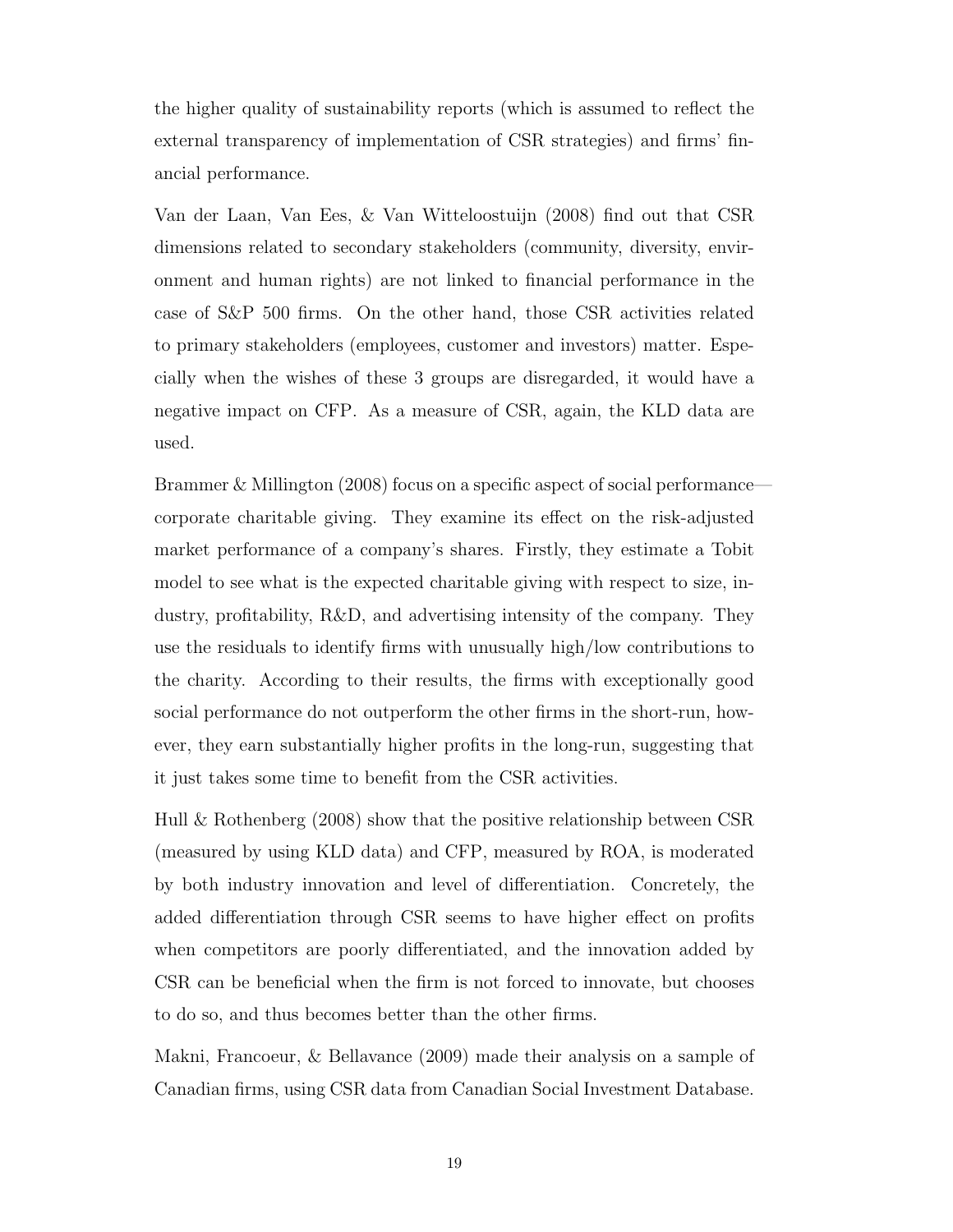the higher quality of sustainability reports (which is assumed to reflect the external transparency of implementation of [CSR](#page-11-0) strategies) and firms' financial performance.

[Van der Laan, Van Ees, & Van Witteloostuijn](#page-75-5) [\(2008\)](#page-75-5) find out that [CSR](#page-11-0) dimensions related to secondary stakeholders (community, diversity, environment and human rights) are not linked to financial performance in the case of S&P 500 firms. On the other hand, those [CSR](#page-11-0) activities related to primary stakeholders (employees, customer and investors) matter. Especially when the wishes of these 3 groups are disregarded, it would have a negative impact on [CFP.](#page-11-1) As a measure of [CSR,](#page-11-0) again, the [KLD](#page-11-10) data are used.

[Brammer & Millington](#page-72-8) [\(2008\)](#page-72-8) focus on a specific aspect of social performance corporate charitable giving. They examine its effect on the risk-adjusted market performance of a company's shares. Firstly, they estimate a Tobit model to see what is the expected charitable giving with respect to size, industry, profitability, [R&D,](#page-11-11) and advertising intensity of the company. They use the residuals to identify firms with unusually high/low contributions to the charity. According to their results, the firms with exceptionally good social performance do not outperform the other firms in the short-run, however, they earn substantially higher profits in the long-run, suggesting that it just takes some time to benefit from the [CSR](#page-11-0) activities.

[Hull & Rothenberg](#page-73-5) [\(2008\)](#page-73-5) show that the positive relationship between [CSR](#page-11-0) (measured by using [KLD](#page-11-10) data) and [CFP,](#page-11-1) measured by [ROA,](#page-11-7) is moderated by both industry innovation and level of differentiation. Concretely, the added differentiation through [CSR](#page-11-0) seems to have higher effect on profits when competitors are poorly differentiated, and the innovation added by [CSR](#page-11-0) can be beneficial when the firm is not forced to innovate, but chooses to do so, and thus becomes better than the other firms.

[Makni, Francoeur, & Bellavance](#page-74-8) [\(2009\)](#page-74-8) made their analysis on a sample of Canadian firms, using [CSR](#page-11-0) data from Canadian Social Investment Database.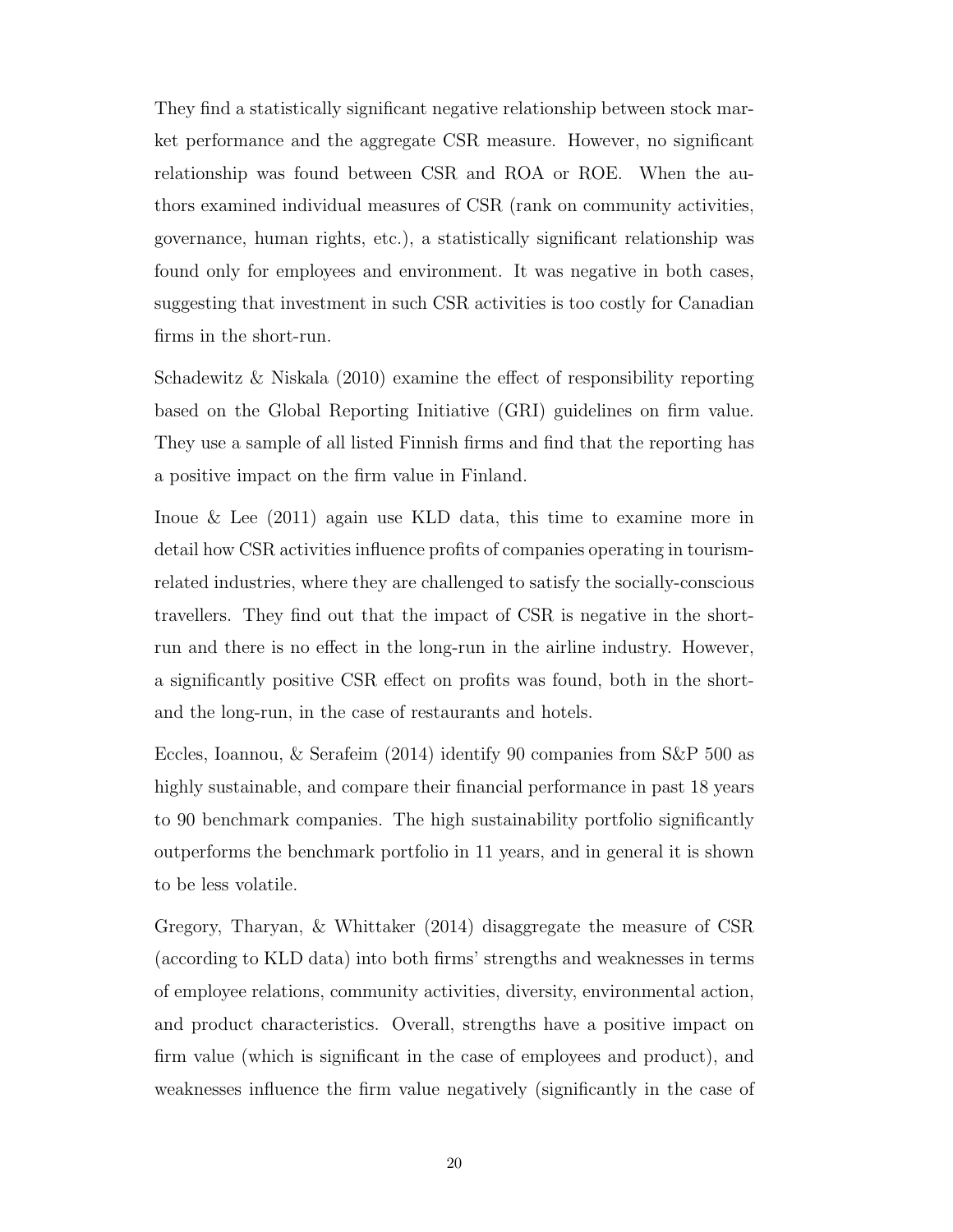They find a statistically significant negative relationship between stock market performance and the aggregate [CSR](#page-11-0) measure. However, no significant relationship was found between [CSR](#page-11-0) and [ROA](#page-11-7) or [ROE.](#page-11-8) When the authors examined individual measures of [CSR](#page-11-0) (rank on community activities, governance, human rights, etc.), a statistically significant relationship was found only for employees and environment. It was negative in both cases, suggesting that investment in such [CSR](#page-11-0) activities is too costly for Canadian firms in the short-run.

[Schadewitz & Niskala](#page-75-6) [\(2010\)](#page-75-6) examine the effect of responsibility reporting based on the Global Reporting Initiative (GRI) guidelines on firm value. They use a sample of all listed Finnish firms and find that the reporting has a positive impact on the firm value in Finland.

[Inoue & Lee](#page-74-9) [\(2011\)](#page-74-9) again use [KLD](#page-11-10) data, this time to examine more in detail how [CSR](#page-11-0) activities influence profits of companies operating in tourismrelated industries, where they are challenged to satisfy the socially-conscious travellers. They find out that the impact of [CSR](#page-11-0) is negative in the shortrun and there is no effect in the long-run in the airline industry. However, a significantly positive [CSR](#page-11-0) effect on profits was found, both in the shortand the long-run, in the case of restaurants and hotels.

[Eccles, Ioannou, & Serafeim](#page-73-6) [\(2014\)](#page-73-6) identify 90 companies from [S&P](#page-11-4) 500 as highly sustainable, and compare their financial performance in past 18 years to 90 benchmark companies. The high sustainability portfolio significantly outperforms the benchmark portfolio in 11 years, and in general it is shown to be less volatile.

[Gregory, Tharyan, & Whittaker](#page-73-7) [\(2014\)](#page-73-7) disaggregate the measure of [CSR](#page-11-0) (according to [KLD](#page-11-10) data) into both firms' strengths and weaknesses in terms of employee relations, community activities, diversity, environmental action, and product characteristics. Overall, strengths have a positive impact on firm value (which is significant in the case of employees and product), and weaknesses influence the firm value negatively (significantly in the case of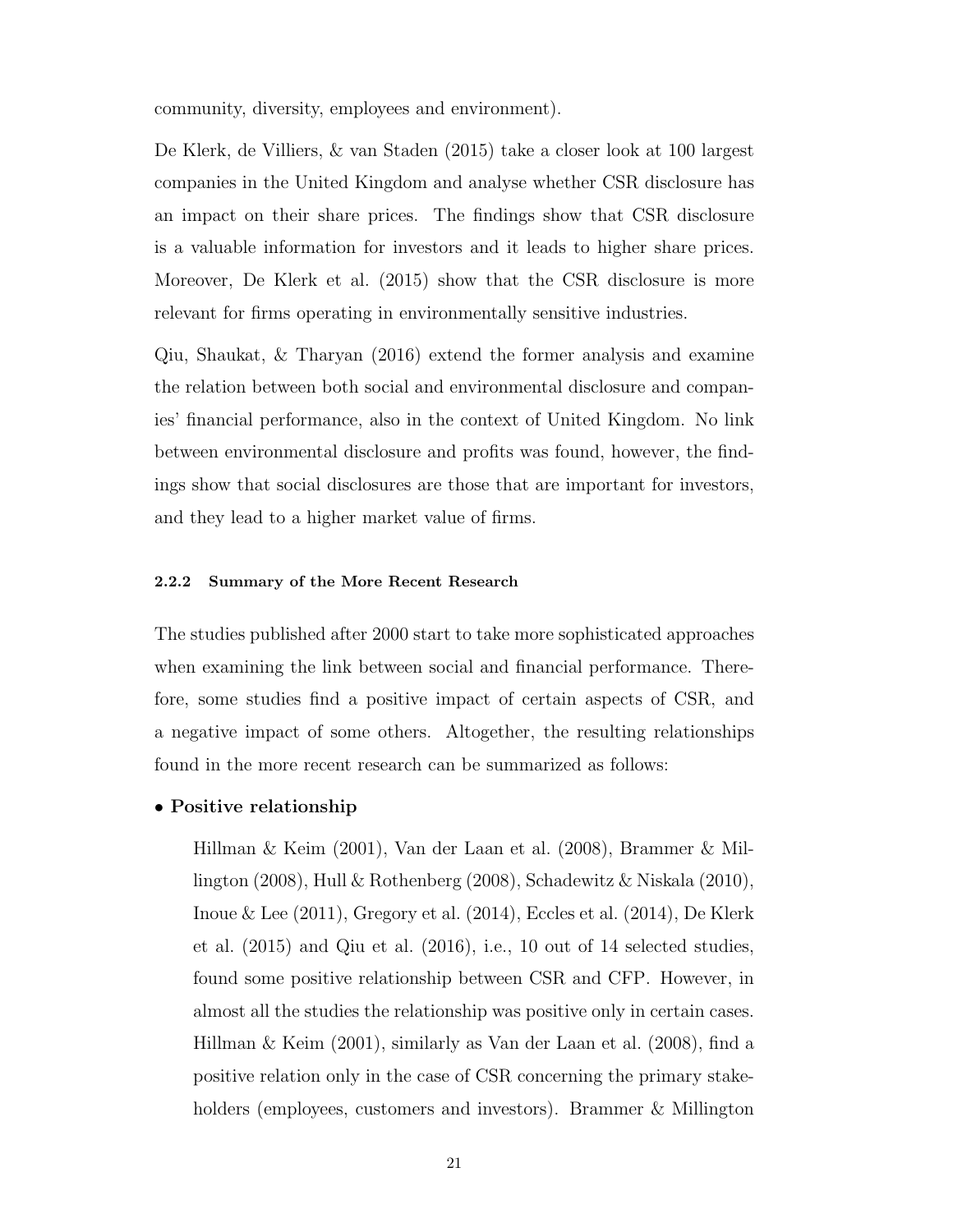community, diversity, employees and environment).

[De Klerk, de Villiers, & van Staden](#page-73-8) [\(2015\)](#page-73-8) take a closer look at 100 largest companies in the United Kingdom and analyse whether [CSR](#page-11-0) disclosure has an impact on their share prices. The findings show that [CSR](#page-11-0) disclosure is a valuable information for investors and it leads to higher share prices. Moreover, [De Klerk et al.](#page-73-8) [\(2015\)](#page-73-8) show that the [CSR](#page-11-0) disclosure is more relevant for firms operating in environmentally sensitive industries.

[Qiu, Shaukat, & Tharyan](#page-75-7) [\(2016\)](#page-75-7) extend the former analysis and examine the relation between both social and environmental disclosure and companies' financial performance, also in the context of United Kingdom. No link between environmental disclosure and profits was found, however, the findings show that social disclosures are those that are important for investors, and they lead to a higher market value of firms.

#### <span id="page-35-0"></span>2.2.2 Summary of the More Recent Research

The studies published after 2000 start to take more sophisticated approaches when examining the link between social and financial performance. Therefore, some studies find a positive impact of certain aspects of [CSR,](#page-11-0) and a negative impact of some others. Altogether, the resulting relationships found in the more recent research can be summarized as follows:

#### $\bullet$  Positive relationship

[Hillman & Keim](#page-73-4) [\(2001\)](#page-73-4), [Van der Laan et al.](#page-75-5) [\(2008\)](#page-75-5), [Brammer & Mil](#page-72-8)[lington](#page-72-8) [\(2008\)](#page-72-8), [Hull & Rothenberg](#page-73-5) [\(2008\)](#page-73-5), [Schadewitz & Niskala](#page-75-6) [\(2010\)](#page-75-6), [Inoue & Lee](#page-74-9)  $(2011)$ , [Gregory et al.](#page-73-7)  $(2014)$ , [Eccles et al.](#page-73-6)  $(2014)$ , [De Klerk](#page-73-8) [et al.](#page-73-8) [\(2015\)](#page-73-8) and [Qiu et al.](#page-75-7) [\(2016\)](#page-75-7), i.e., 10 out of 14 selected studies, found some positive relationship between [CSR](#page-11-0) and [CFP.](#page-11-1) However, in almost all the studies the relationship was positive only in certain cases. [Hillman & Keim](#page-73-4) [\(2001\)](#page-73-4), similarly as [Van der Laan et al.](#page-75-5) [\(2008\)](#page-75-5), find a positive relation only in the case of [CSR](#page-11-0) concerning the primary stake-holders (employees, customers and investors). [Brammer & Millington](#page-72-8)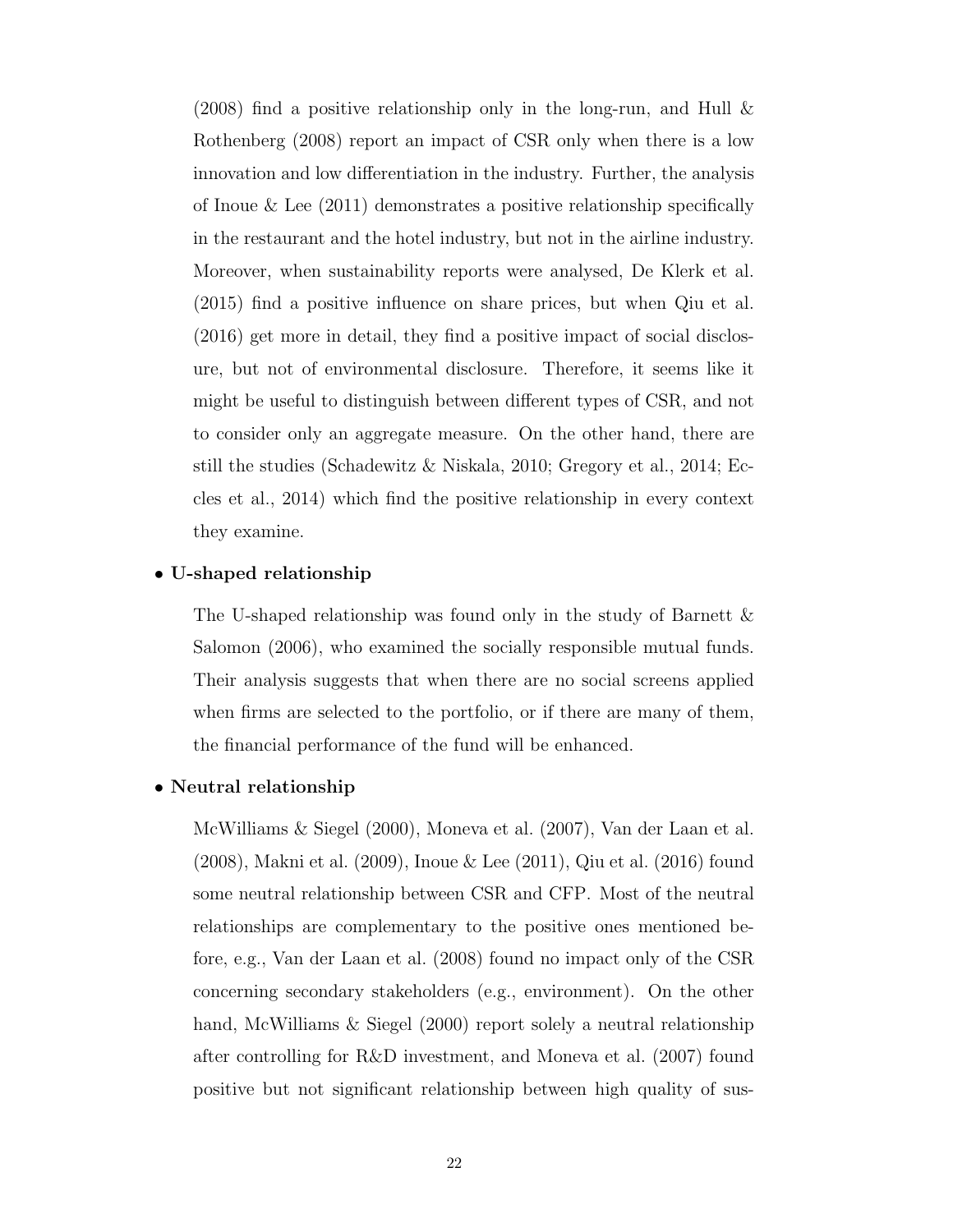$(2008)$  find a positive relationship only in the long-run, and Hull  $\&$ [Rothenberg](#page-73-0) [\(2008\)](#page-73-0) report an impact of [CSR](#page-11-0) only when there is a low innovation and low differentiation in the industry. Further, the analysis of [Inoue & Lee](#page-74-0) [\(2011\)](#page-74-0) demonstrates a positive relationship specifically in the restaurant and the hotel industry, but not in the airline industry. Moreover, when sustainability reports were analysed, [De Klerk et al.](#page-73-1) [\(2015\)](#page-73-1) find a positive influence on share prices, but when [Qiu et al.](#page-75-0) [\(2016\)](#page-75-0) get more in detail, they find a positive impact of social disclosure, but not of environmental disclosure. Therefore, it seems like it might be useful to distinguish between different types of [CSR,](#page-11-0) and not to consider only an aggregate measure. On the other hand, there are still the studies [\(Schadewitz & Niskala, 2010;](#page-75-1) [Gregory et al., 2014;](#page-73-2) [Ec](#page-73-3)[cles et al., 2014\)](#page-73-3) which find the positive relationship in every context they examine.

## $\bullet$  U-shaped relationship

The U-shaped relationship was found only in the study of [Barnett &](#page-72-1) [Salomon](#page-72-1) [\(2006\)](#page-72-1), who examined the socially responsible mutual funds. Their analysis suggests that when there are no social screens applied when firms are selected to the portfolio, or if there are many of them, the financial performance of the fund will be enhanced.

### • Neutral relationship

[McWilliams & Siegel](#page-74-1) [\(2000\)](#page-74-1), [Moneva et al.](#page-74-2) [\(2007\)](#page-74-2), [Van der Laan et al.](#page-75-2) [\(2008\)](#page-75-2), [Makni et al.](#page-74-3) [\(2009\)](#page-74-3), [Inoue & Lee](#page-74-0) [\(2011\)](#page-74-0), [Qiu et al.](#page-75-0) [\(2016\)](#page-75-0) found some neutral relationship between [CSR](#page-11-0) and [CFP.](#page-11-1) Most of the neutral relationships are complementary to the positive ones mentioned before, e.g., [Van der Laan et al.](#page-75-2) [\(2008\)](#page-75-2) found no impact only of the [CSR](#page-11-0) concerning secondary stakeholders (e.g., environment). On the other hand, [McWilliams & Siegel](#page-74-1) [\(2000\)](#page-74-1) report solely a neutral relationship after controlling for [R&D](#page-11-2) investment, and [Moneva et al.](#page-74-2) [\(2007\)](#page-74-2) found positive but not significant relationship between high quality of sus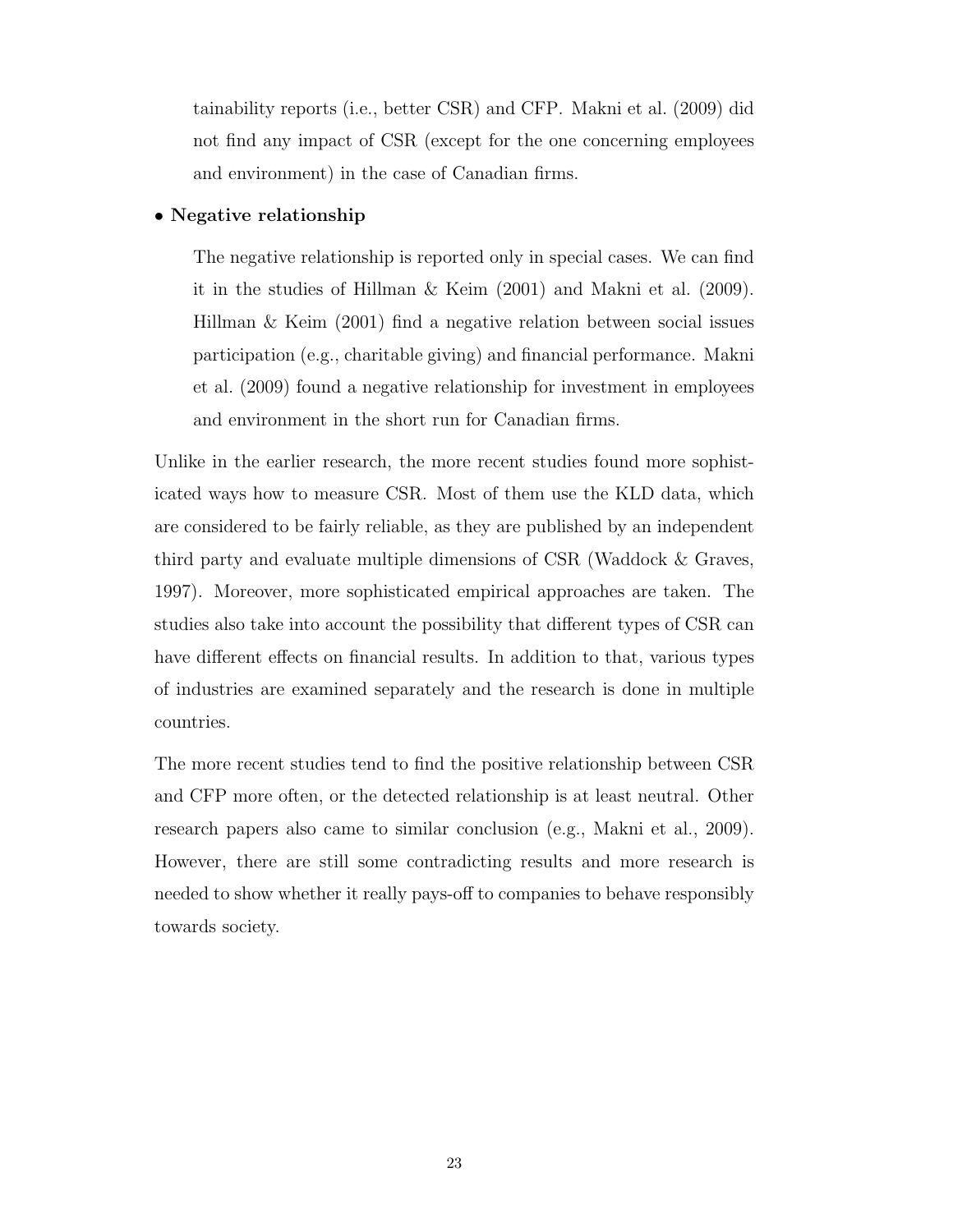tainability reports (i.e., better [CSR\)](#page-11-0) and [CFP.](#page-11-1) [Makni et al.](#page-74-3) [\(2009\)](#page-74-3) did not find any impact of [CSR](#page-11-0) (except for the one concerning employees and environment) in the case of Canadian firms.

## $\bullet$  Negative relationship

The negative relationship is reported only in special cases. We can find it in the studies of [Hillman & Keim](#page-73-4) [\(2001\)](#page-73-4) and [Makni et al.](#page-74-3) [\(2009\)](#page-74-3). [Hillman & Keim](#page-73-4) [\(2001\)](#page-73-4) find a negative relation between social issues participation (e.g., charitable giving) and financial performance. [Makni](#page-74-3) [et al.](#page-74-3) [\(2009\)](#page-74-3) found a negative relationship for investment in employees and environment in the short run for Canadian firms.

Unlike in the earlier research, the more recent studies found more sophisticated ways how to measure [CSR.](#page-11-0) Most of them use the [KLD](#page-11-3) data, which are considered to be fairly reliable, as they are published by an independent third party and evaluate multiple dimensions of [CSR](#page-11-0) [\(Waddock & Graves,](#page-75-3) [1997\)](#page-75-3). Moreover, more sophisticated empirical approaches are taken. The studies also take into account the possibility that different types of [CSR](#page-11-0) can have different effects on financial results. In addition to that, various types of industries are examined separately and the research is done in multiple countries.

The more recent studies tend to find the positive relationship between [CSR](#page-11-0) and [CFP](#page-11-1) more often, or the detected relationship is at least neutral. Other research papers also came to similar conclusion (e.g., [Makni et al., 2009\)](#page-74-3). However, there are still some contradicting results and more research is needed to show whether it really pays-off to companies to behave responsibly towards society.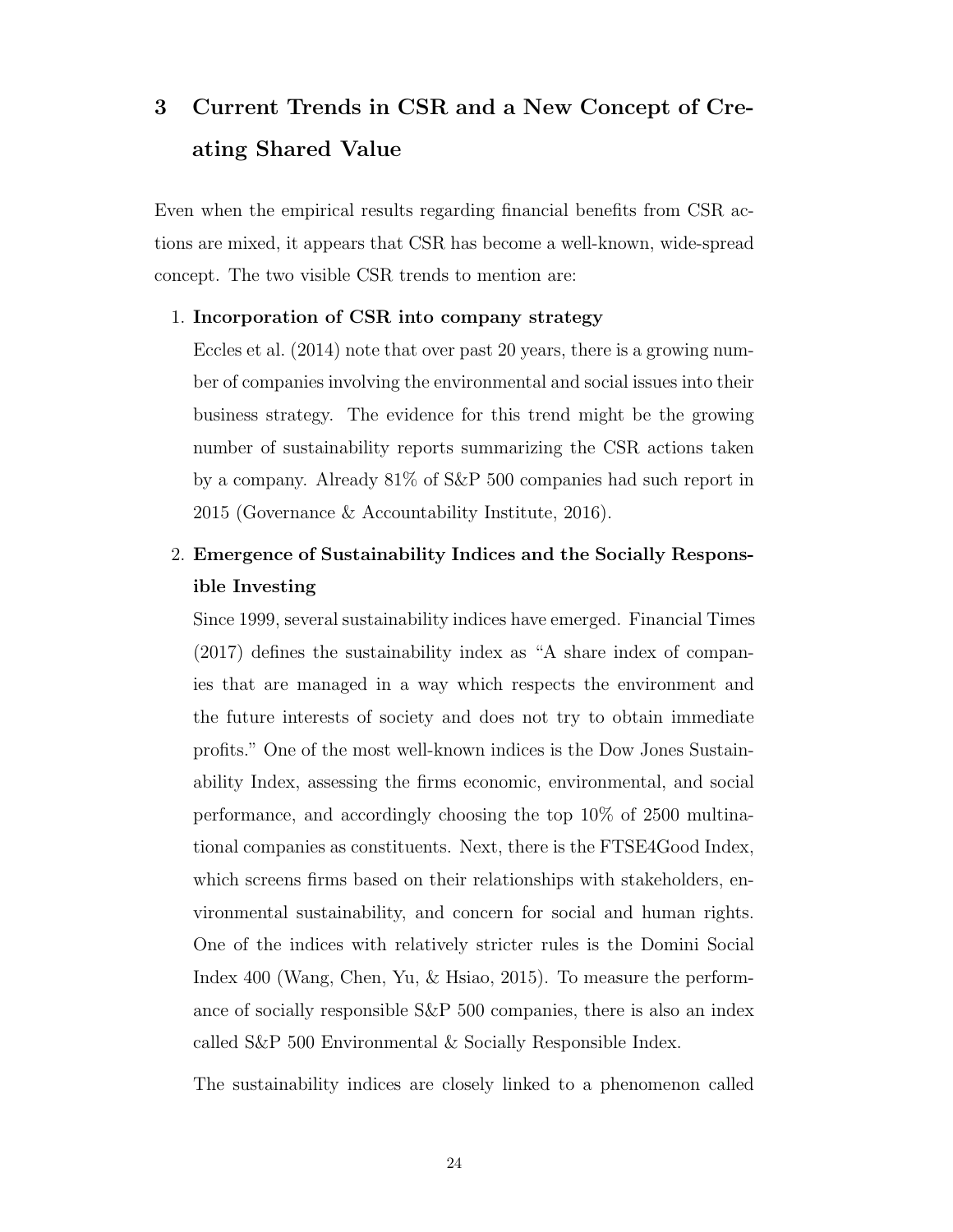# 3 Current Trends in [CSR](#page-11-0) and a New Concept of Creating Shared Value

Even when the empirical results regarding financial benefits from [CSR](#page-11-0) actions are mixed, it appears that [CSR](#page-11-0) has become a well-known, wide-spread concept. The two visible [CSR](#page-11-0) trends to mention are:

## 1. Incorporation of [CSR](#page-11-0) into company strategy

[Eccles et al.](#page-73-3) [\(2014\)](#page-73-3) note that over past 20 years, there is a growing number of companies involving the environmental and social issues into their business strategy. The evidence for this trend might be the growing number of sustainability reports summarizing the [CSR](#page-11-0) actions taken by a company. Already 81% of [S&P](#page-11-4) 500 companies had such report in 2015 [\(Governance & Accountability Institute, 2016\)](#page-73-5).

# 2. Emergence of Sustainability Indices and the Socially Responsible Investing

Since 1999, several sustainability indices have emerged. [Financial Times](#page-73-6) [\(2017\)](#page-73-6) defines the sustainability index as "A share index of companies that are managed in a way which respects the environment and the future interests of society and does not try to obtain immediate profits." One of the most well-known indices is the Dow Jones Sustainability Index, assessing the firms economic, environmental, and social performance, and accordingly choosing the top 10% of 2500 multinational companies as constituents. Next, there is the FTSE4Good Index, which screens firms based on their relationships with stakeholders, environmental sustainability, and concern for social and human rights. One of the indices with relatively stricter rules is the Domini Social Index 400 [\(Wang, Chen, Yu, & Hsiao, 2015\)](#page-75-4). To measure the performance of socially responsible [S&P](#page-11-4) 500 companies, there is also an index called [S&P](#page-11-4) 500 Environmental & Socially Responsible Index.

The sustainability indices are closely linked to a phenomenon called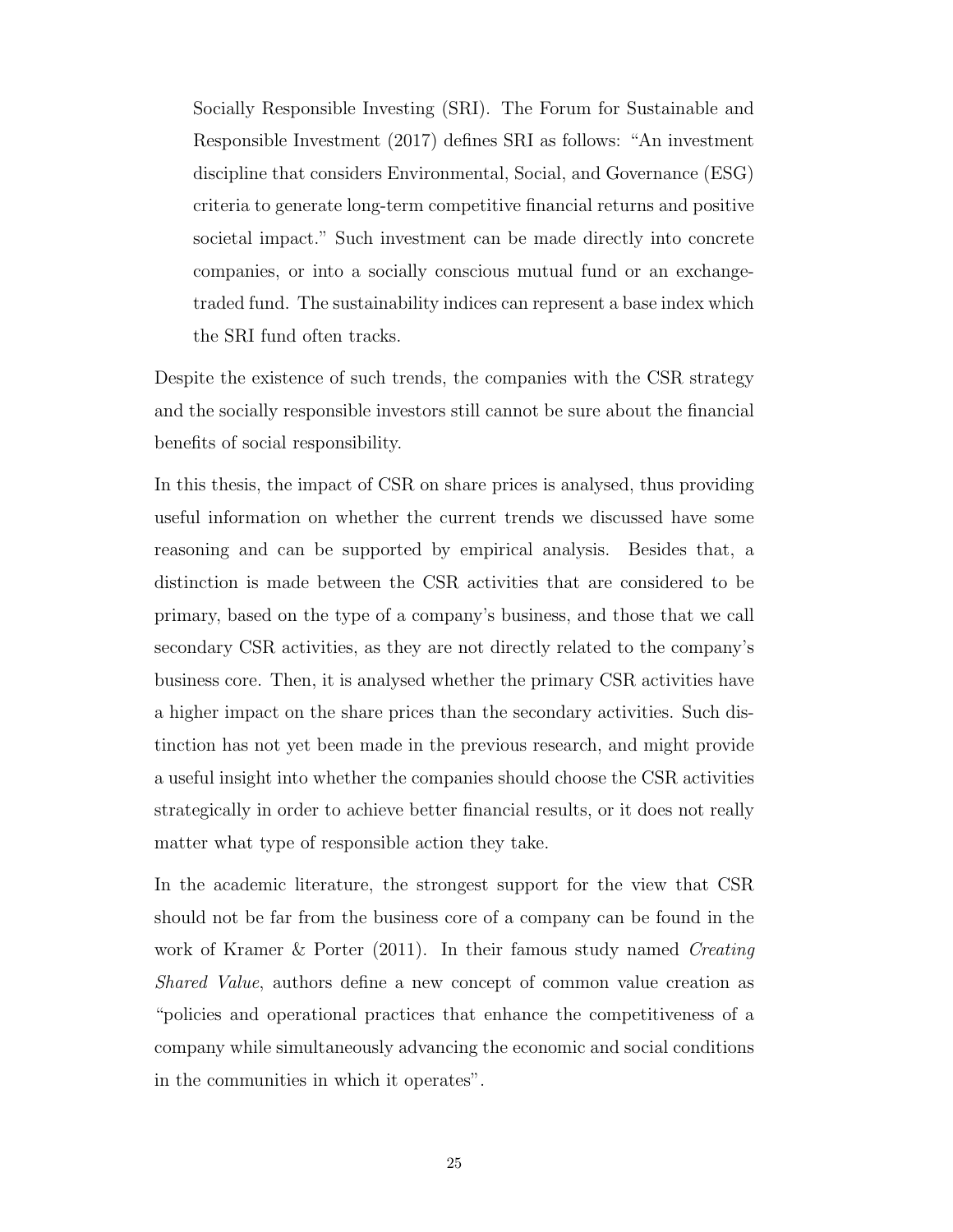Socially Responsible Investing [\(SRI\)](#page-11-5). [The Forum for Sustainable and](#page-75-5) [Responsible Investment](#page-75-5) [\(2017\)](#page-75-5) defines [SRI](#page-11-5) as follows: "An investment discipline that considers Environmental, Social, and Governance [\(ESG\)](#page-11-6) criteria to generate long-term competitive financial returns and positive societal impact." Such investment can be made directly into concrete companies, or into a socially conscious mutual fund or an exchangetraded fund. The sustainability indices can represent a base index which the [SRI](#page-11-5) fund often tracks.

Despite the existence of such trends, the companies with the [CSR](#page-11-0) strategy and the socially responsible investors still cannot be sure about the financial benefits of social responsibility.

In this thesis, the impact of [CSR](#page-11-0) on share prices is analysed, thus providing useful information on whether the current trends we discussed have some reasoning and can be supported by empirical analysis. Besides that, a distinction is made between the [CSR](#page-11-0) activities that are considered to be primary, based on the type of a company's business, and those that we call secondary [CSR](#page-11-0) activities, as they are not directly related to the company's business core. Then, it is analysed whether the primary [CSR](#page-11-0) activities have a higher impact on the share prices than the secondary activities. Such distinction has not yet been made in the previous research, and might provide a useful insight into whether the companies should choose the [CSR](#page-11-0) activities strategically in order to achieve better financial results, or it does not really matter what type of responsible action they take.

In the academic literature, the strongest support for the view that [CSR](#page-11-0) should not be far from the business core of a company can be found in the work of [Kramer & Porter](#page-74-4) [\(2011\)](#page-74-4). In their famous study named Creating Shared Value, authors define a new concept of common value creation as "policies and operational practices that enhance the competitiveness of a company while simultaneously advancing the economic and social conditions in the communities in which it operates".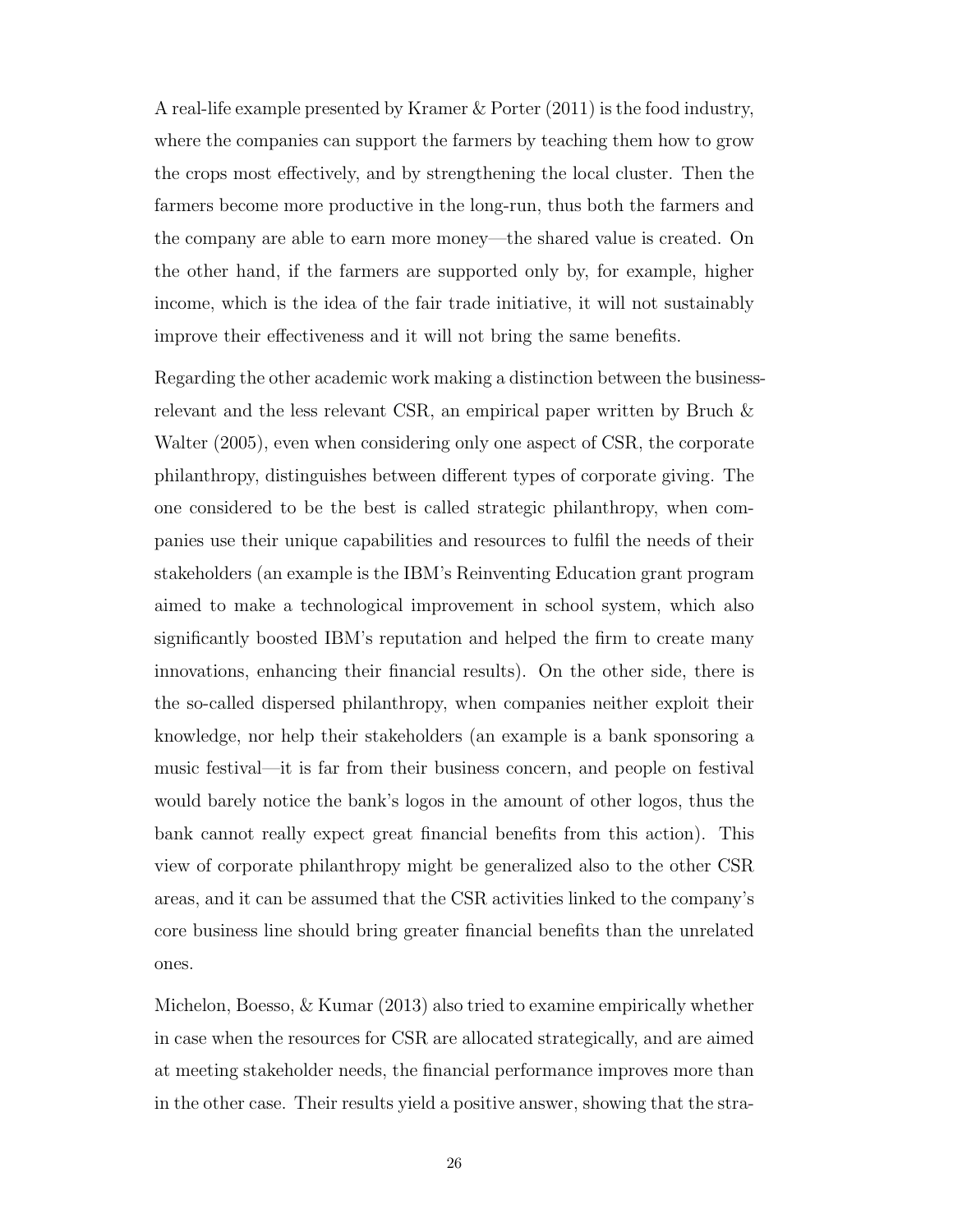A real-life example presented by [Kramer & Porter](#page-74-4) [\(2011\)](#page-74-4) is the food industry, where the companies can support the farmers by teaching them how to grow the crops most effectively, and by strengthening the local cluster. Then the farmers become more productive in the long-run, thus both the farmers and the company are able to earn more money—the shared value is created. On the other hand, if the farmers are supported only by, for example, higher income, which is the idea of the fair trade initiative, it will not sustainably improve their effectiveness and it will not bring the same benefits.

Regarding the other academic work making a distinction between the businessrelevant and the less relevant [CSR,](#page-11-0) an empirical paper written by [Bruch &](#page-72-2) [Walter](#page-72-2) [\(2005\)](#page-72-2), even when considering only one aspect of [CSR,](#page-11-0) the corporate philanthropy, distinguishes between different types of corporate giving. The one considered to be the best is called strategic philanthropy, when companies use their unique capabilities and resources to fulfil the needs of their stakeholders (an example is the IBM's Reinventing Education grant program aimed to make a technological improvement in school system, which also significantly boosted IBM's reputation and helped the firm to create many innovations, enhancing their financial results). On the other side, there is the so-called dispersed philanthropy, when companies neither exploit their knowledge, nor help their stakeholders (an example is a bank sponsoring a music festival—it is far from their business concern, and people on festival would barely notice the bank's logos in the amount of other logos, thus the bank cannot really expect great financial benefits from this action). This view of corporate philanthropy might be generalized also to the other [CSR](#page-11-0) areas, and it can be assumed that the [CSR](#page-11-0) activities linked to the company's core business line should bring greater financial benefits than the unrelated ones.

[Michelon, Boesso, & Kumar](#page-74-5) [\(2013\)](#page-74-5) also tried to examine empirically whether in case when the resources for [CSR](#page-11-0) are allocated strategically, and are aimed at meeting stakeholder needs, the financial performance improves more than in the other case. Their results yield a positive answer, showing that the stra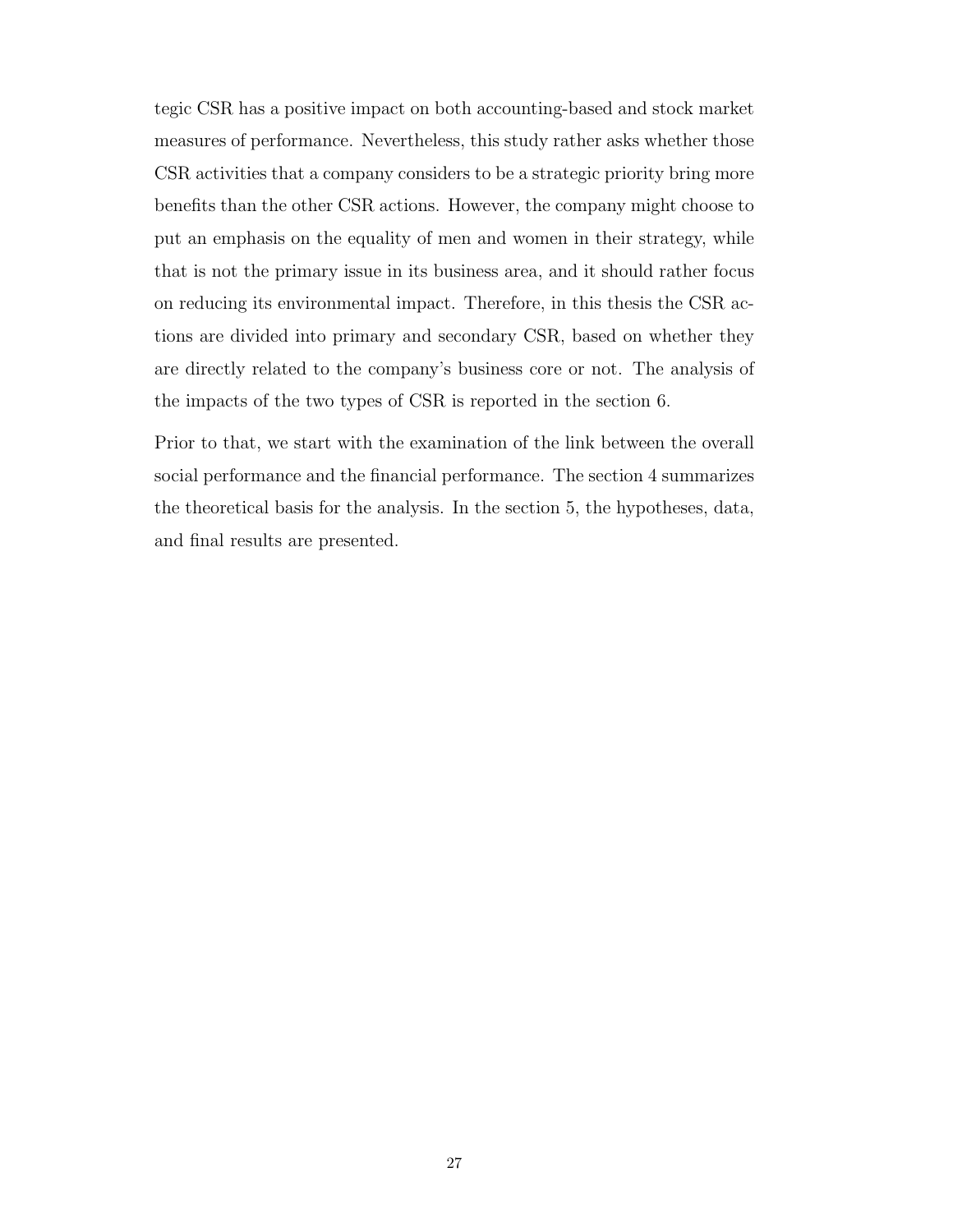tegic [CSR](#page-11-0) has a positive impact on both accounting-based and stock market measures of performance. Nevertheless, this study rather asks whether those [CSR](#page-11-0) activities that a company considers to be a strategic priority bring more benefits than the other [CSR](#page-11-0) actions. However, the company might choose to put an emphasis on the equality of men and women in their strategy, while that is not the primary issue in its business area, and it should rather focus on reducing its environmental impact. Therefore, in this thesis the [CSR](#page-11-0) actions are divided into primary and secondary [CSR,](#page-11-0) based on whether they are directly related to the company's business core or not. The analysis of the impacts of the two types of [CSR](#page-11-0) is reported in the section 6.

Prior to that, we start with the examination of the link between the overall social performance and the financial performance. The section 4 summarizes the theoretical basis for the analysis. In the section 5, the hypotheses, data, and final results are presented.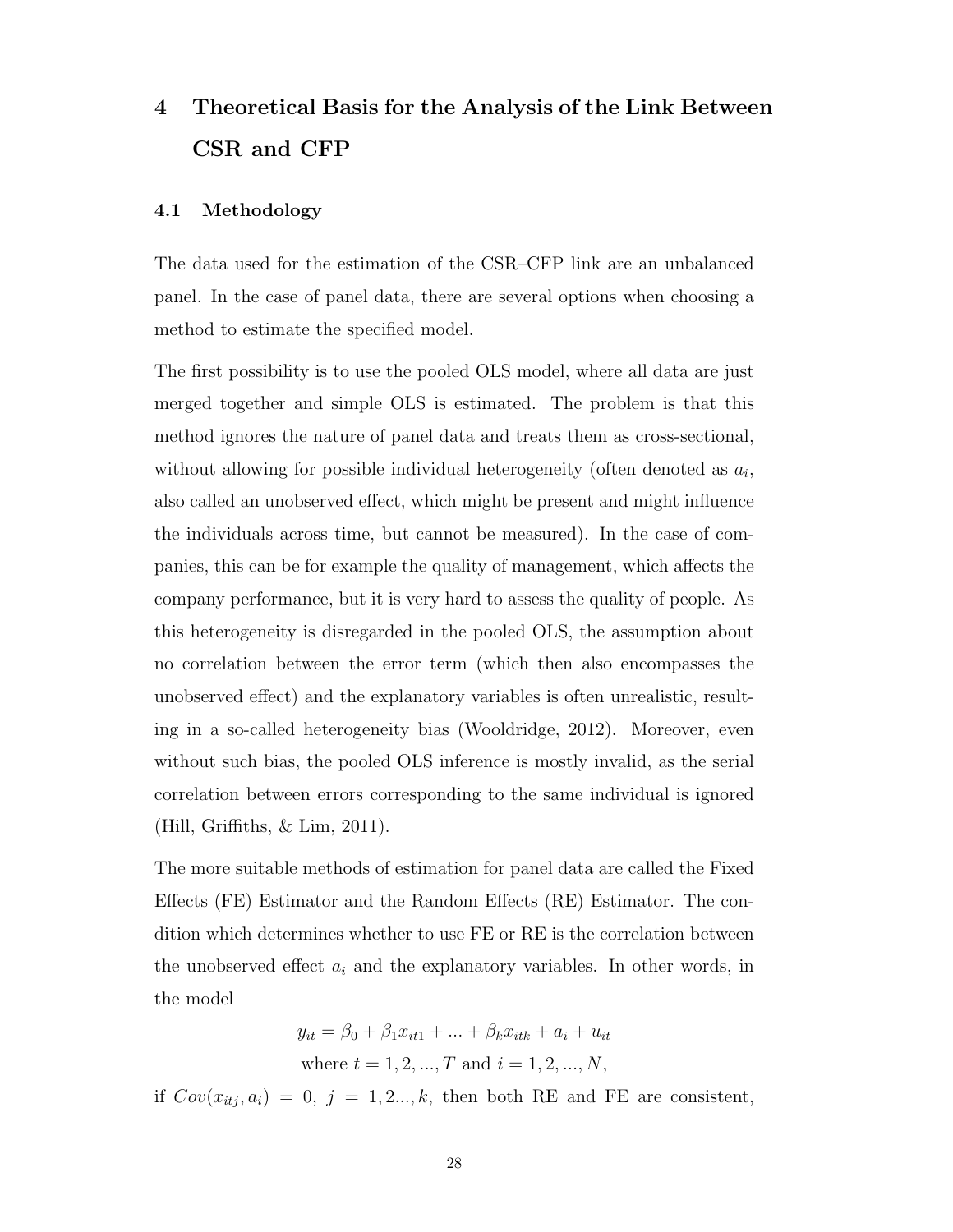# 4 Theoretical Basis for the Analysis of the Link Between [CSR](#page-11-0) and [CFP](#page-11-1)

### 4.1 Methodology

The data used for the estimation of the [CSR–](#page-11-0)[CFP](#page-11-1) link are an unbalanced panel. In the case of panel data, there are several options when choosing a method to estimate the specified model.

The first possibility is to use the pooled OLS model, where all data are just merged together and simple OLS is estimated. The problem is that this method ignores the nature of panel data and treats them as cross-sectional, without allowing for possible individual heterogeneity (often denoted as  $a_i$ , also called an unobserved effect, which might be present and might influence the individuals across time, but cannot be measured). In the case of companies, this can be for example the quality of management, which affects the company performance, but it is very hard to assess the quality of people. As this heterogeneity is disregarded in the pooled OLS, the assumption about no correlation between the error term (which then also encompasses the unobserved effect) and the explanatory variables is often unrealistic, resulting in a so-called heterogeneity bias [\(Wooldridge, 2012\)](#page-76-0). Moreover, even without such bias, the pooled OLS inference is mostly invalid, as the serial correlation between errors corresponding to the same individual is ignored [\(Hill, Griffiths, & Lim, 2011\)](#page-73-7).

The more suitable methods of estimation for panel data are called the Fixed Effects [\(FE\)](#page-11-7) Estimator and the Random Effects [\(RE\)](#page-11-8) Estimator. The condition which determines whether to use [FE](#page-11-7) or [RE](#page-11-8) is the correlation between the unobserved effect  $a_i$  and the explanatory variables. In other words, in the model

$$
y_{it} = \beta_0 + \beta_1 x_{it1} + ... + \beta_k x_{itk} + a_i + u_{it}
$$
  
where  $t = 1, 2, ..., T$  and  $i = 1, 2, ..., N$ ,

if  $Cov(x_{itj}, a_i) = 0, j = 1, 2..., k$ , then both [RE](#page-11-8) and [FE](#page-11-7) are consistent,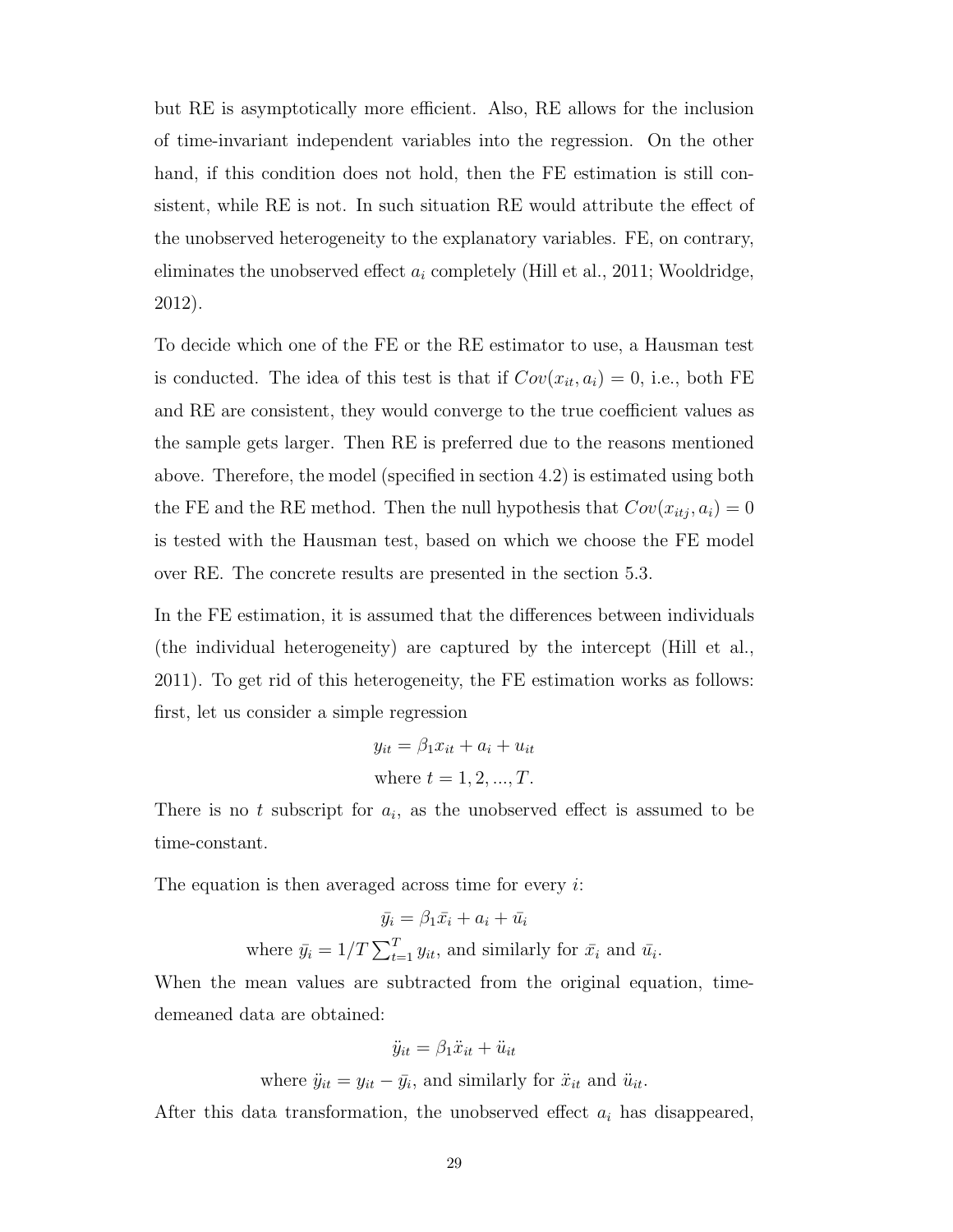but [RE](#page-11-8) is asymptotically more efficient. Also, [RE](#page-11-8) allows for the inclusion of time-invariant independent variables into the regression. On the other hand, if this condition does not hold, then the [FE](#page-11-7) estimation is still consistent, while [RE](#page-11-8) is not. In such situation [RE](#page-11-8) would attribute the effect of the unobserved heterogeneity to the explanatory variables. [FE,](#page-11-7) on contrary, eliminates the unobserved effect  $a_i$  completely [\(Hill et al., 2011;](#page-73-7) [Wooldridge,](#page-76-0) [2012\)](#page-76-0).

To decide which one of the [FE](#page-11-7) or the [RE](#page-11-8) estimator to use, a Hausman test is conducted. The idea of this test is that if  $Cov(x_{it}, a_i) = 0$ , i.e., both [FE](#page-11-7) and [RE](#page-11-8) are consistent, they would converge to the true coefficient values as the sample gets larger. Then [RE](#page-11-8) is preferred due to the reasons mentioned above. Therefore, the model (specified in section 4.2) is estimated using both the [FE](#page-11-7) and the [RE](#page-11-8) method. Then the null hypothesis that  $Cov(x_{itj}, a_i) = 0$ is tested with the Hausman test, based on which we choose the [FE](#page-11-7) model over [RE.](#page-11-8) The concrete results are presented in the section 5.3.

In the [FE](#page-11-7) estimation, it is assumed that the differences between individuals (the individual heterogeneity) are captured by the intercept [\(Hill et al.,](#page-73-7) [2011\)](#page-73-7). To get rid of this heterogeneity, the [FE](#page-11-7) estimation works as follows: first, let us consider a simple regression

$$
y_{it} = \beta_1 x_{it} + a_i + u_{it}
$$
  
where  $t = 1, 2, ..., T$ .

There is no t subscript for  $a_i$ , as the unobserved effect is assumed to be time-constant.

The equation is then averaged across time for every  $i$ :

$$
\bar{y}_i = \beta_1 \bar{x}_i + a_i + \bar{u}_i
$$
  
where  $\bar{y}_i = 1/T \sum_{t=1}^T y_{it}$ , and similarly for  $\bar{x}_i$  and  $\bar{u}_i$ .

When the mean values are subtracted from the original equation, timedemeaned data are obtained:

$$
\ddot{y}_{it} = \beta_1 \ddot{x}_{it} + \ddot{u}_{it}
$$

where  $\ddot{y}_{it} = y_{it} - \bar{y}_i$ , and similarly for  $\ddot{x}_{it}$  and  $\ddot{u}_{it}$ .

After this data transformation, the unobserved effect  $a_i$  has disappeared,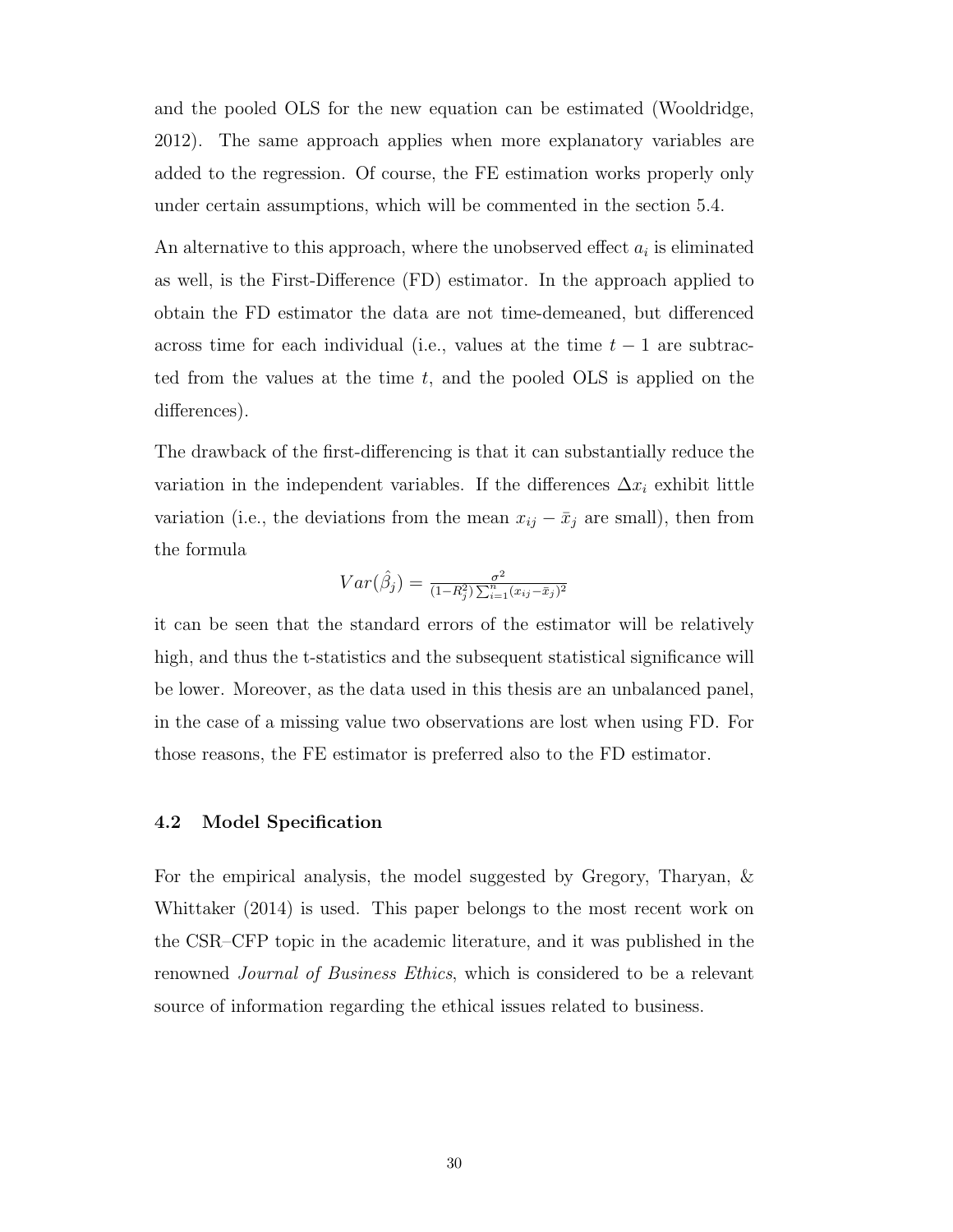and the pooled OLS for the new equation can be estimated [\(Wooldridge,](#page-76-0) [2012\)](#page-76-0). The same approach applies when more explanatory variables are added to the regression. Of course, the [FE](#page-11-7) estimation works properly only under certain assumptions, which will be commented in the section 5.4.

An alternative to this approach, where the unobserved effect  $a_i$  is eliminated as well, is the First-Difference [\(FD\)](#page-11-9) estimator. In the approach applied to obtain the [FD](#page-11-9) estimator the data are not time-demeaned, but differenced across time for each individual (i.e., values at the time  $t - 1$  are subtracted from the values at the time  $t$ , and the pooled OLS is applied on the differences).

The drawback of the first-differencing is that it can substantially reduce the variation in the independent variables. If the differences  $\Delta x_i$  exhibit little variation (i.e., the deviations from the mean  $x_{ij} - \bar{x}_j$  are small), then from the formula

$$
Var(\hat{\beta}_j) = \frac{\sigma^2}{(1 - R_j^2) \sum_{i=1}^n (x_{ij} - \bar{x}_j)^2}
$$

it can be seen that the standard errors of the estimator will be relatively high, and thus the t-statistics and the subsequent statistical significance will be lower. Moreover, as the data used in this thesis are an unbalanced panel, in the case of a missing value two observations are lost when using [FD.](#page-11-9) For those reasons, the [FE](#page-11-7) estimator is preferred also to the [FD](#page-11-9) estimator.

#### 4.2 Model Specification

For the empirical analysis, the model suggested by [Gregory, Tharyan, &](#page-73-2) [Whittaker](#page-73-2) [\(2014\)](#page-73-2) is used. This paper belongs to the most recent work on the [CSR–](#page-11-0)[CFP](#page-11-1) topic in the academic literature, and it was published in the renowned Journal of Business Ethics, which is considered to be a relevant source of information regarding the ethical issues related to business.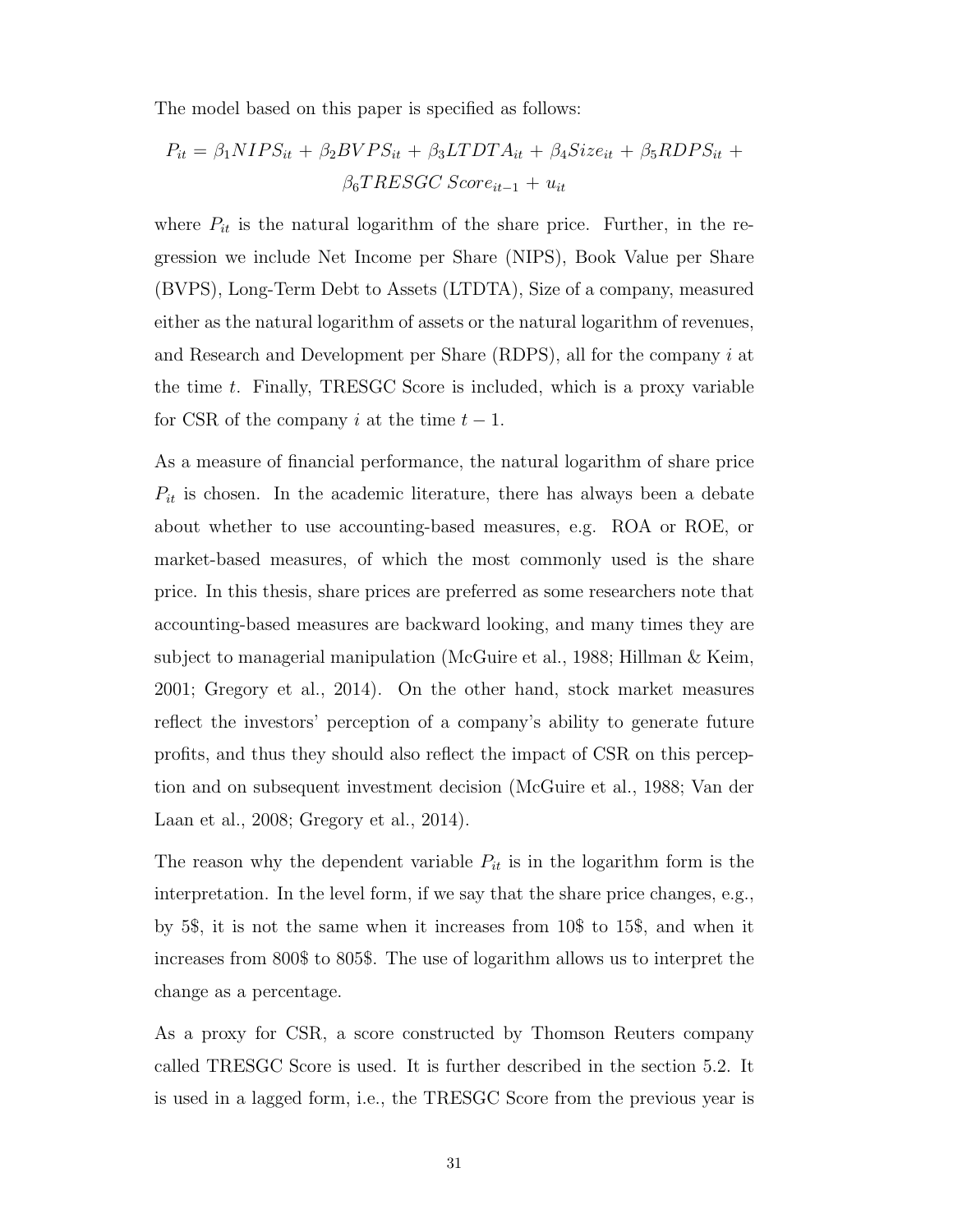The model based on this paper is specified as follows:

$$
P_{it} = \beta_1 NIPS_{it} + \beta_2 BVPS_{it} + \beta_3 LTDTA_{it} + \beta_4 Size_{it} + \beta_5 RDPS_{it} +
$$

$$
\beta_6 TRESGC\ Score_{it-1} + u_{it}
$$

where  $P_{it}$  is the natural logarithm of the share price. Further, in the regression we include Net Income per Share [\(NIPS\)](#page-11-10), Book Value per Share [\(BVPS\)](#page-11-11), Long-Term Debt to Assets [\(LTDTA\)](#page-11-12), Size of a company, measured either as the natural logarithm of assets or the natural logarithm of revenues, and Research and Development per Share  $(RDPS)$ , all for the company i at the time t. Finally, [TRESGC Score](#page-11-14) is included, which is a proxy variable for [CSR](#page-11-0) of the company i at the time  $t-1$ .

As a measure of financial performance, the natural logarithm of share price  $P_{it}$  is chosen. In the academic literature, there has always been a debate about whether to use accounting-based measures, e.g. [ROA](#page-11-15) or [ROE,](#page-11-16) or market-based measures, of which the most commonly used is the share price. In this thesis, share prices are preferred as some researchers note that accounting-based measures are backward looking, and many times they are subject to managerial manipulation [\(McGuire et al., 1988;](#page-74-6) [Hillman & Keim,](#page-73-4) [2001;](#page-73-4) [Gregory et al., 2014\)](#page-73-2). On the other hand, stock market measures reflect the investors' perception of a company's ability to generate future profits, and thus they should also reflect the impact of [CSR](#page-11-0) on this perception and on subsequent investment decision [\(McGuire et al., 1988;](#page-74-6) [Van der](#page-75-2) [Laan et al., 2008;](#page-75-2) [Gregory et al., 2014\)](#page-73-2).

The reason why the dependent variable  $P_{it}$  is in the logarithm form is the interpretation. In the level form, if we say that the share price changes, e.g., by 5\$, it is not the same when it increases from 10\$ to 15\$, and when it increases from 800\$ to 805\$. The use of logarithm allows us to interpret the change as a percentage.

As a proxy for [CSR,](#page-11-0) a score constructed by Thomson Reuters company called [TRESGC Score](#page-11-14) is used. It is further described in the section 5.2. It is used in a lagged form, i.e., the [TRESGC Score](#page-11-14) from the previous year is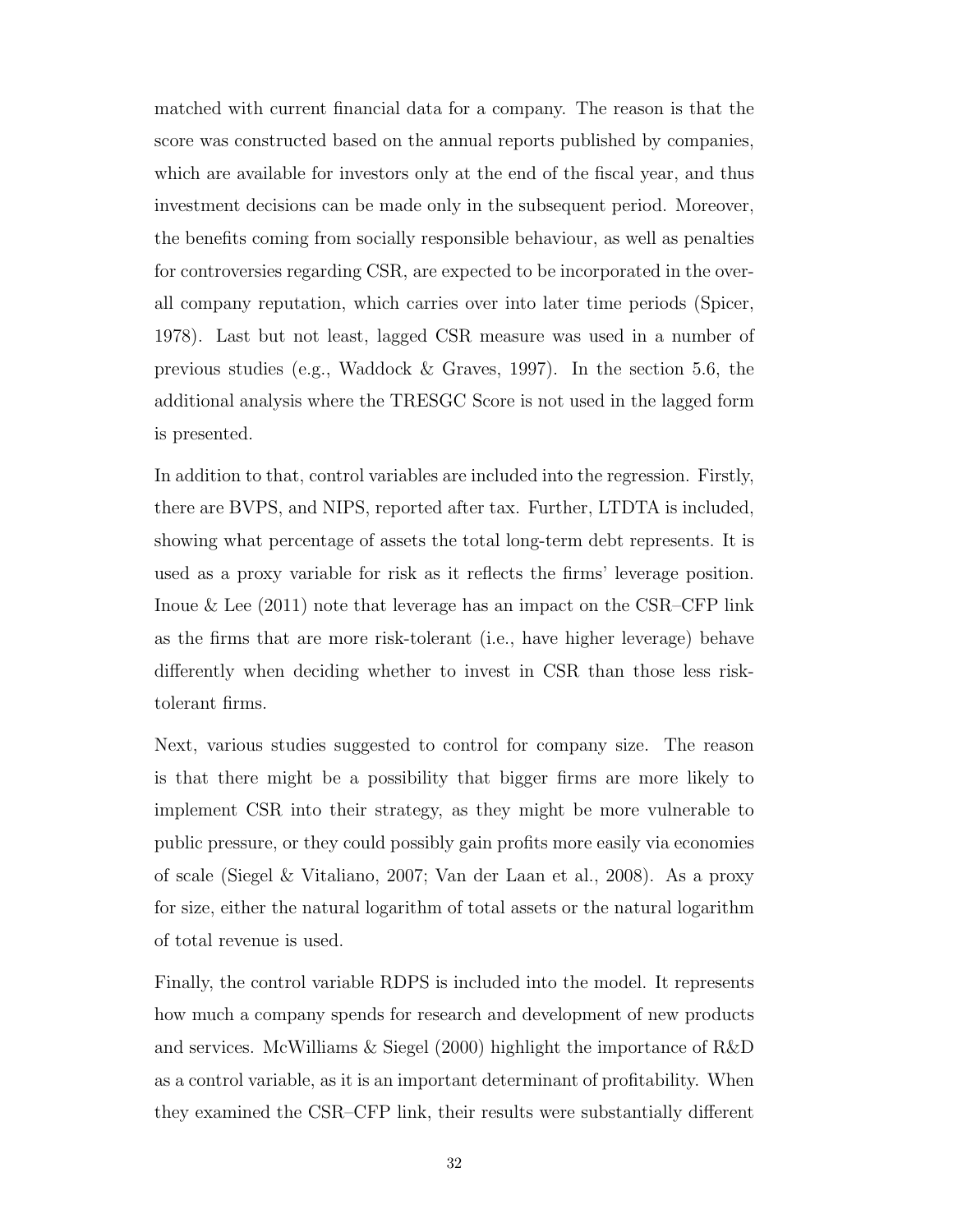matched with current financial data for a company. The reason is that the score was constructed based on the annual reports published by companies, which are available for investors only at the end of the fiscal year, and thus investment decisions can be made only in the subsequent period. Moreover, the benefits coming from socially responsible behaviour, as well as penalties for controversies regarding [CSR,](#page-11-0) are expected to be incorporated in the overall company reputation, which carries over into later time periods [\(Spicer,](#page-75-6) [1978\)](#page-75-6). Last but not least, lagged [CSR](#page-11-0) measure was used in a number of previous studies (e.g., [Waddock & Graves, 1997\)](#page-75-3). In the section 5.6, the additional analysis where the [TRESGC Score](#page-11-14) is not used in the lagged form is presented.

In addition to that, control variables are included into the regression. Firstly, there are [BVPS,](#page-11-11) and [NIPS,](#page-11-10) reported after tax. Further, [LTDTA](#page-11-12) is included, showing what percentage of assets the total long-term debt represents. It is used as a proxy variable for risk as it reflects the firms' leverage position. Inoue  $\&$  Lee [\(2011\)](#page-74-0) note that leverage has an impact on the [CSR–](#page-11-0)[CFP](#page-11-1) link as the firms that are more risk-tolerant (i.e., have higher leverage) behave differently when deciding whether to invest in [CSR](#page-11-0) than those less risktolerant firms.

Next, various studies suggested to control for company size. The reason is that there might be a possibility that bigger firms are more likely to implement [CSR](#page-11-0) into their strategy, as they might be more vulnerable to public pressure, or they could possibly gain profits more easily via economies of scale [\(Siegel & Vitaliano, 2007;](#page-75-7) [Van der Laan et al., 2008\)](#page-75-2). As a proxy for size, either the natural logarithm of total assets or the natural logarithm of total revenue is used.

Finally, the control variable [RDPS](#page-11-13) is included into the model. It represents how much a company spends for research and development of new products and services. [McWilliams & Siegel](#page-74-1) [\(2000\)](#page-74-1) highlight the importance of [R&D](#page-11-2) as a control variable, as it is an important determinant of profitability. When they examined the [CSR](#page-11-0)[–CFP](#page-11-1) link, their results were substantially different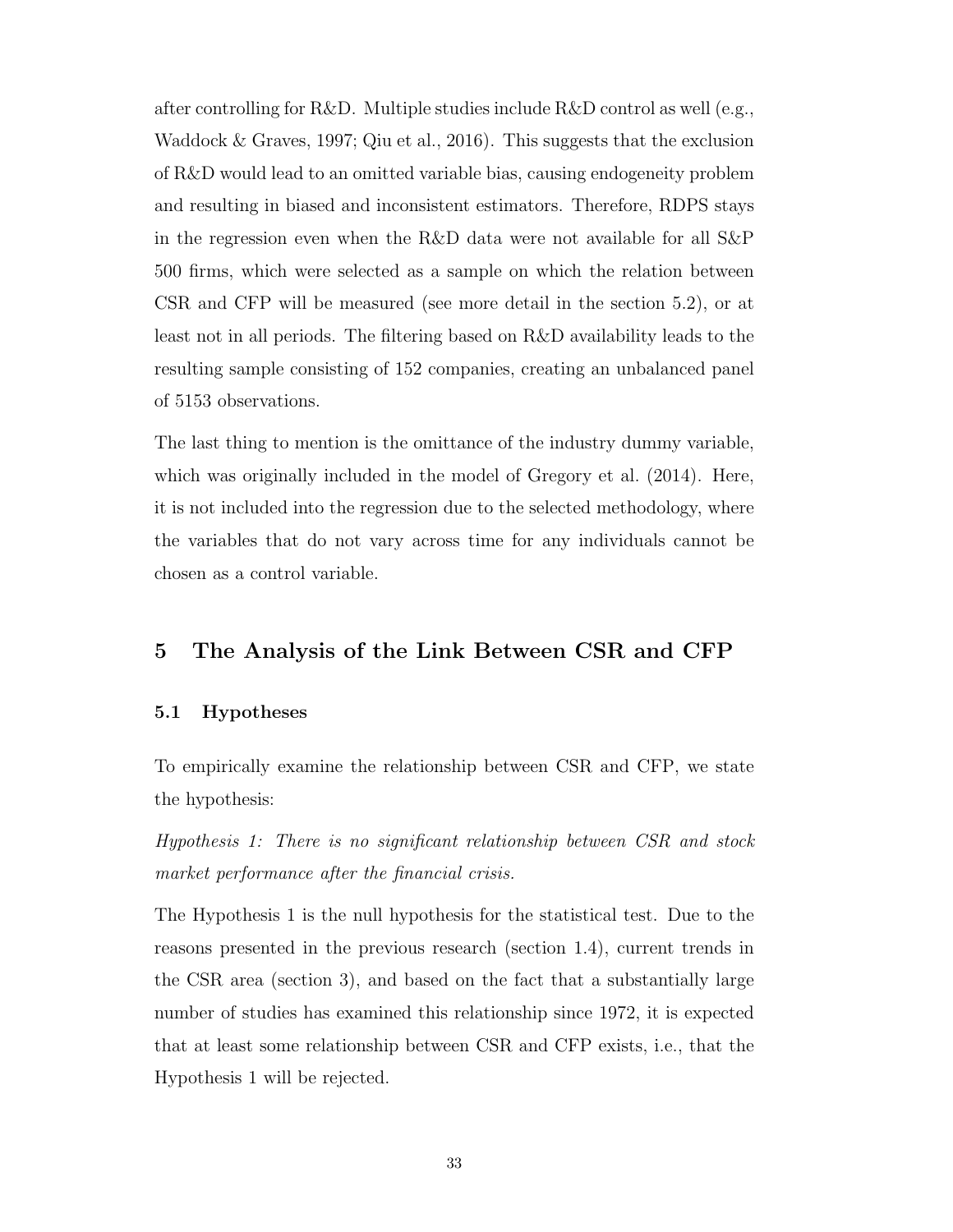after controlling for [R&D.](#page-11-2) Multiple studies include [R&D](#page-11-2) control as well (e.g., [Waddock & Graves, 1997;](#page-75-3) [Qiu et al., 2016\)](#page-75-0). This suggests that the exclusion of [R&D](#page-11-2) would lead to an omitted variable bias, causing endogeneity problem and resulting in biased and inconsistent estimators. Therefore, [RDPS](#page-11-13) stays in the regression even when the [R&D](#page-11-2) data were not available for all [S&P](#page-11-4) 500 firms, which were selected as a sample on which the relation between [CSR](#page-11-0) and [CFP](#page-11-1) will be measured (see more detail in the section 5.2), or at least not in all periods. The filtering based on [R&D](#page-11-2) availability leads to the resulting sample consisting of 152 companies, creating an unbalanced panel of 5153 observations.

The last thing to mention is the omittance of the industry dummy variable, which was originally included in the model of [Gregory et al.](#page-73-2) [\(2014\)](#page-73-2). Here, it is not included into the regression due to the selected methodology, where the variables that do not vary across time for any individuals cannot be chosen as a control variable.

## 5 The Analysis of the Link Between [CSR](#page-11-0) and [CFP](#page-11-1)

## 5.1 Hypotheses

To empirically examine the relationship between [CSR](#page-11-0) and [CFP,](#page-11-1) we state the hypothesis:

Hypothesis 1: There is no significant relationship between [CSR](#page-11-0) and stock market performance after the financial crisis.

The Hypothesis 1 is the null hypothesis for the statistical test. Due to the reasons presented in the previous research (section 1.4), current trends in the [CSR](#page-11-0) area (section 3), and based on the fact that a substantially large number of studies has examined this relationship since 1972, it is expected that at least some relationship between [CSR](#page-11-0) and [CFP](#page-11-1) exists, i.e., that the Hypothesis 1 will be rejected.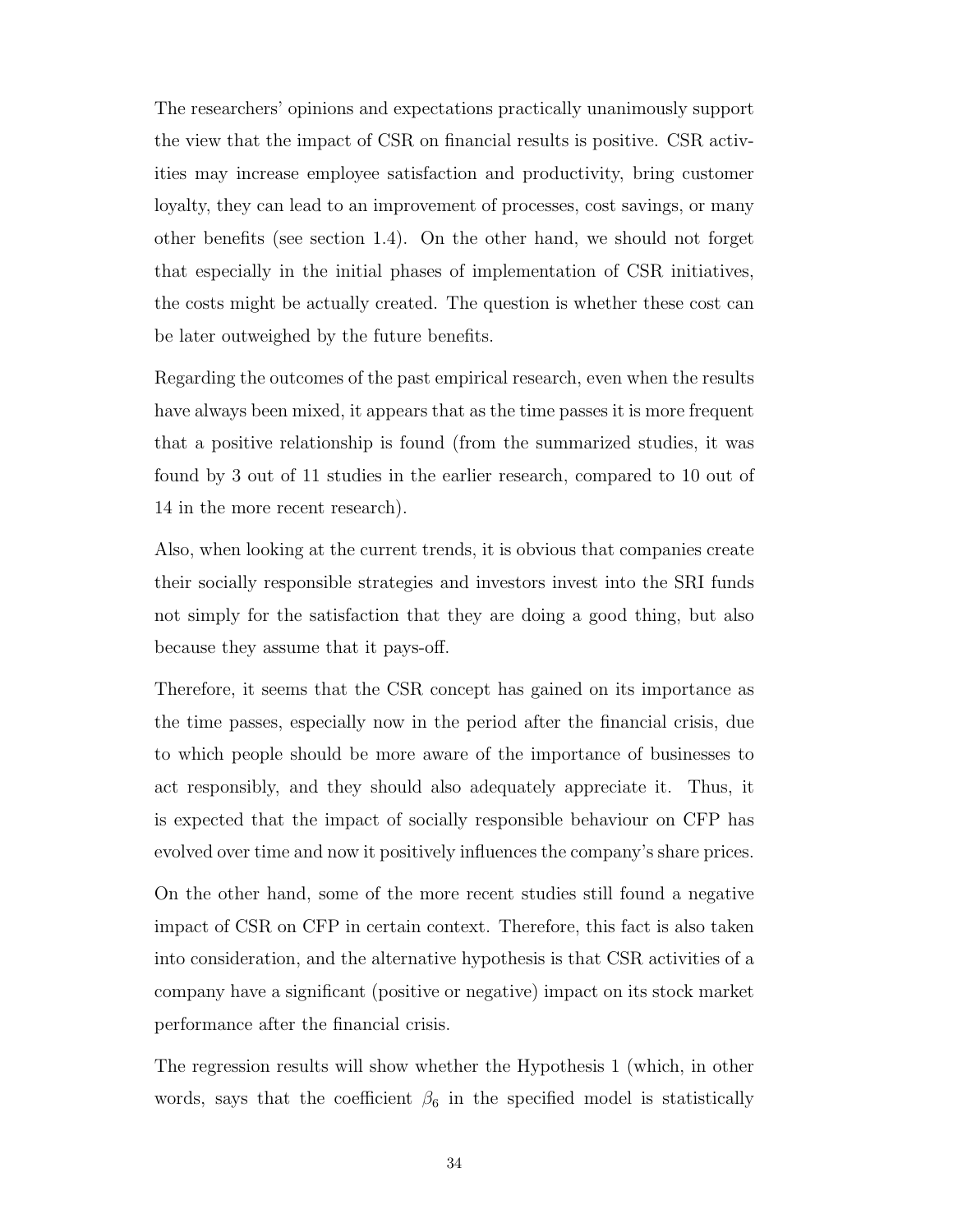The researchers' opinions and expectations practically unanimously support the view that the impact of [CSR](#page-11-0) on financial results is positive. [CSR](#page-11-0) activities may increase employee satisfaction and productivity, bring customer loyalty, they can lead to an improvement of processes, cost savings, or many other benefits (see section 1.4). On the other hand, we should not forget that especially in the initial phases of implementation of [CSR](#page-11-0) initiatives, the costs might be actually created. The question is whether these cost can be later outweighed by the future benefits.

Regarding the outcomes of the past empirical research, even when the results have always been mixed, it appears that as the time passes it is more frequent that a positive relationship is found (from the summarized studies, it was found by 3 out of 11 studies in the earlier research, compared to 10 out of 14 in the more recent research).

Also, when looking at the current trends, it is obvious that companies create their socially responsible strategies and investors invest into the [SRI](#page-11-5) funds not simply for the satisfaction that they are doing a good thing, but also because they assume that it pays-off.

Therefore, it seems that the [CSR](#page-11-0) concept has gained on its importance as the time passes, especially now in the period after the financial crisis, due to which people should be more aware of the importance of businesses to act responsibly, and they should also adequately appreciate it. Thus, it is expected that the impact of socially responsible behaviour on [CFP](#page-11-1) has evolved over time and now it positively influences the company's share prices.

On the other hand, some of the more recent studies still found a negative impact of [CSR](#page-11-0) on [CFP](#page-11-1) in certain context. Therefore, this fact is also taken into consideration, and the alternative hypothesis is that [CSR](#page-11-0) activities of a company have a significant (positive or negative) impact on its stock market performance after the financial crisis.

The regression results will show whether the Hypothesis 1 (which, in other words, says that the coefficient  $\beta_6$  in the specified model is statistically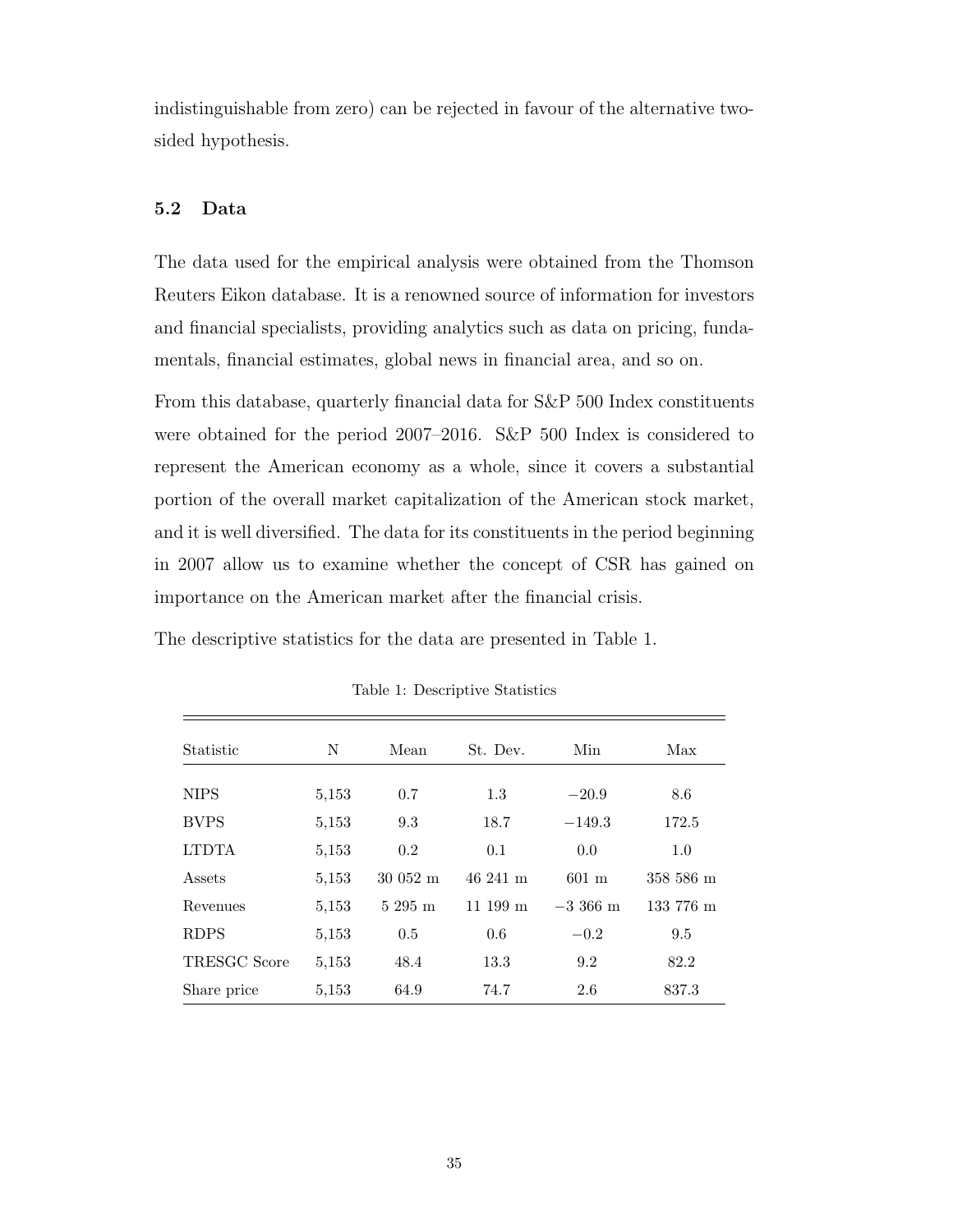indistinguishable from zero) can be rejected in favour of the alternative twosided hypothesis.

## 5.2 Data

The data used for the empirical analysis were obtained from the Thomson Reuters Eikon database. It is a renowned source of information for investors and financial specialists, providing analytics such as data on pricing, fundamentals, financial estimates, global news in financial area, and so on.

From this database, quarterly financial data for [S&P](#page-11-4) 500 Index constituents were obtained for the period 2007–2016. [S&P](#page-11-4) 500 Index is considered to represent the American economy as a whole, since it covers a substantial portion of the overall market capitalization of the American stock market, and it is well diversified. The data for its constituents in the period beginning in 2007 allow us to examine whether the concept of [CSR](#page-11-0) has gained on importance on the American market after the financial crisis.

The descriptive statistics for the data are presented in [Table 1.](#page-49-0)

| Statistic    | N     | Mean                  | St. Dev.          | Min             | Max       |
|--------------|-------|-----------------------|-------------------|-----------------|-----------|
| <b>NIPS</b>  | 5,153 | 0.7                   | 1.3               | $-20.9$         | 8.6       |
| <b>BVPS</b>  | 5,153 | 9.3                   | 18.7              | $-149.3$        | 172.5     |
| <b>LTDTA</b> | 5,153 | 0.2                   | 0.1               | 0.0             | 1.0       |
| Assets       | 5,153 | $30052 \; \mathrm{m}$ | 46 241 m          | $601 \text{ m}$ | 358 586 m |
| Revenues     | 5,153 | $5295 \; \mathrm{m}$  | $11199 \text{ m}$ | $-3.366$ m      | 133 776 m |
| <b>RDPS</b>  | 5,153 | 0.5                   | 0.6               | $-0.2$          | 9.5       |
| TRESGC Score | 5,153 | 48.4                  | 13.3              | 9.2             | 82.2      |
| Share price  | 5,153 | 64.9                  | 74.7              | 2.6             | 837.3     |

<span id="page-49-0"></span>Table 1: Descriptive Statistics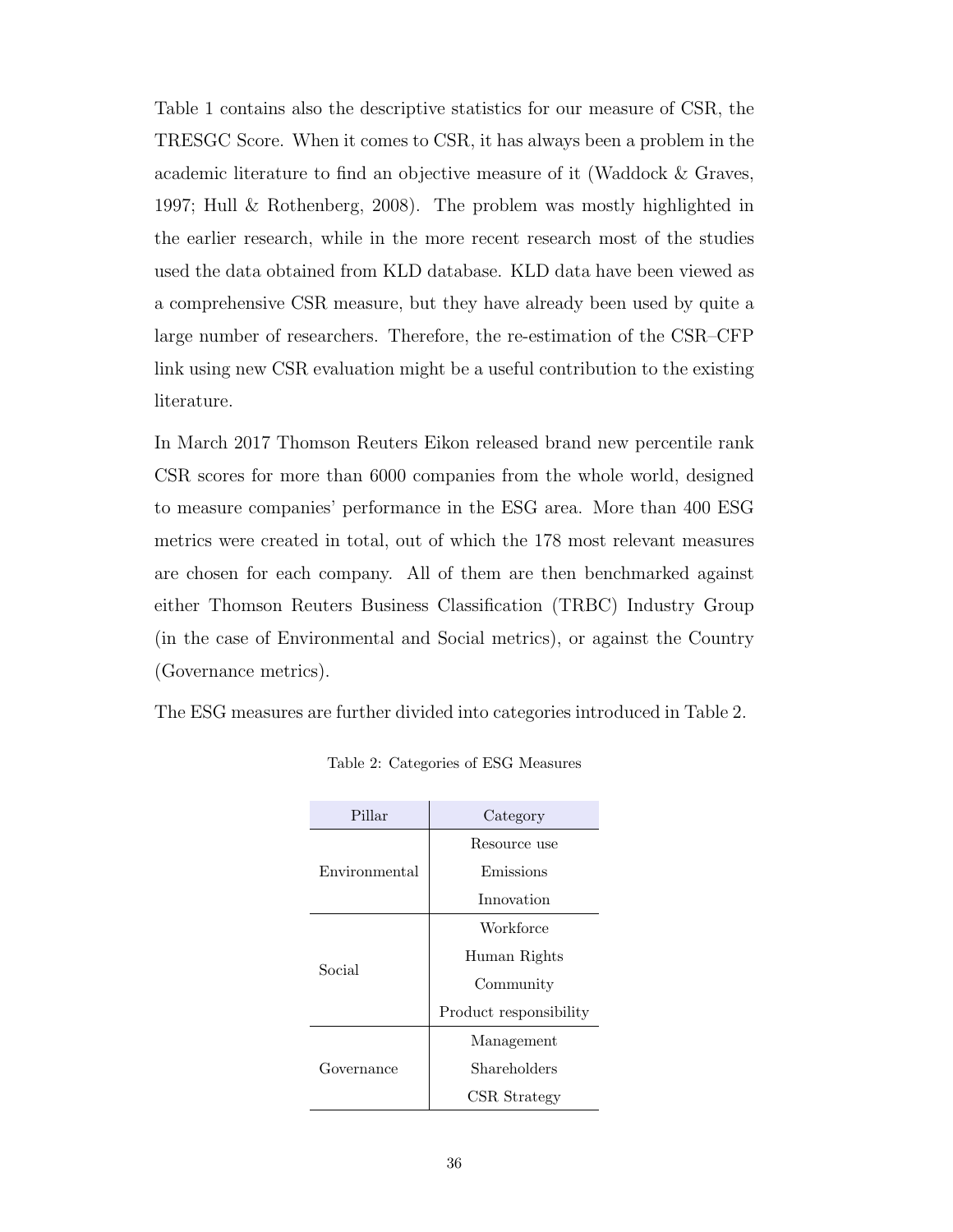[Table 1](#page-49-0) contains also the descriptive statistics for our measure of [CSR,](#page-11-0) the [TRESGC Score.](#page-11-14) When it comes to [CSR,](#page-11-0) it has always been a problem in the academic literature to find an objective measure of it [\(Waddock & Graves,](#page-75-3) [1997;](#page-75-3) [Hull & Rothenberg, 2008\)](#page-73-0). The problem was mostly highlighted in the earlier research, while in the more recent research most of the studies used the data obtained from [KLD](#page-11-3) database. [KLD](#page-11-3) data have been viewed as a comprehensive [CSR](#page-11-0) measure, but they have already been used by quite a large number of researchers. Therefore, the re-estimation of the [CSR–](#page-11-0)[CFP](#page-11-1) link using new [CSR](#page-11-0) evaluation might be a useful contribution to the existing literature.

In March 2017 Thomson Reuters Eikon released brand new percentile rank [CSR](#page-11-0) scores for more than 6000 companies from the whole world, designed to measure companies' performance in the [ESG](#page-11-6) area. More than 400 [ESG](#page-11-6) metrics were created in total, out of which the 178 most relevant measures are chosen for each company. All of them are then benchmarked against either Thomson Reuters Business Classification [\(TRBC\)](#page-11-17) Industry Group (in the case of Environmental and Social metrics), or against the Country (Governance metrics).

The [ESG](#page-11-6) measures are further divided into categories introduced in [Table 2.](#page-50-0)

| Pillar        | Category               |  |
|---------------|------------------------|--|
|               | Resource use           |  |
| Environmental | Emissions              |  |
|               | Innovation             |  |
|               | Workforce              |  |
| Social        | Human Rights           |  |
|               | Community              |  |
|               | Product responsibility |  |
|               | Management             |  |
| Governance    | Shareholders           |  |
|               | CSR Strategy           |  |

<span id="page-50-0"></span>Table 2: Categories of [ESG](#page-11-6) Measures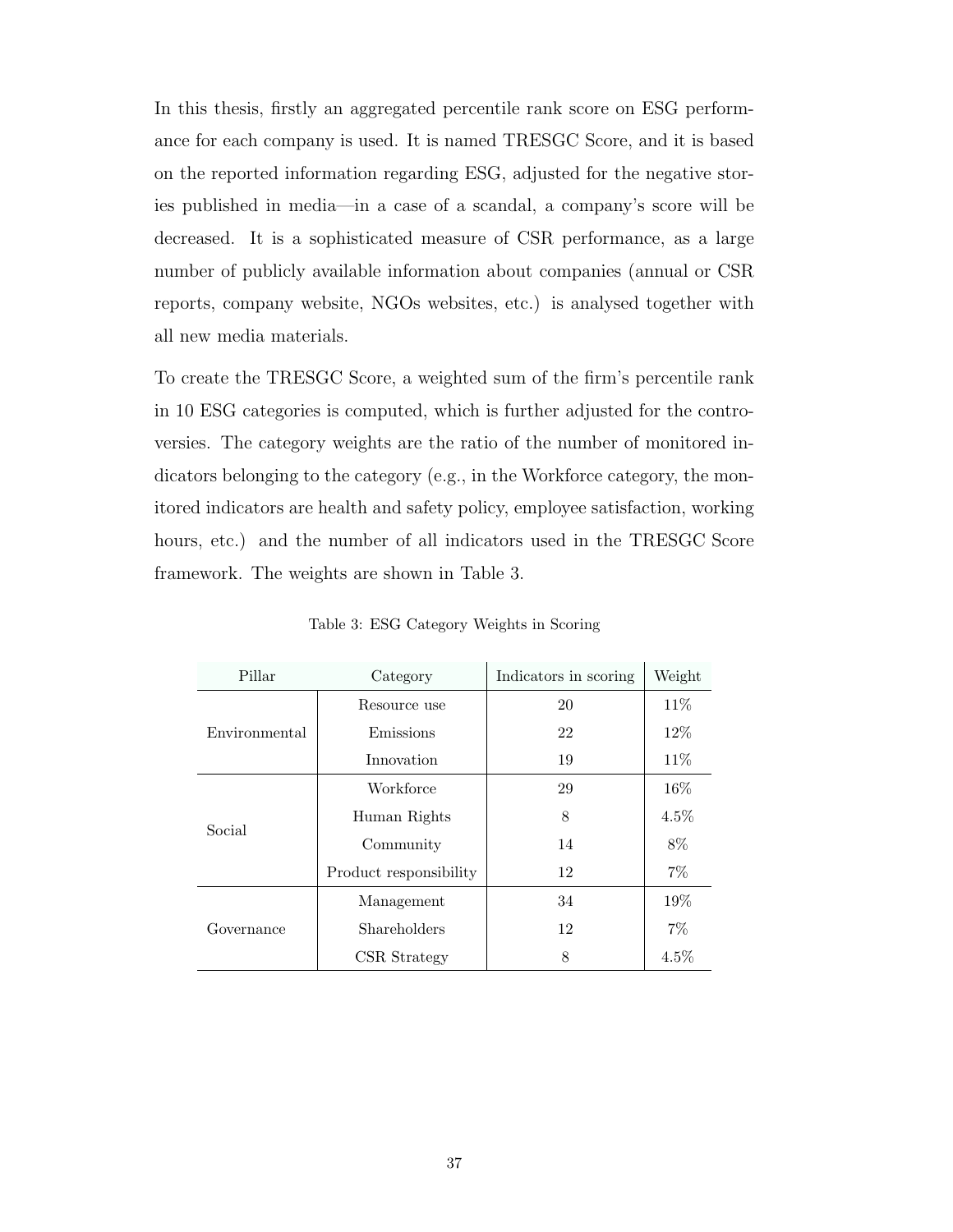In this thesis, firstly an aggregated percentile rank score on [ESG](#page-11-6) performance for each company is used. It is named [TRESGC Score,](#page-11-14) and it is based on the reported information regarding [ESG,](#page-11-6) adjusted for the negative stories published in media—in a case of a scandal, a company's score will be decreased. It is a sophisticated measure of [CSR](#page-11-0) performance, as a large number of publicly available information about companies (annual or [CSR](#page-11-0) reports, company website, [NGOs](#page-11-18) websites, etc.) is analysed together with all new media materials.

To create the [TRESGC Score,](#page-11-14) a weighted sum of the firm's percentile rank in 10 [ESG](#page-11-6) categories is computed, which is further adjusted for the controversies. The category weights are the ratio of the number of monitored indicators belonging to the category (e.g., in the Workforce category, the monitored indicators are health and safety policy, employee satisfaction, working hours, etc.) and the number of all indicators used in the [TRESGC Score](#page-11-14) framework. The weights are shown in [Table 3.](#page-51-0)

| Pillar        | Category               | Indicators in scoring | Weight  |
|---------------|------------------------|-----------------------|---------|
|               | Resource use           | 20                    | 11\%    |
| Environmental | Emissions              | 22                    | 12\%    |
|               | Innovation             | 19                    | 11%     |
|               | Workforce              | 29                    | 16%     |
|               | Human Rights           | 8                     | $4.5\%$ |
| Social        | Community              | 14                    | 8%      |
|               | Product responsibility | 12                    | $7\%$   |
|               | Management             | 34                    | 19%     |
| Governance    | Shareholders           | 12                    | $7\%$   |
|               | CSR Strategy           | 8                     | $4.5\%$ |

<span id="page-51-0"></span>Table 3: [ESG](#page-11-6) Category Weights in Scoring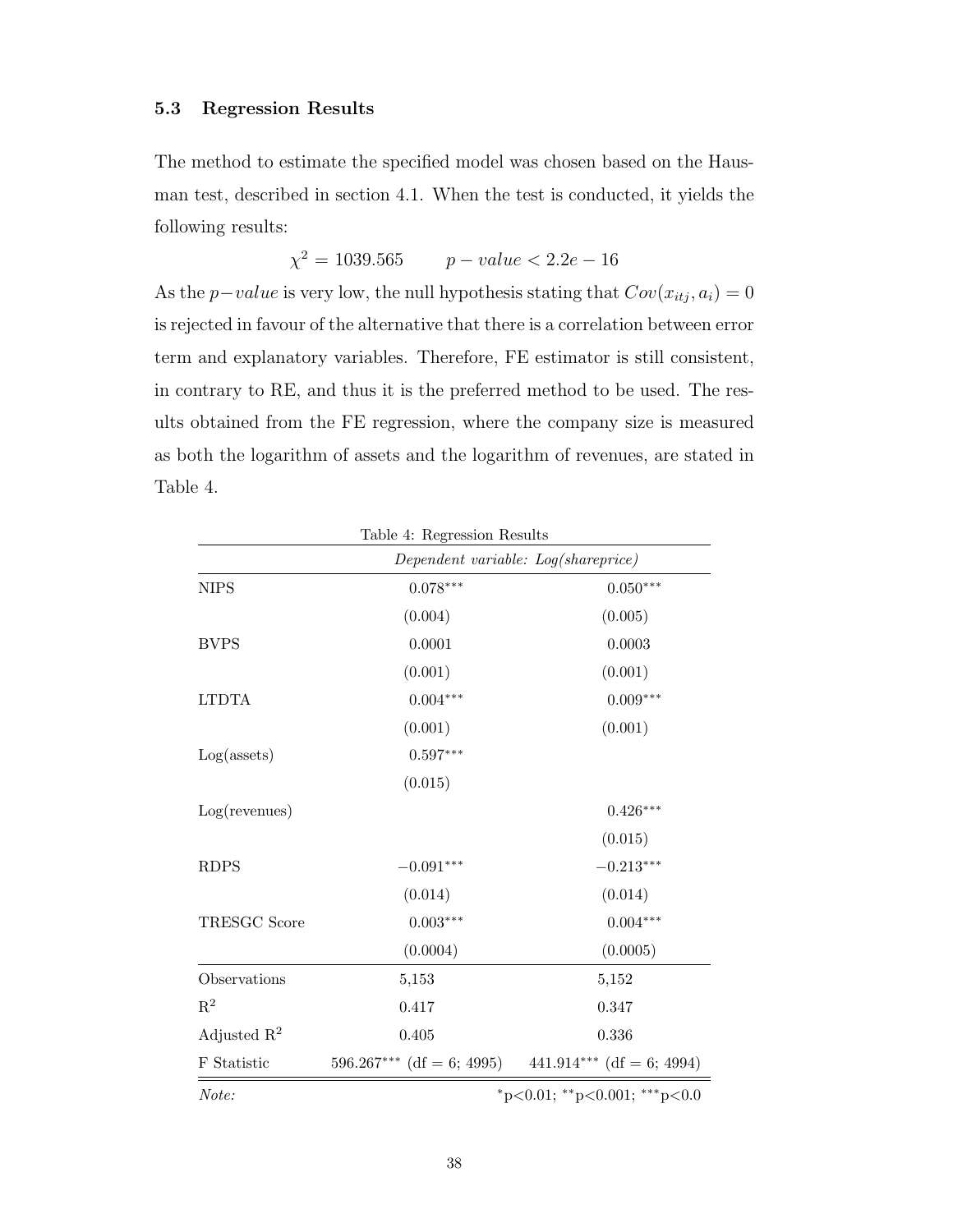## 5.3 Regression Results

The method to estimate the specified model was chosen based on the Hausman test, described in section 4.1. When the test is conducted, it yields the following results:

$$
\chi^2 = 1039.565 \qquad p-value < 2.2e - 16
$$

As the *p*−value is very low, the null hypothesis stating that  $Cov(x_{itj}, a_i) = 0$ is rejected in favour of the alternative that there is a correlation between error term and explanatory variables. Therefore, [FE](#page-11-7) estimator is still consistent, in contrary to [RE,](#page-11-8) and thus it is the preferred method to be used. The results obtained from the [FE](#page-11-7) regression, where the company size is measured as both the logarithm of assets and the logarithm of revenues, are stated in [Table 4.](#page-52-0)

<span id="page-52-0"></span>

|                         | Table 4: Regression Results |                                     |
|-------------------------|-----------------------------|-------------------------------------|
|                         |                             | Dependent variable: Log(shareprice) |
| <b>NIPS</b>             | $0.078***$                  | $0.050***$                          |
|                         | (0.004)                     | (0.005)                             |
| <b>BVPS</b>             | 0.0001                      | 0.0003                              |
|                         | (0.001)                     | (0.001)                             |
| <b>LTDTA</b>            | $0.004***$                  | $0.009***$                          |
|                         | (0.001)                     | (0.001)                             |
| $Log($ assets $)$       | $0.597***$                  |                                     |
|                         | (0.015)                     |                                     |
| Log(revenues)           |                             | $0.426***$                          |
|                         |                             | (0.015)                             |
| <b>RDPS</b>             | $-0.091***$                 | $-0.213***$                         |
|                         | (0.014)                     | (0.014)                             |
| <b>TRESGC Score</b>     | $0.003***$                  | $0.004***$                          |
|                         | (0.0004)                    | (0.0005)                            |
| Observations            | 5,153                       | 5,152                               |
| $\mathbf{R}^2$          | 0.417                       | 0.347                               |
| Adjusted $\mathbb{R}^2$ | 0.405                       | 0.336                               |
| F Statistic             | $596.267***$ (df = 6; 4995) | 441.914*** (df = 6; 4994)           |
| Note:                   |                             | *p<0.01; **p<0.001; ***p<0.0        |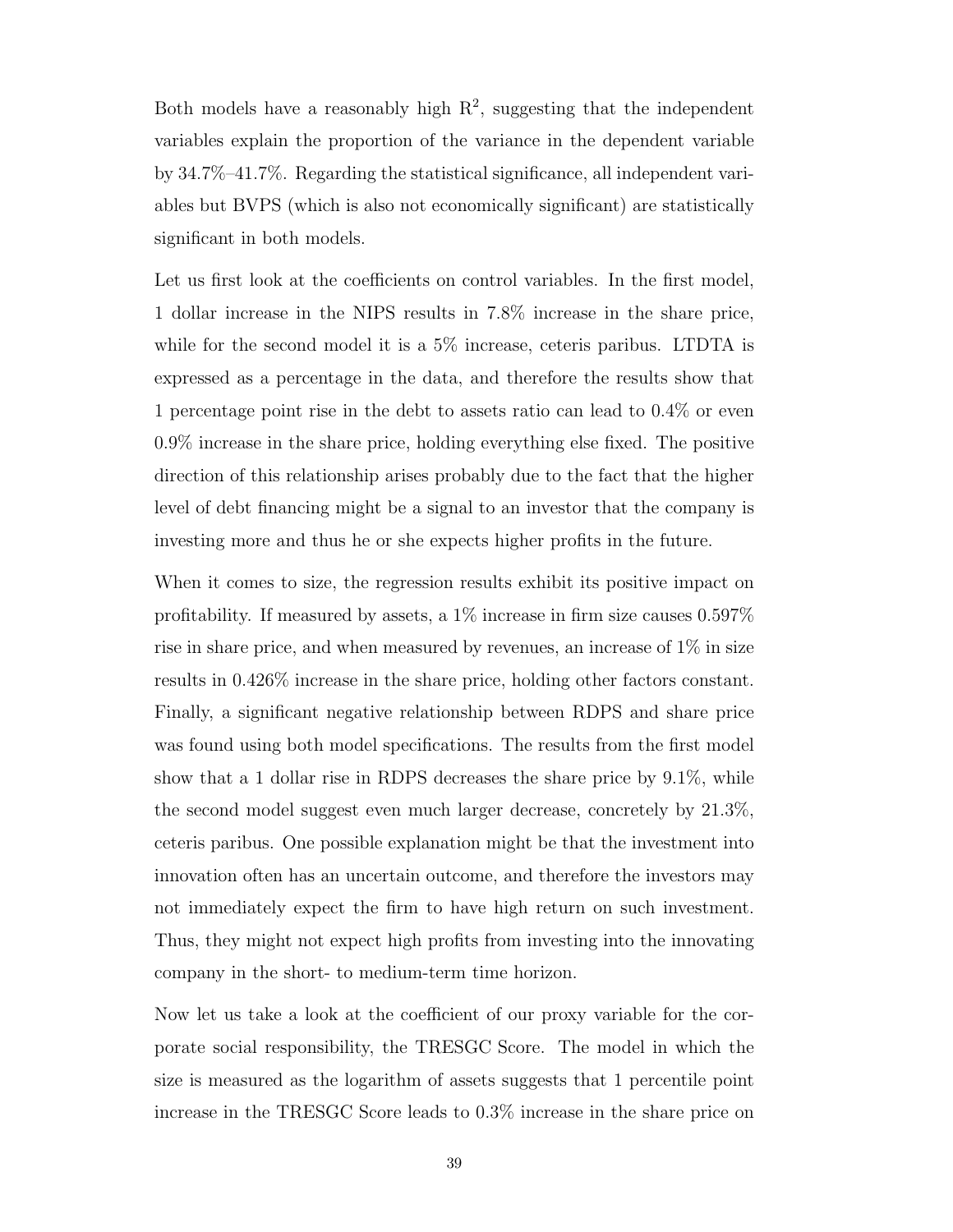Both models have a reasonably high  $R^2$ , suggesting that the independent variables explain the proportion of the variance in the dependent variable by 34.7%–41.7%. Regarding the statistical significance, all independent variables but [BVPS](#page-11-11) (which is also not economically significant) are statistically significant in both models.

Let us first look at the coefficients on control variables. In the first model, 1 dollar increase in the [NIPS](#page-11-10) results in 7.8% increase in the share price, while for the second model it is a 5% increase, ceteris paribus. [LTDTA](#page-11-12) is expressed as a percentage in the data, and therefore the results show that 1 percentage point rise in the debt to assets ratio can lead to 0.4% or even 0.9% increase in the share price, holding everything else fixed. The positive direction of this relationship arises probably due to the fact that the higher level of debt financing might be a signal to an investor that the company is investing more and thus he or she expects higher profits in the future.

When it comes to size, the regression results exhibit its positive impact on profitability. If measured by assets, a 1% increase in firm size causes 0.597% rise in share price, and when measured by revenues, an increase of 1% in size results in 0.426% increase in the share price, holding other factors constant. Finally, a significant negative relationship between [RDPS](#page-11-13) and share price was found using both model specifications. The results from the first model show that a 1 dollar rise in [RDPS](#page-11-13) decreases the share price by 9.1%, while the second model suggest even much larger decrease, concretely by 21.3%, ceteris paribus. One possible explanation might be that the investment into innovation often has an uncertain outcome, and therefore the investors may not immediately expect the firm to have high return on such investment. Thus, they might not expect high profits from investing into the innovating company in the short- to medium-term time horizon.

Now let us take a look at the coefficient of our proxy variable for the corporate social responsibility, the [TRESGC Score.](#page-11-14) The model in which the size is measured as the logarithm of assets suggests that 1 percentile point increase in the [TRESGC Score](#page-11-14) leads to 0.3% increase in the share price on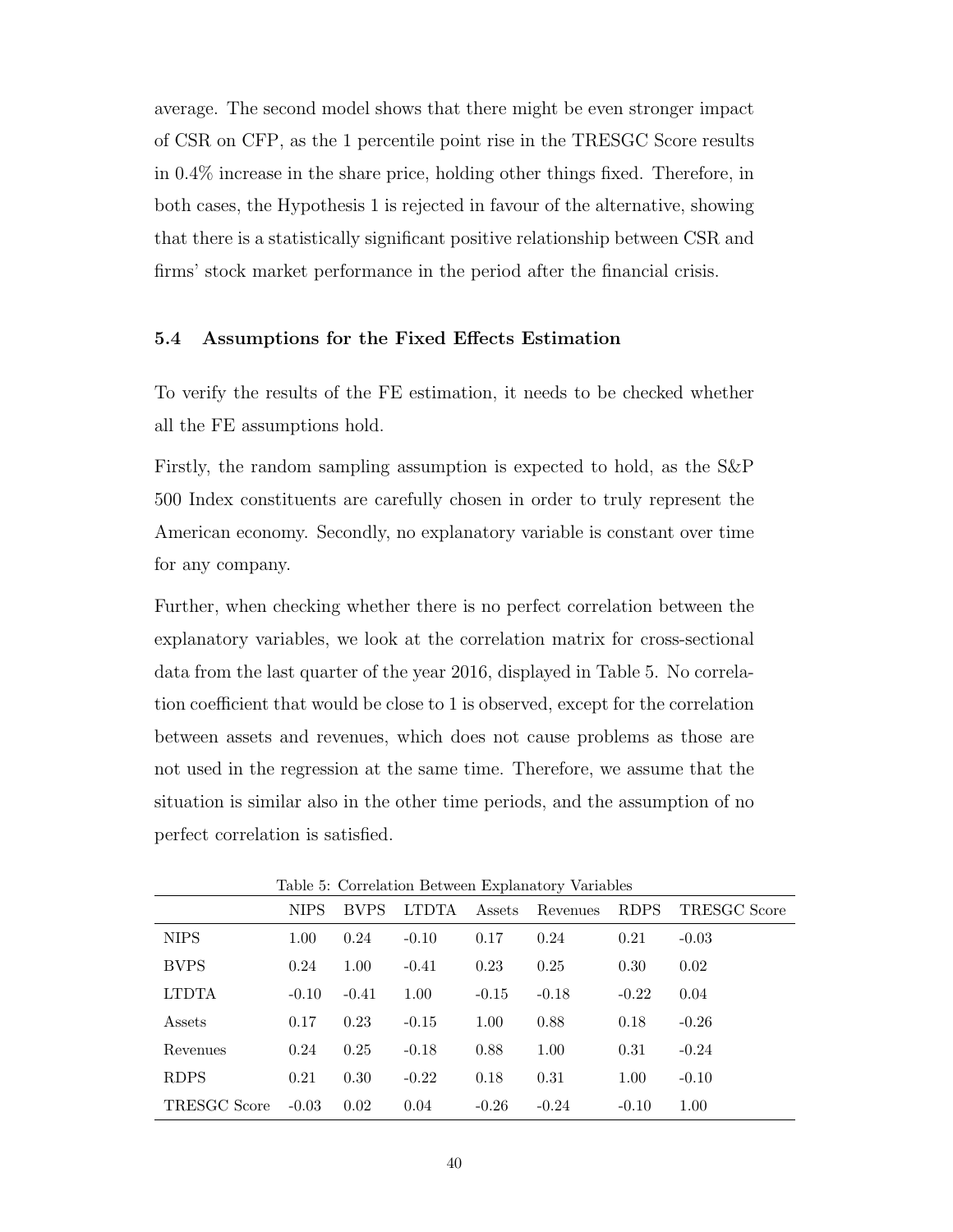average. The second model shows that there might be even stronger impact of [CSR](#page-11-0) on [CFP,](#page-11-1) as the 1 percentile point rise in the [TRESGC Score](#page-11-14) results in 0.4% increase in the share price, holding other things fixed. Therefore, in both cases, the Hypothesis 1 is rejected in favour of the alternative, showing that there is a statistically significant positive relationship between [CSR](#page-11-0) and firms' stock market performance in the period after the financial crisis.

## 5.4 Assumptions for the Fixed Effects Estimation

To verify the results of the [FE](#page-11-7) estimation, it needs to be checked whether all the [FE](#page-11-7) assumptions hold.

Firstly, the random sampling assumption is expected to hold, as the [S&P](#page-11-4) 500 Index constituents are carefully chosen in order to truly represent the American economy. Secondly, no explanatory variable is constant over time for any company.

Further, when checking whether there is no perfect correlation between the explanatory variables, we look at the correlation matrix for cross-sectional data from the last quarter of the year 2016, displayed in [Table 5.](#page-54-0) No correlation coefficient that would be close to 1 is observed, except for the correlation between assets and revenues, which does not cause problems as those are not used in the regression at the same time. Therefore, we assume that the situation is similar also in the other time periods, and the assumption of no perfect correlation is satisfied.

| Table 5: Correlation Between Explanatory variables |             |             |              |         |          |             |                     |
|----------------------------------------------------|-------------|-------------|--------------|---------|----------|-------------|---------------------|
|                                                    | <b>NIPS</b> | <b>BVPS</b> | <b>LTDTA</b> | Assets  | Revenues | <b>RDPS</b> | <b>TRESGC Score</b> |
| <b>NIPS</b>                                        | 1.00        | 0.24        | $-0.10$      | 0.17    | 0.24     | 0.21        | $-0.03$             |
| <b>BVPS</b>                                        | 0.24        | 1.00        | $-0.41$      | 0.23    | 0.25     | 0.30        | 0.02                |
| <b>LTDTA</b>                                       | $-0.10$     | $-0.41$     | 1.00         | $-0.15$ | $-0.18$  | $-0.22$     | 0.04                |
| Assets                                             | 0.17        | 0.23        | $-0.15$      | 1.00    | 0.88     | 0.18        | $-0.26$             |
| Revenues                                           | 0.24        | 0.25        | $-0.18$      | 0.88    | 1.00     | 0.31        | $-0.24$             |
| <b>RDPS</b>                                        | 0.21        | 0.30        | $-0.22$      | 0.18    | 0.31     | 1.00        | $-0.10$             |
| <b>TRESGC Score</b>                                | $-0.03$     | 0.02        | 0.04         | $-0.26$ | $-0.24$  | $-0.10$     | 1.00                |

<span id="page-54-0"></span>Table 5: Correlation Between Explanatory Variables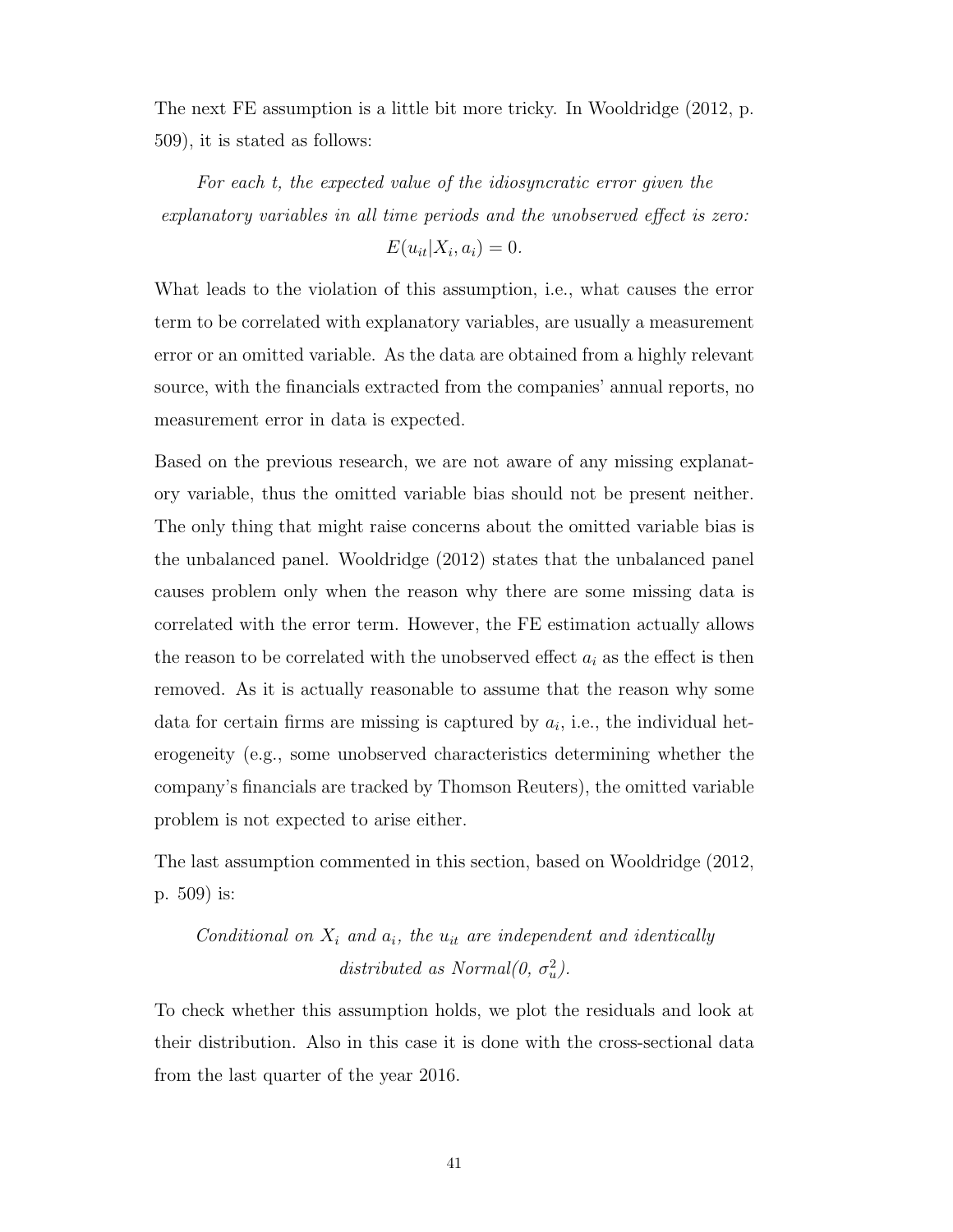The next [FE](#page-11-7) assumption is a little bit more tricky. In [Wooldridge](#page-76-0) [\(2012,](#page-76-0) p. 509), it is stated as follows:

For each t, the expected value of the idiosyncratic error given the explanatory variables in all time periods and the unobserved effect is zero:

$$
E(u_{it}|X_i, a_i) = 0.
$$

What leads to the violation of this assumption, i.e., what causes the error term to be correlated with explanatory variables, are usually a measurement error or an omitted variable. As the data are obtained from a highly relevant source, with the financials extracted from the companies' annual reports, no measurement error in data is expected.

Based on the previous research, we are not aware of any missing explanatory variable, thus the omitted variable bias should not be present neither. The only thing that might raise concerns about the omitted variable bias is the unbalanced panel. [Wooldridge](#page-76-0) [\(2012\)](#page-76-0) states that the unbalanced panel causes problem only when the reason why there are some missing data is correlated with the error term. However, the [FE](#page-11-7) estimation actually allows the reason to be correlated with the unobserved effect  $a_i$  as the effect is then removed. As it is actually reasonable to assume that the reason why some data for certain firms are missing is captured by  $a_i$ , i.e., the individual heterogeneity (e.g., some unobserved characteristics determining whether the company's financials are tracked by Thomson Reuters), the omitted variable problem is not expected to arise either.

The last assumption commented in this section, based on [Wooldridge](#page-76-0) [\(2012,](#page-76-0) p. 509) is:

# Conditional on  $X_i$  and  $a_i$ , the  $u_{it}$  are independent and identically distributed as Normal $(0, \sigma_u^2)$ .

To check whether this assumption holds, we plot the residuals and look at their distribution. Also in this case it is done with the cross-sectional data from the last quarter of the year 2016.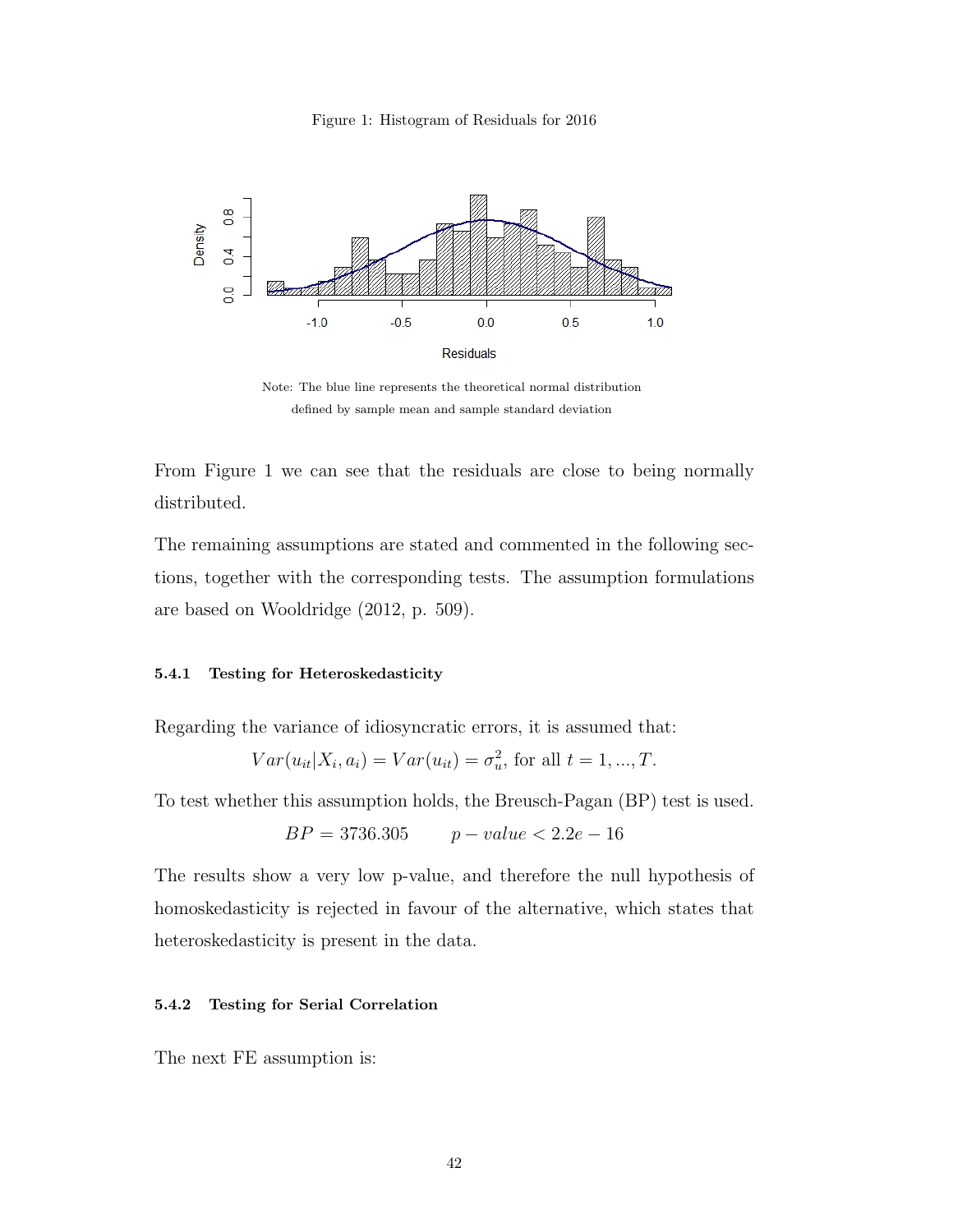<span id="page-56-0"></span>



Note: The blue line represents the theoretical normal distribution defined by sample mean and sample standard deviation

From [Figure 1](#page-56-0) we can see that the residuals are close to being normally distributed.

The remaining assumptions are stated and commented in the following sections, together with the corresponding tests. The assumption formulations are based on [Wooldridge](#page-76-0) [\(2012,](#page-76-0) p. 509).

#### 5.4.1 Testing for Heteroskedasticity

Regarding the variance of idiosyncratic errors, it is assumed that:

$$
Var(u_{it}|X_i, a_i) = Var(u_{it}) = \sigma_u^2
$$
, for all  $t = 1, ..., T$ .

To test whether this assumption holds, the Breusch-Pagan (BP) test is used.

$$
BP = 3736.305 \qquad p-value < 2.2e - 16
$$

The results show a very low p-value, and therefore the null hypothesis of homoskedasticity is rejected in favour of the alternative, which states that heteroskedasticity is present in the data.

#### 5.4.2 Testing for Serial Correlation

The next [FE](#page-11-7) assumption is: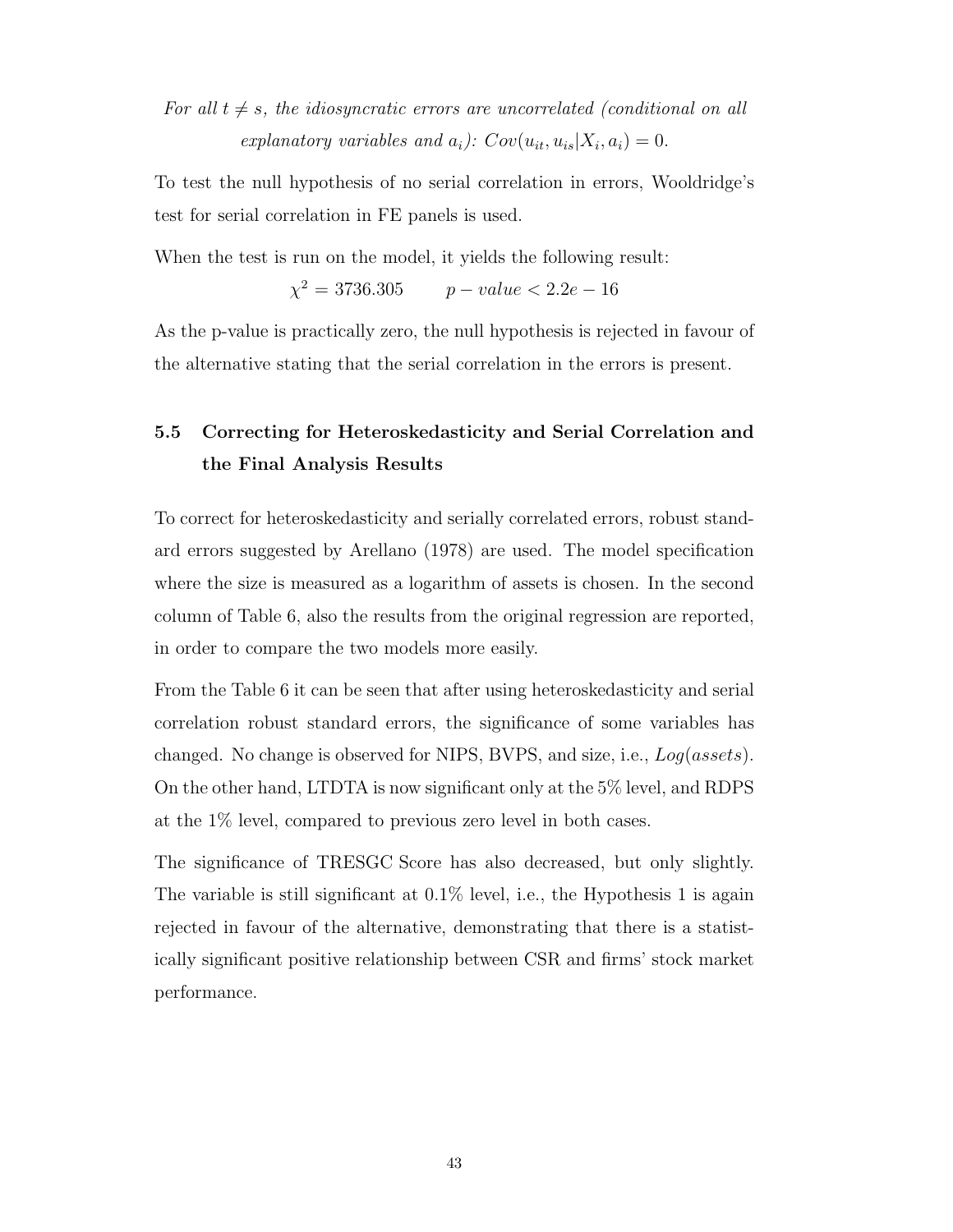For all  $t \neq s$ , the idiosyncratic errors are uncorrelated (conditional on all explanatory variables and  $a_i$ ):  $Cov(u_{it}, u_{is}|X_i, a_i) = 0$ .

To test the null hypothesis of no serial correlation in errors, Wooldridge's test for serial correlation in [FE](#page-11-7) panels is used.

When the test is run on the model, it yields the following result:

 $\chi^2 = 3736.305$   $p-value < 2.2e-16$ 

As the p-value is practically zero, the null hypothesis is rejected in favour of the alternative stating that the serial correlation in the errors is present.

# 5.5 Correcting for Heteroskedasticity and Serial Correlation and the Final Analysis Results

To correct for heteroskedasticity and serially correlated errors, robust standard errors suggested by [Arellano](#page-72-3) [\(1978\)](#page-72-3) are used. The model specification where the size is measured as a logarithm of assets is chosen. In the second column of [Table 6,](#page-58-0) also the results from the original regression are reported, in order to compare the two models more easily.

From the [Table 6](#page-58-0) it can be seen that after using heteroskedasticity and serial correlation robust standard errors, the significance of some variables has changed. No change is observed for [NIPS,](#page-11-10) [BVPS,](#page-11-11) and size, i.e., Log(assets). On the other hand, [LTDTA](#page-11-12) is now significant only at the 5% level, and [RDPS](#page-11-13) at the 1% level, compared to previous zero level in both cases.

The significance of [TRESGC Score](#page-11-14) has also decreased, but only slightly. The variable is still significant at 0.1% level, i.e., the Hypothesis 1 is again rejected in favour of the alternative, demonstrating that there is a statistically significant positive relationship between [CSR](#page-11-0) and firms' stock market performance.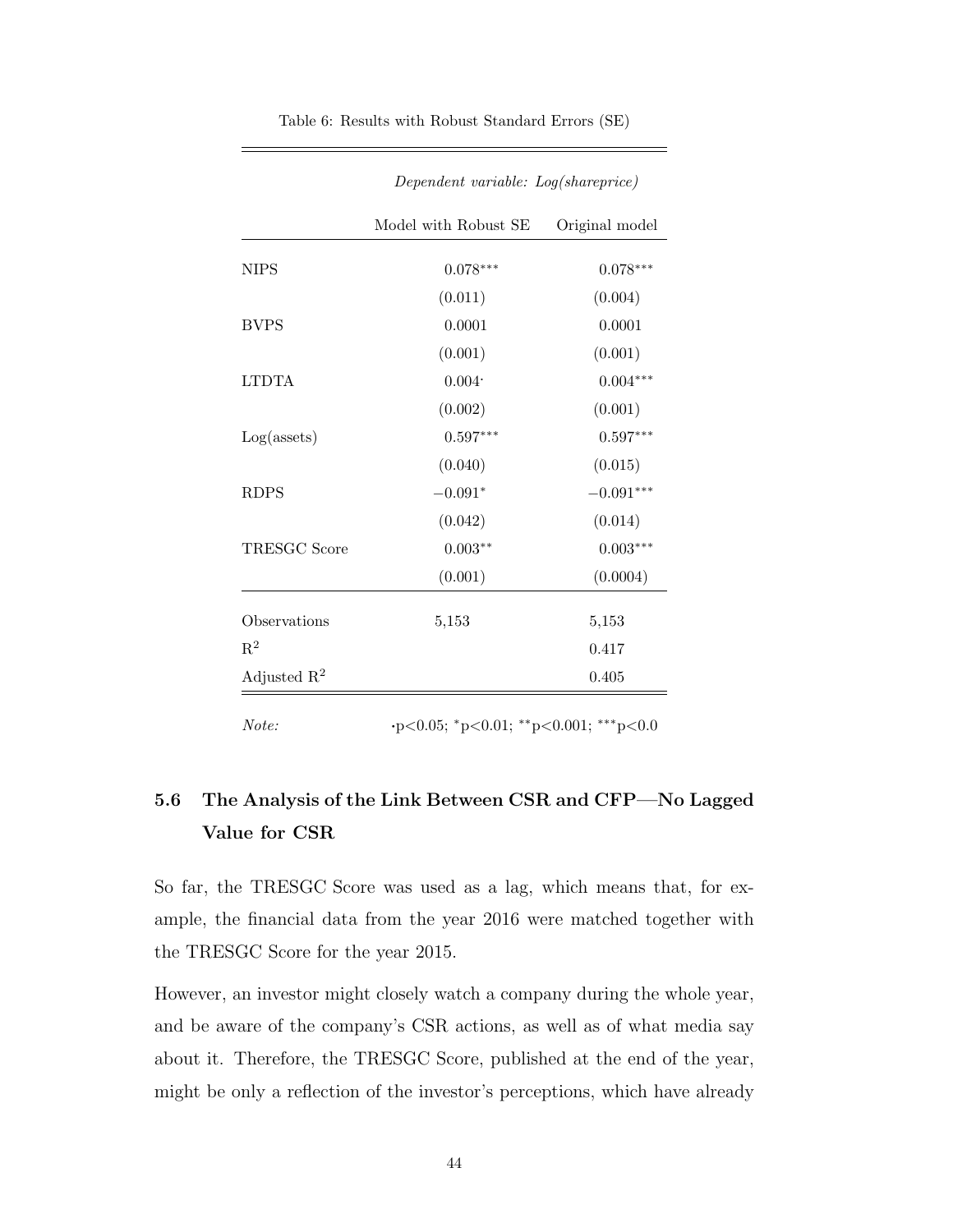| Model with Robust SE<br>$0.078***$<br>(0.011)<br>0.0001<br>(0.001)<br>0.004<br>(0.002)<br>$0.597***$ | Original model<br>$0.078***$<br>(0.004)<br>0.0001<br>(0.001)<br>$0.004***$<br>(0.001) |
|------------------------------------------------------------------------------------------------------|---------------------------------------------------------------------------------------|
|                                                                                                      |                                                                                       |
|                                                                                                      |                                                                                       |
|                                                                                                      |                                                                                       |
|                                                                                                      |                                                                                       |
|                                                                                                      |                                                                                       |
|                                                                                                      |                                                                                       |
|                                                                                                      |                                                                                       |
|                                                                                                      | $0.597***$                                                                            |
| (0.040)                                                                                              | (0.015)                                                                               |
| $-0.091*$                                                                                            | $-0.091***$                                                                           |
| (0.042)                                                                                              | (0.014)                                                                               |
| $0.003**$                                                                                            | $0.003***$                                                                            |
| (0.001)                                                                                              | (0.0004)                                                                              |
| 5,153                                                                                                | 5,153                                                                                 |
|                                                                                                      | 0.417                                                                                 |
|                                                                                                      | 0.405                                                                                 |
|                                                                                                      | $\cdot p < 0.05;$ * $p < 0.01;$ ** $p < 0.001;$ *** $p < 0.0$                         |

<span id="page-58-0"></span>Table 6: Results with Robust Standard Errors (SE)

Dependent variable: Log(shareprice)

# 5.6 The Analysis of the Link Between [CSR](#page-11-0) and [CFP—](#page-11-1)No Lagged Value for [CSR](#page-11-0)

So far, the [TRESGC Score](#page-11-14) was used as a lag, which means that, for example, the financial data from the year 2016 were matched together with the [TRESGC Score](#page-11-14) for the year 2015.

However, an investor might closely watch a company during the whole year, and be aware of the company's [CSR](#page-11-0) actions, as well as of what media say about it. Therefore, the [TRESGC Score,](#page-11-14) published at the end of the year, might be only a reflection of the investor's perceptions, which have already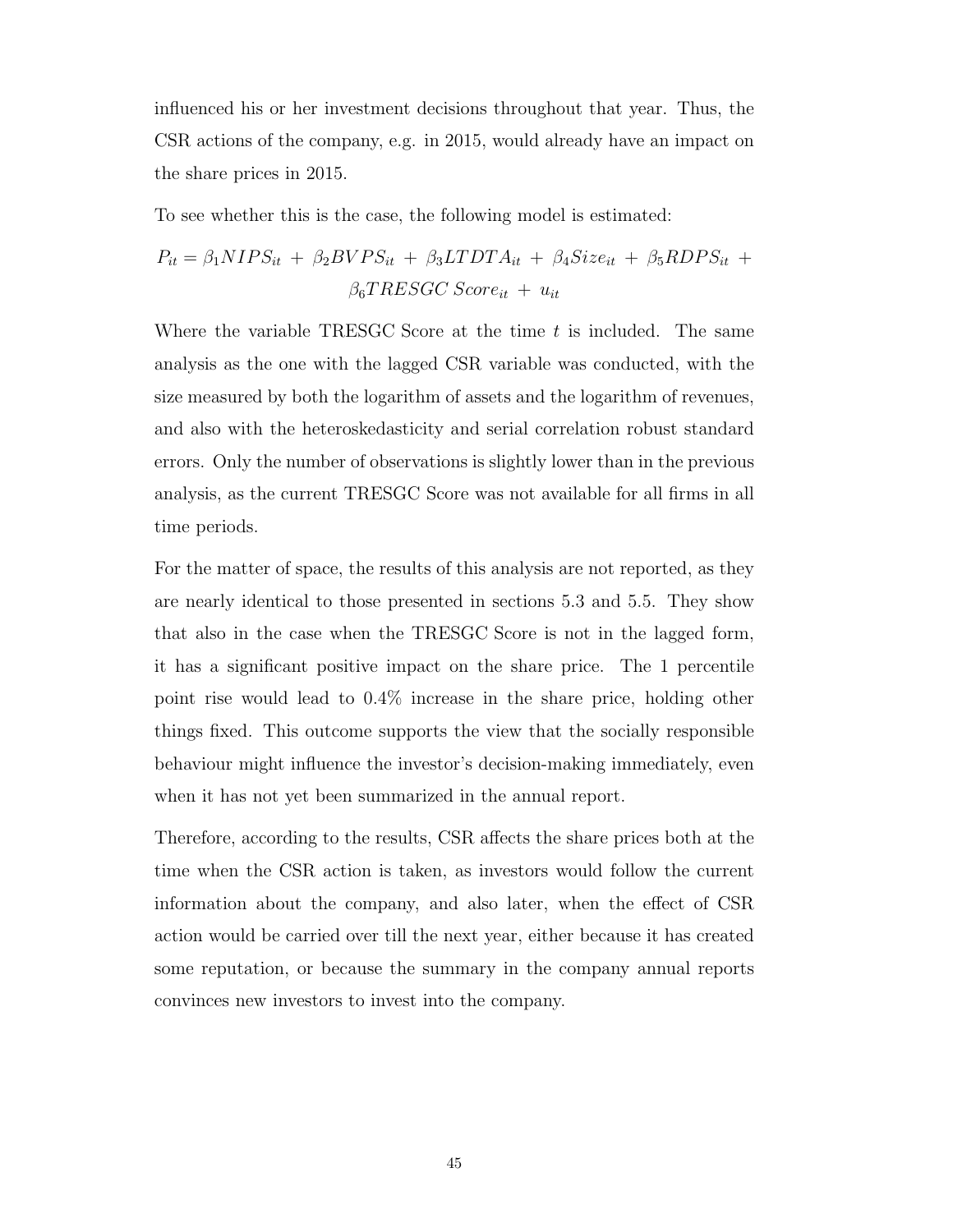influenced his or her investment decisions throughout that year. Thus, the [CSR](#page-11-0) actions of the company, e.g. in 2015, would already have an impact on the share prices in 2015.

To see whether this is the case, the following model is estimated:

$$
P_{it} = \beta_1 NIPS_{it} + \beta_2 BVPS_{it} + \beta_3 LTDTA_{it} + \beta_4 Size_{it} + \beta_5 RDPS_{it} +
$$

$$
\beta_6 TRESGC\ Score_{it} + u_{it}
$$

Where the variable [TRESGC Score](#page-11-14) at the time  $t$  is included. The same analysis as the one with the lagged [CSR](#page-11-0) variable was conducted, with the size measured by both the logarithm of assets and the logarithm of revenues, and also with the heteroskedasticity and serial correlation robust standard errors. Only the number of observations is slightly lower than in the previous analysis, as the current [TRESGC Score](#page-11-14) was not available for all firms in all time periods.

For the matter of space, the results of this analysis are not reported, as they are nearly identical to those presented in sections 5.3 and 5.5. They show that also in the case when the [TRESGC Score](#page-11-14) is not in the lagged form, it has a significant positive impact on the share price. The 1 percentile point rise would lead to 0.4% increase in the share price, holding other things fixed. This outcome supports the view that the socially responsible behaviour might influence the investor's decision-making immediately, even when it has not yet been summarized in the annual report.

Therefore, according to the results, [CSR](#page-11-0) affects the share prices both at the time when the [CSR](#page-11-0) action is taken, as investors would follow the current information about the company, and also later, when the effect of [CSR](#page-11-0) action would be carried over till the next year, either because it has created some reputation, or because the summary in the company annual reports convinces new investors to invest into the company.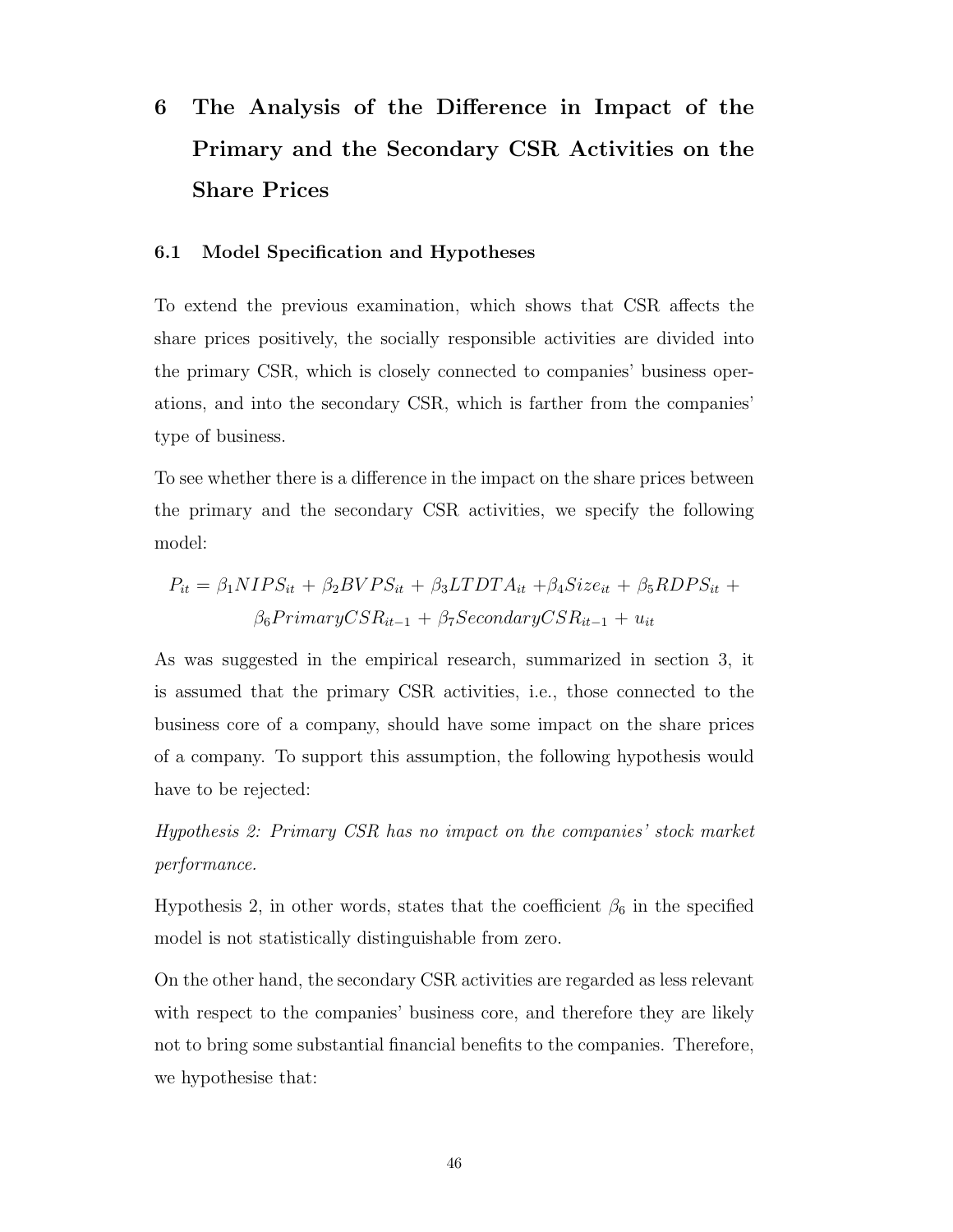# 6 The Analysis of the Difference in Impact of the Primary and the Secondary [CSR](#page-11-0) Activities on the Share Prices

### 6.1 Model Specification and Hypotheses

To extend the previous examination, which shows that [CSR](#page-11-0) affects the share prices positively, the socially responsible activities are divided into the primary [CSR,](#page-11-0) which is closely connected to companies' business operations, and into the secondary [CSR,](#page-11-0) which is farther from the companies' type of business.

To see whether there is a difference in the impact on the share prices between the primary and the secondary [CSR](#page-11-0) activities, we specify the following model:

$$
P_{it} = \beta_1 NIPS_{it} + \beta_2 BVPS_{it} + \beta_3 LTDTA_{it} + \beta_4 Size_{it} + \beta_5 RDPS_{it} +
$$
  

$$
\beta_6 PrimaryCSR_{it-1} + \beta_7 SecondaryCSR_{it-1} + u_{it}
$$

As was suggested in the empirical research, summarized in section 3, it is assumed that the primary [CSR](#page-11-0) activities, i.e., those connected to the business core of a company, should have some impact on the share prices of a company. To support this assumption, the following hypothesis would have to be rejected:

Hypothesis 2: Primary [CSR](#page-11-0) has no impact on the companies' stock market performance.

Hypothesis 2, in other words, states that the coefficient  $\beta_6$  in the specified model is not statistically distinguishable from zero.

On the other hand, the secondary [CSR](#page-11-0) activities are regarded as less relevant with respect to the companies' business core, and therefore they are likely not to bring some substantial financial benefits to the companies. Therefore, we hypothesise that: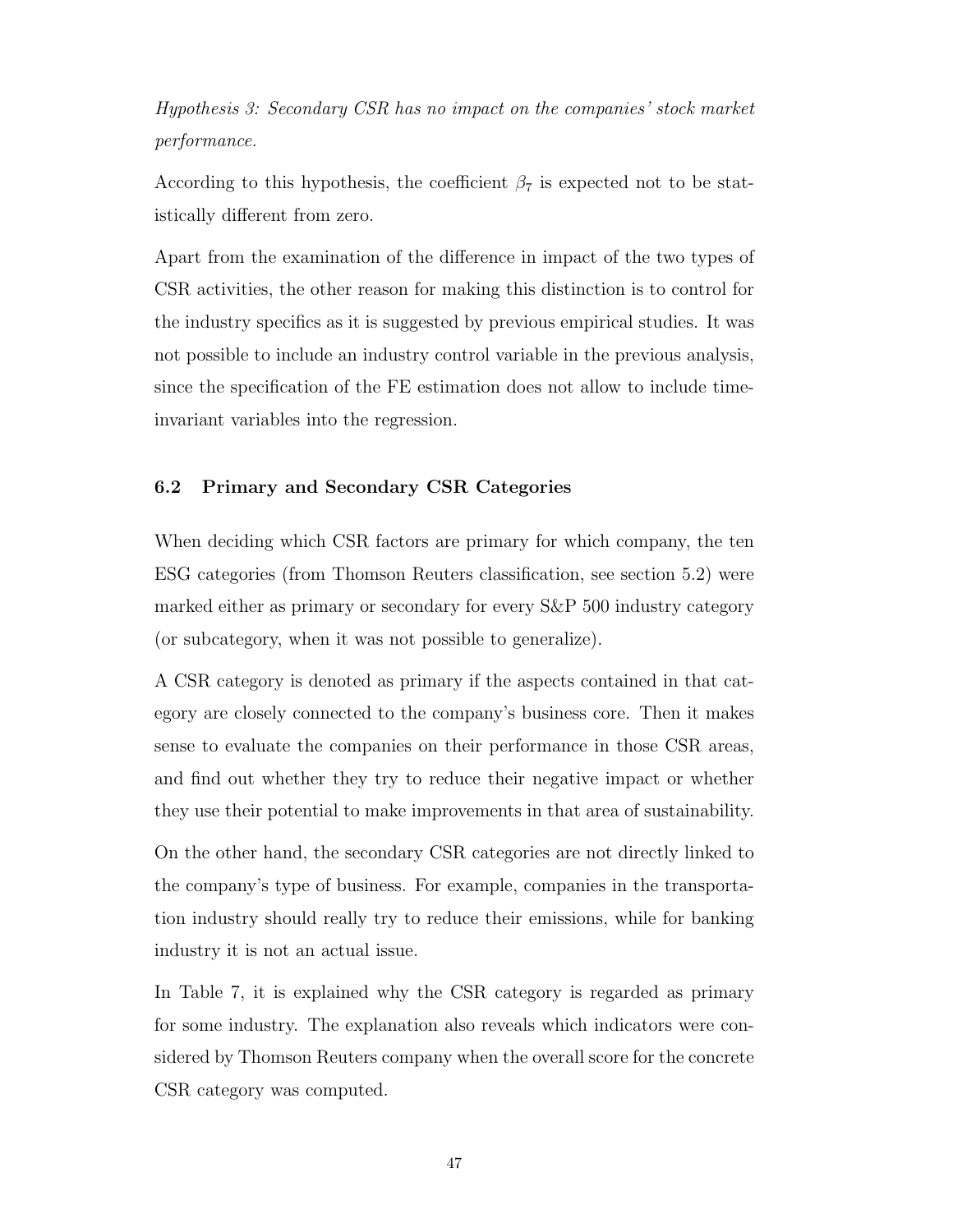Hypothesis 3: Secondary [CSR](#page-11-0) has no impact on the companies' stock market performance.

According to this hypothesis, the coefficient  $\beta_7$  is expected not to be statistically different from zero.

Apart from the examination of the difference in impact of the two types of [CSR](#page-11-0) activities, the other reason for making this distinction is to control for the industry specifics as it is suggested by previous empirical studies. It was not possible to include an industry control variable in the previous analysis, since the specification of the [FE](#page-11-7) estimation does not allow to include timeinvariant variables into the regression.

## 6.2 Primary and Secondary [CSR](#page-11-0) Categories

When deciding which [CSR](#page-11-0) factors are primary for which company, the ten [ESG](#page-11-6) categories (from Thomson Reuters classification, see section 5.2) were marked either as primary or secondary for every [S&P](#page-11-4) 500 industry category (or subcategory, when it was not possible to generalize).

A [CSR](#page-11-0) category is denoted as primary if the aspects contained in that category are closely connected to the company's business core. Then it makes sense to evaluate the companies on their performance in those [CSR](#page-11-0) areas, and find out whether they try to reduce their negative impact or whether they use their potential to make improvements in that area of sustainability.

On the other hand, the secondary [CSR](#page-11-0) categories are not directly linked to the company's type of business. For example, companies in the transportation industry should really try to reduce their emissions, while for banking industry it is not an actual issue.

In [Table 7,](#page-62-0) it is explained why the [CSR](#page-11-0) category is regarded as primary for some industry. The explanation also reveals which indicators were considered by Thomson Reuters company when the overall score for the concrete [CSR](#page-11-0) category was computed.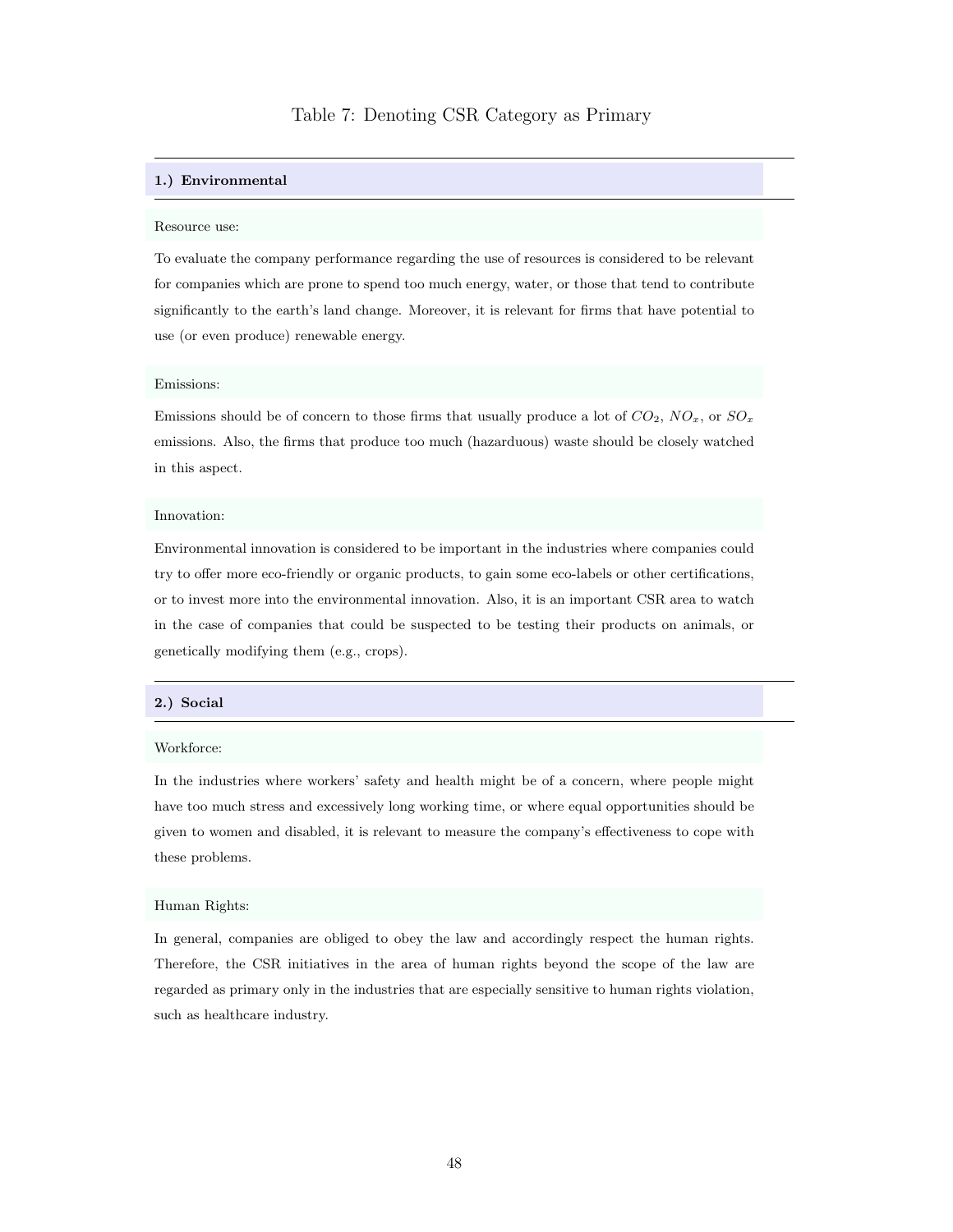#### <span id="page-62-0"></span>1.) Environmental

#### Resource use:

To evaluate the company performance regarding the use of resources is considered to be relevant for companies which are prone to spend too much energy, water, or those that tend to contribute significantly to the earth's land change. Moreover, it is relevant for firms that have potential to use (or even produce) renewable energy.

#### Emissions:

Emissions should be of concern to those firms that usually produce a lot of  $CO_2$ ,  $NO_x$ , or  $SO_x$ emissions. Also, the firms that produce too much (hazarduous) waste should be closely watched in this aspect.

#### Innovation:

Environmental innovation is considered to be important in the industries where companies could try to offer more eco-friendly or organic products, to gain some eco-labels or other certifications, or to invest more into the environmental innovation. Also, it is an important [CSR](#page-11-0) area to watch in the case of companies that could be suspected to be testing their products on animals, or genetically modifying them (e.g., crops).

#### 2.) Social

#### Workforce:

In the industries where workers' safety and health might be of a concern, where people might have too much stress and excessively long working time, or where equal opportunities should be given to women and disabled, it is relevant to measure the company's effectiveness to cope with these problems.

#### Human Rights:

In general, companies are obliged to obey the law and accordingly respect the human rights. Therefore, the [CSR](#page-11-0) initiatives in the area of human rights beyond the scope of the law are regarded as primary only in the industries that are especially sensitive to human rights violation, such as healthcare industry.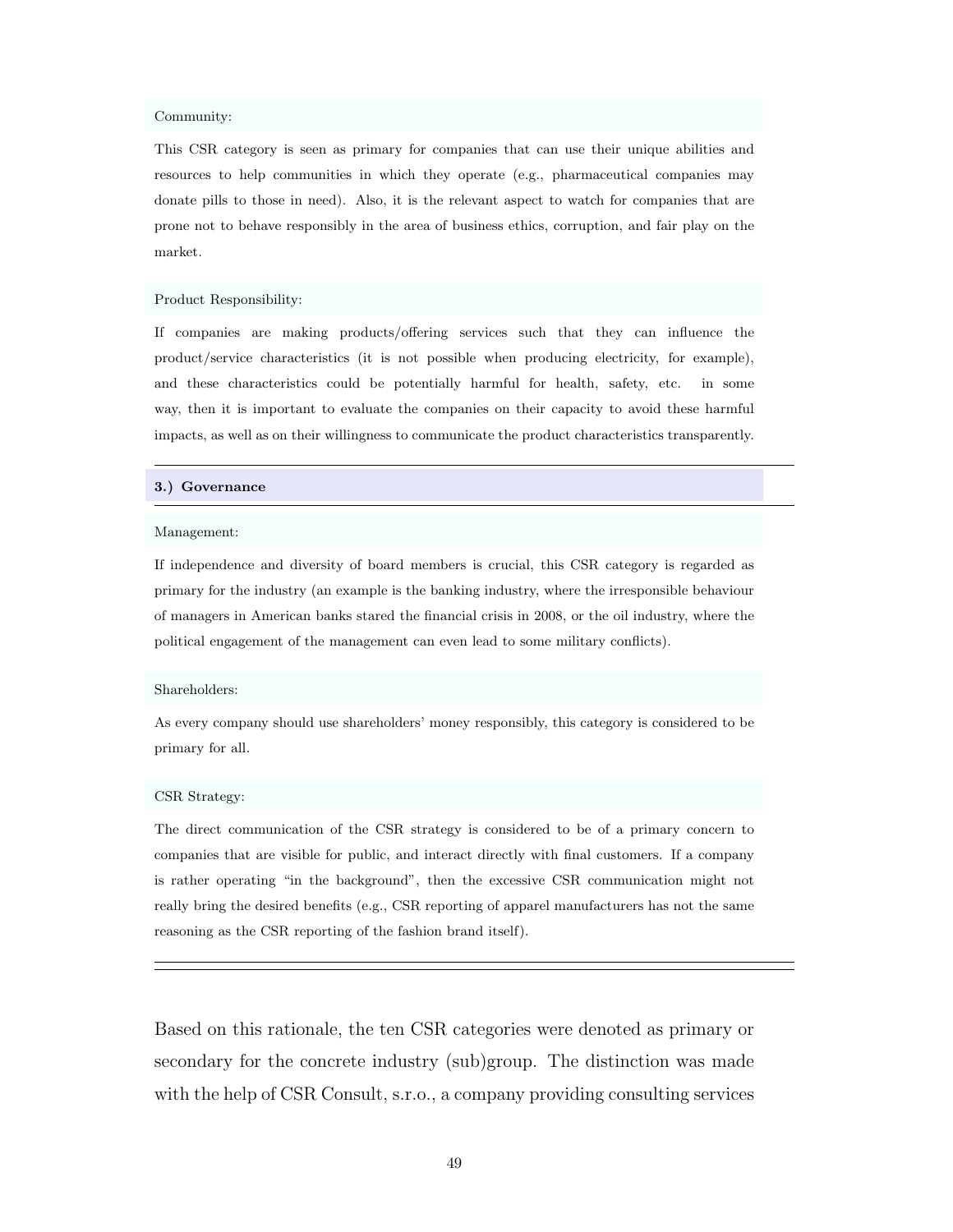#### Community:

This [CSR](#page-11-0) category is seen as primary for companies that can use their unique abilities and resources to help communities in which they operate (e.g., pharmaceutical companies may donate pills to those in need). Also, it is the relevant aspect to watch for companies that are prone not to behave responsibly in the area of business ethics, corruption, and fair play on the market.

#### Product Responsibility:

If companies are making products/offering services such that they can influence the product/service characteristics (it is not possible when producing electricity, for example), and these characteristics could be potentially harmful for health, safety, etc. in some way, then it is important to evaluate the companies on their capacity to avoid these harmful impacts, as well as on their willingness to communicate the product characteristics transparently.

#### 3.) Governance

#### Management:

If independence and diversity of board members is crucial, this [CSR](#page-11-0) category is regarded as primary for the industry (an example is the banking industry, where the irresponsible behaviour of managers in American banks stared the financial crisis in 2008, or the oil industry, where the political engagement of the management can even lead to some military conflicts).

#### Shareholders:

As every company should use shareholders' money responsibly, this category is considered to be primary for all.

#### [CSR](#page-11-0) Strategy:

The direct communication of the [CSR](#page-11-0) strategy is considered to be of a primary concern to companies that are visible for public, and interact directly with final customers. If a company is rather operating "in the background", then the excessive [CSR](#page-11-0) communication might not really bring the desired benefits (e.g., [CSR](#page-11-0) reporting of apparel manufacturers has not the same reasoning as the [CSR](#page-11-0) reporting of the fashion brand itself).

Based on this rationale, the ten [CSR](#page-11-0) categories were denoted as primary or secondary for the concrete industry (sub)group. The distinction was made with the help of [CSR](#page-11-0) Consult, s.r.o., a company providing consulting services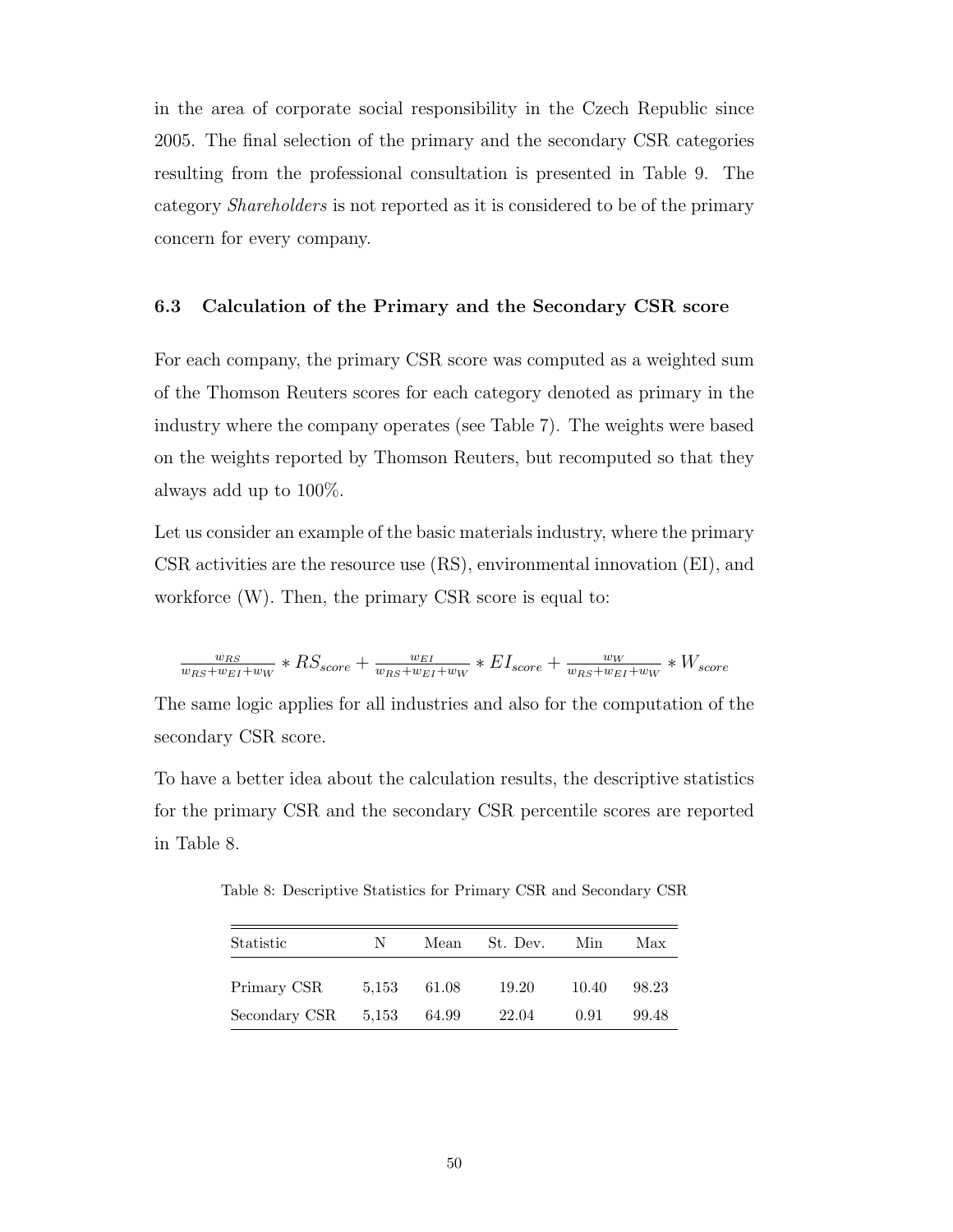in the area of corporate social responsibility in the Czech Republic since 2005. The final selection of the primary and the secondary [CSR](#page-11-0) categories resulting from the professional consultation is presented in [Table 9.](#page-65-0) The category Shareholders is not reported as it is considered to be of the primary concern for every company.

## 6.3 Calculation of the Primary and the Secondary [CSR](#page-11-0) score

For each company, the primary [CSR](#page-11-0) score was computed as a weighted sum of the Thomson Reuters scores for each category denoted as primary in the industry where the company operates (see [Table 7\)](#page-62-0). The weights were based on the weights reported by Thomson Reuters, but recomputed so that they always add up to 100%.

Let us consider an example of the basic materials industry, where the primary [CSR](#page-11-0) activities are the resource use (RS), environmental innovation (EI), and workforce  $(W)$ . Then, the primary [CSR](#page-11-0) score is equal to:

$$
\frac{w_{RS}}{w_{RS}+w_{EI}+w_W} * RS_{score} + \frac{w_{EI}}{w_{RS}+w_{EI}+w_W} * EI_{score} + \frac{w_W}{w_{RS}+w_{EI}+w_W} * W_{score}
$$

The same logic applies for all industries and also for the computation of the secondary [CSR](#page-11-0) score.

To have a better idea about the calculation results, the descriptive statistics for the primary [CSR](#page-11-0) and the secondary [CSR](#page-11-0) percentile scores are reported in [Table 8.](#page-64-0)

<span id="page-64-0"></span>Table 8: Descriptive Statistics for Primary [CSR](#page-11-0) and Secondary [CSR](#page-11-0)

| Statistic     | N     | Mean  | St. Dev. | Min   | Max   |
|---------------|-------|-------|----------|-------|-------|
| Primary CSR   | 5,153 | 61.08 | 19.20    | 10.40 | 98.23 |
| Secondary CSR | 5,153 | 64.99 | 22.04    | 0.91  | 99.48 |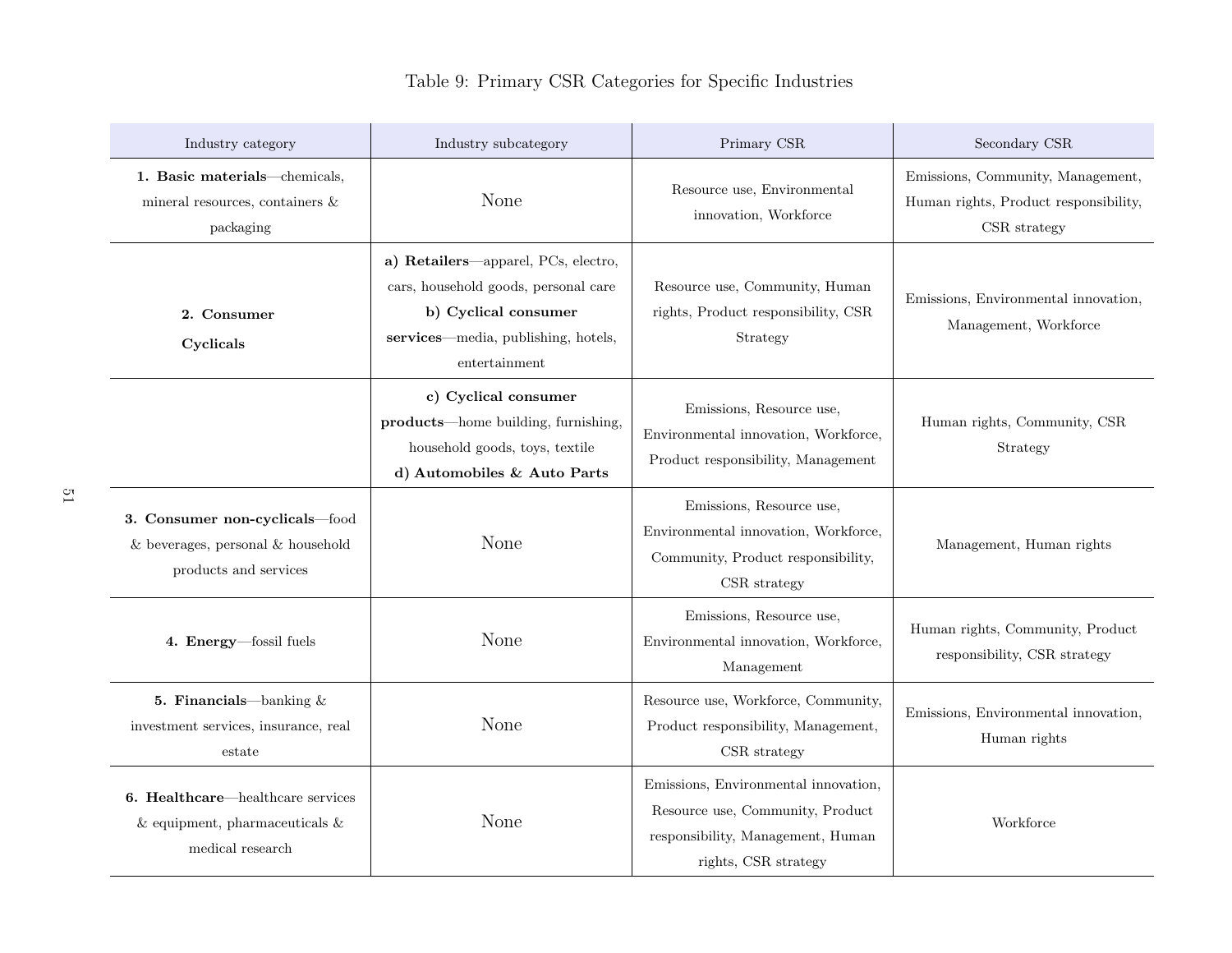## Table 9: Primary [CSR](#page-11-19) Categories for Specific Industries

| Industry category                                                                                    | Industry subcategory                                                                                                                                        | Primary CSR                                                                                                                           | Secondary CSR                                                                              |
|------------------------------------------------------------------------------------------------------|-------------------------------------------------------------------------------------------------------------------------------------------------------------|---------------------------------------------------------------------------------------------------------------------------------------|--------------------------------------------------------------------------------------------|
| 1. Basic materials-chemicals,<br>mineral resources, containers $\&$<br>packaging                     | None                                                                                                                                                        | Resource use, Environmental<br>innovation, Workforce                                                                                  | Emissions, Community, Management,<br>Human rights, Product responsibility,<br>CSR strategy |
| 2. Consumer<br>Cyclicals                                                                             | a) Retailers-apparel, PCs, electro,<br>cars, household goods, personal care<br>b) Cyclical consumer<br>services—media, publishing, hotels,<br>entertainment | Resource use, Community, Human<br>rights, Product responsibility, CSR<br>Strategy                                                     | Emissions, Environmental innovation,<br>Management, Workforce                              |
|                                                                                                      | c) Cyclical consumer<br>products—home building, furnishing,<br>household goods, toys, textile<br>d) Automobiles & Auto Parts                                | Emissions, Resource use,<br>Environmental innovation, Workforce,<br>Product responsibility, Management                                | Human rights, Community, CSR<br>Strategy                                                   |
| 3. Consumer non-cyclicals-food<br>$&$ beverages, personal $&$ household<br>products and services     | None                                                                                                                                                        | Emissions, Resource use,<br>Environmental innovation, Workforce,<br>Community, Product responsibility,<br>CSR strategy                | Management, Human rights                                                                   |
| 4. Energy-fossil fuels                                                                               | None                                                                                                                                                        | Emissions, Resource use,<br>Environmental innovation, Workforce,<br>Management                                                        | Human rights, Community, Product<br>responsibility, CSR strategy                           |
| 5. Financials—banking $\&$<br>investment services, insurance, real<br>estate                         | None                                                                                                                                                        | Resource use, Workforce, Community,<br>Product responsibility, Management,<br>CSR strategy                                            | Emissions, Environmental innovation,<br>Human rights                                       |
| <b>6. Healthcare—healthcare services</b><br>$\&$ equipment, pharmaceuticals $\&$<br>medical research | None                                                                                                                                                        | Emissions, Environmental innovation,<br>Resource use, Community, Product<br>responsibility, Management, Human<br>rights, CSR strategy | Workforce                                                                                  |

<span id="page-65-0"></span> $\overline{\mathrm{c}}$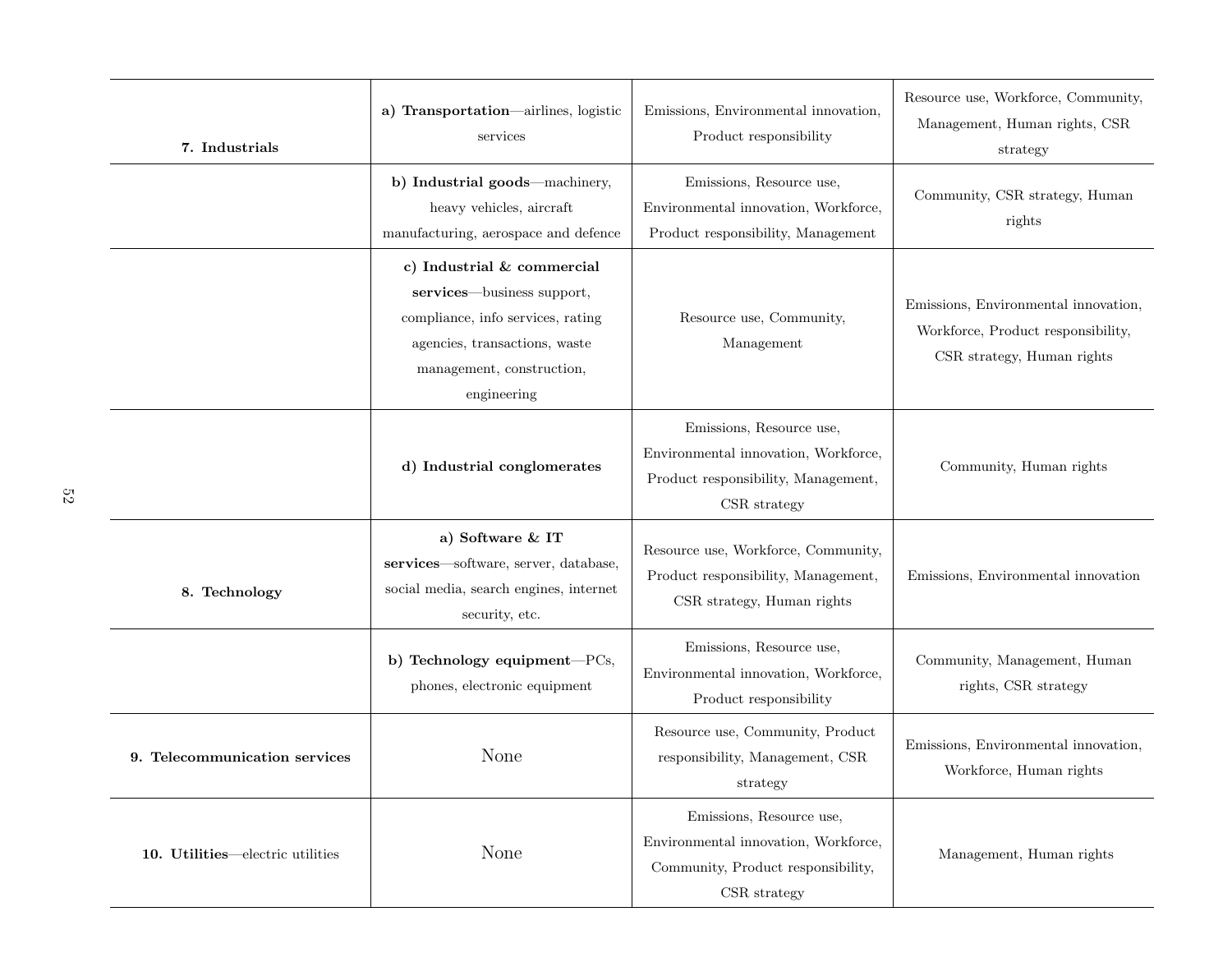| 7. Industrials                   | a) Transportation-airlines, logistic<br>services                                                                                                                           | Emissions, Environmental innovation,<br>Product responsibility                                                          | Resource use, Workforce, Community,<br>Management, Human rights, CSR<br>strategy                         |
|----------------------------------|----------------------------------------------------------------------------------------------------------------------------------------------------------------------------|-------------------------------------------------------------------------------------------------------------------------|----------------------------------------------------------------------------------------------------------|
|                                  | b) Industrial goods—machinery,<br>heavy vehicles, aircraft<br>manufacturing, aerospace and defence                                                                         | Emissions, Resource use,<br>Environmental innovation, Workforce,<br>Product responsibility, Management                  | Community, CSR strategy, Human<br>rights                                                                 |
|                                  | c) Industrial & commercial<br>services—business support,<br>compliance, info services, rating<br>agencies, transactions, waste<br>management, construction,<br>engineering | Resource use, Community,<br>Management                                                                                  | Emissions, Environmental innovation,<br>Workforce, Product responsibility,<br>CSR strategy, Human rights |
|                                  | d) Industrial conglomerates                                                                                                                                                | Emissions, Resource use,<br>Environmental innovation, Workforce,<br>Product responsibility, Management,<br>CSR strategy | Community, Human rights                                                                                  |
| 8. Technology                    | a) Software & IT<br>services-software, server, database,<br>social media, search engines, internet<br>security, etc.                                                       | Resource use, Workforce, Community,<br>Product responsibility, Management,<br>CSR strategy, Human rights                | Emissions, Environmental innovation                                                                      |
|                                  | b) Technology equipment-PCs,<br>phones, electronic equipment                                                                                                               | Emissions, Resource use,<br>Environmental innovation, Workforce,<br>Product responsibility                              | Community, Management, Human<br>rights, CSR strategy                                                     |
| 9. Telecommunication services    | None                                                                                                                                                                       | Resource use, Community, Product<br>responsibility, Management, CSR<br>strategy                                         | Emissions, Environmental innovation,<br>Workforce, Human rights                                          |
| 10. Utilities—electric utilities | None                                                                                                                                                                       | Emissions, Resource use,<br>Environmental innovation, Workforce,<br>Community, Product responsibility,<br>CSR strategy  | Management, Human rights                                                                                 |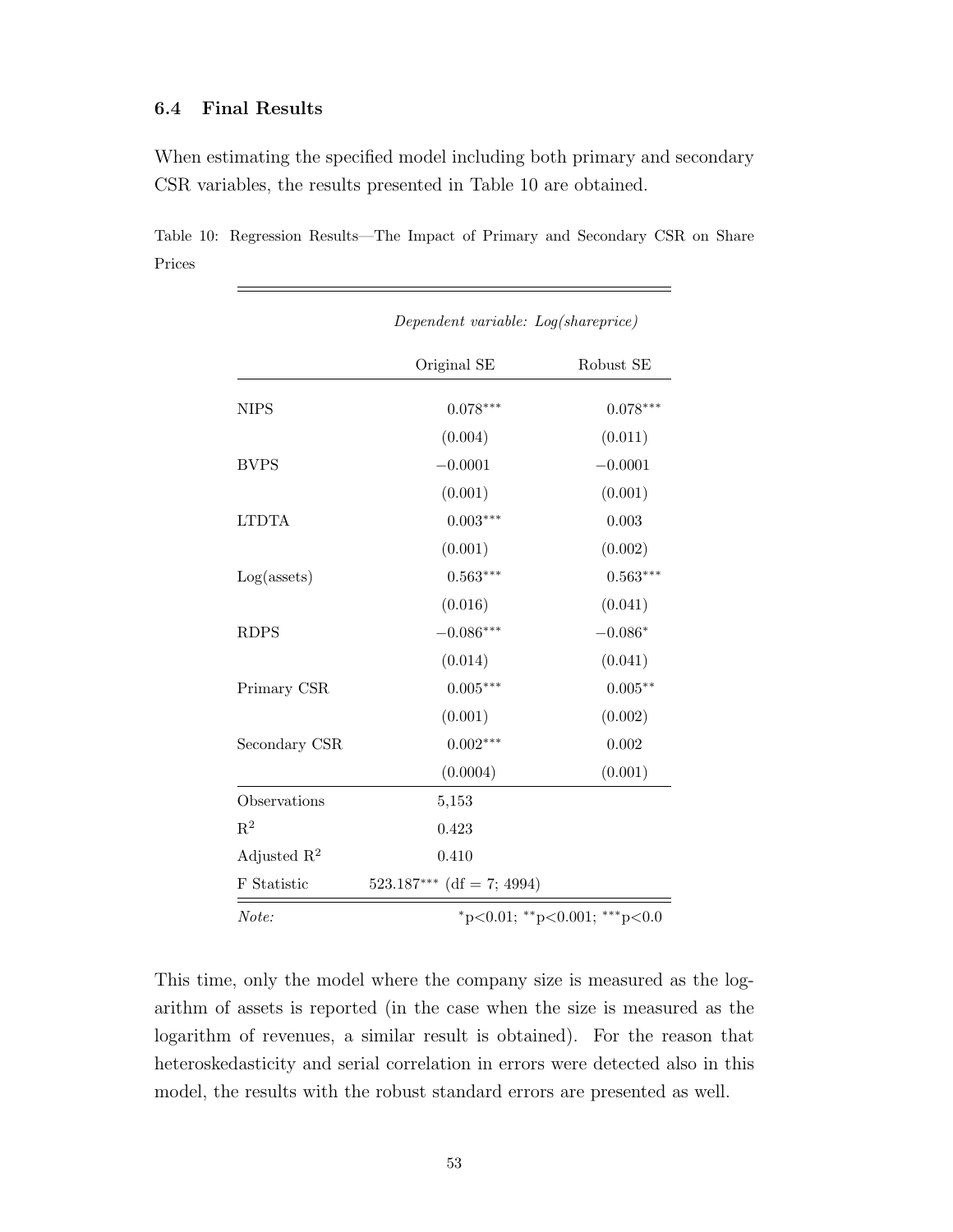## 6.4 Final Results

When estimating the specified model including both primary and secondary [CSR](#page-11-0) variables, the results presented in [Table 10](#page-67-0) are obtained.

<span id="page-67-0"></span>Table 10: Regression Results—The Impact of Primary and Secondary [CSR](#page-11-0) on Share Prices

|                         | Dependent variable: Log(shareprice) |            |  |
|-------------------------|-------------------------------------|------------|--|
|                         | Original SE                         | Robust SE  |  |
| <b>NIPS</b>             | $0.078***$                          | $0.078***$ |  |
|                         | (0.004)                             | (0.011)    |  |
| <b>BVPS</b>             | $-0.0001$                           | $-0.0001$  |  |
|                         | (0.001)                             | (0.001)    |  |
| <b>LTDTA</b>            | $0.003***$                          | 0.003      |  |
|                         | (0.001)                             | (0.002)    |  |
| $Log($ assets $)$       | $0.563***$                          | $0.563***$ |  |
|                         | (0.016)                             | (0.041)    |  |
| <b>RDPS</b>             | $-0.086***$                         | $-0.086*$  |  |
|                         | (0.014)                             | (0.041)    |  |
| Primary CSR             | $0.005***$                          | $0.005**$  |  |
|                         | (0.001)                             | (0.002)    |  |
| Secondary CSR           | $0.002***$                          | 0.002      |  |
|                         | (0.0004)                            | (0.001)    |  |
| Observations            | 5,153                               |            |  |
| $\mathrm{R}^2$          | 0.423                               |            |  |
| Adjusted $\mathbb{R}^2$ | 0.410                               |            |  |
| F Statistic             | $523.187***$ (df = 7; 4994)         |            |  |
| Note:                   | *p<0.01; **p<0.001; ***p<0.0        |            |  |

This time, only the model where the company size is measured as the logarithm of assets is reported (in the case when the size is measured as the logarithm of revenues, a similar result is obtained). For the reason that heteroskedasticity and serial correlation in errors were detected also in this model, the results with the robust standard errors are presented as well.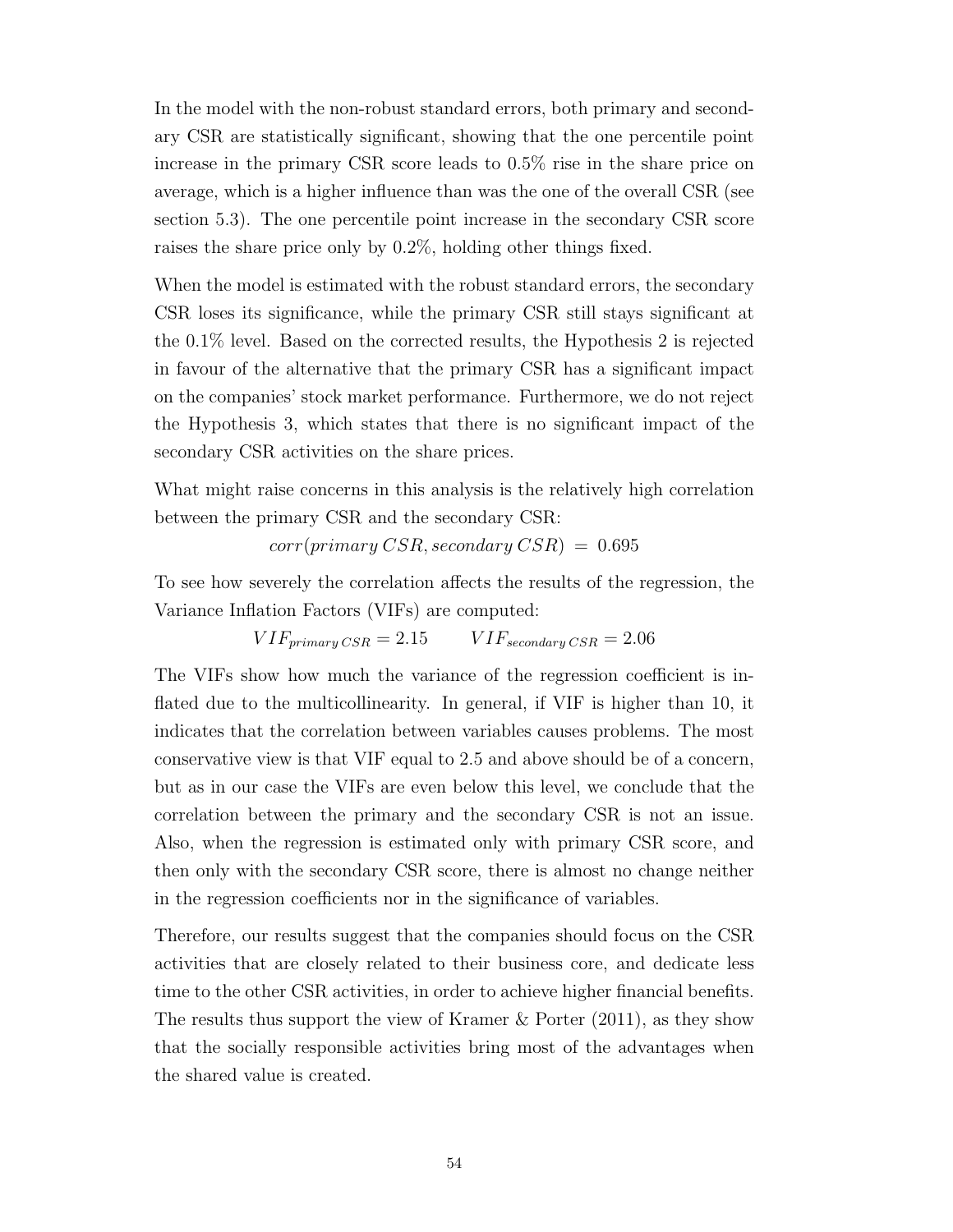In the model with the non-robust standard errors, both primary and secondary [CSR](#page-11-0) are statistically significant, showing that the one percentile point increase in the primary [CSR](#page-11-0) score leads to 0.5% rise in the share price on average, which is a higher influence than was the one of the overall [CSR](#page-11-0) (see section 5.3). The one percentile point increase in the secondary [CSR](#page-11-0) score raises the share price only by 0.2%, holding other things fixed.

When the model is estimated with the robust standard errors, the secondary [CSR](#page-11-0) loses its significance, while the primary [CSR](#page-11-0) still stays significant at the 0.1% level. Based on the corrected results, the Hypothesis 2 is rejected in favour of the alternative that the primary [CSR](#page-11-0) has a significant impact on the companies' stock market performance. Furthermore, we do not reject the Hypothesis 3, which states that there is no significant impact of the secondary [CSR](#page-11-0) activities on the share prices.

What might raise concerns in this analysis is the relatively high correlation between the primary [CSR](#page-11-0) and the secondary [CSR:](#page-11-0)

 $corr(primary \,CSR, secondary \,CSR$  = 0.695

To see how severely the correlation affects the results of the regression, the Variance Inflation Factors [\(VIFs](#page-11-20)) are computed:

 $VIF_{primary\,CSR} = 2.15$   $VIF_{secondary\,CSR} = 2.06$ 

The [VIFs](#page-11-20) show how much the variance of the regression coefficient is inflated due to the multicollinearity. In general, if [VIF](#page-11-20) is higher than 10, it indicates that the correlation between variables causes problems. The most conservative view is that [VIF](#page-11-20) equal to 2.5 and above should be of a concern, but as in our case the [VIFs](#page-11-20) are even below this level, we conclude that the correlation between the primary and the secondary [CSR](#page-11-0) is not an issue. Also, when the regression is estimated only with primary [CSR](#page-11-0) score, and then only with the secondary [CSR](#page-11-0) score, there is almost no change neither in the regression coefficients nor in the significance of variables.

Therefore, our results suggest that the companies should focus on the [CSR](#page-11-0) activities that are closely related to their business core, and dedicate less time to the other [CSR](#page-11-0) activities, in order to achieve higher financial benefits. The results thus support the view of [Kramer & Porter](#page-74-4) [\(2011\)](#page-74-4), as they show that the socially responsible activities bring most of the advantages when the shared value is created.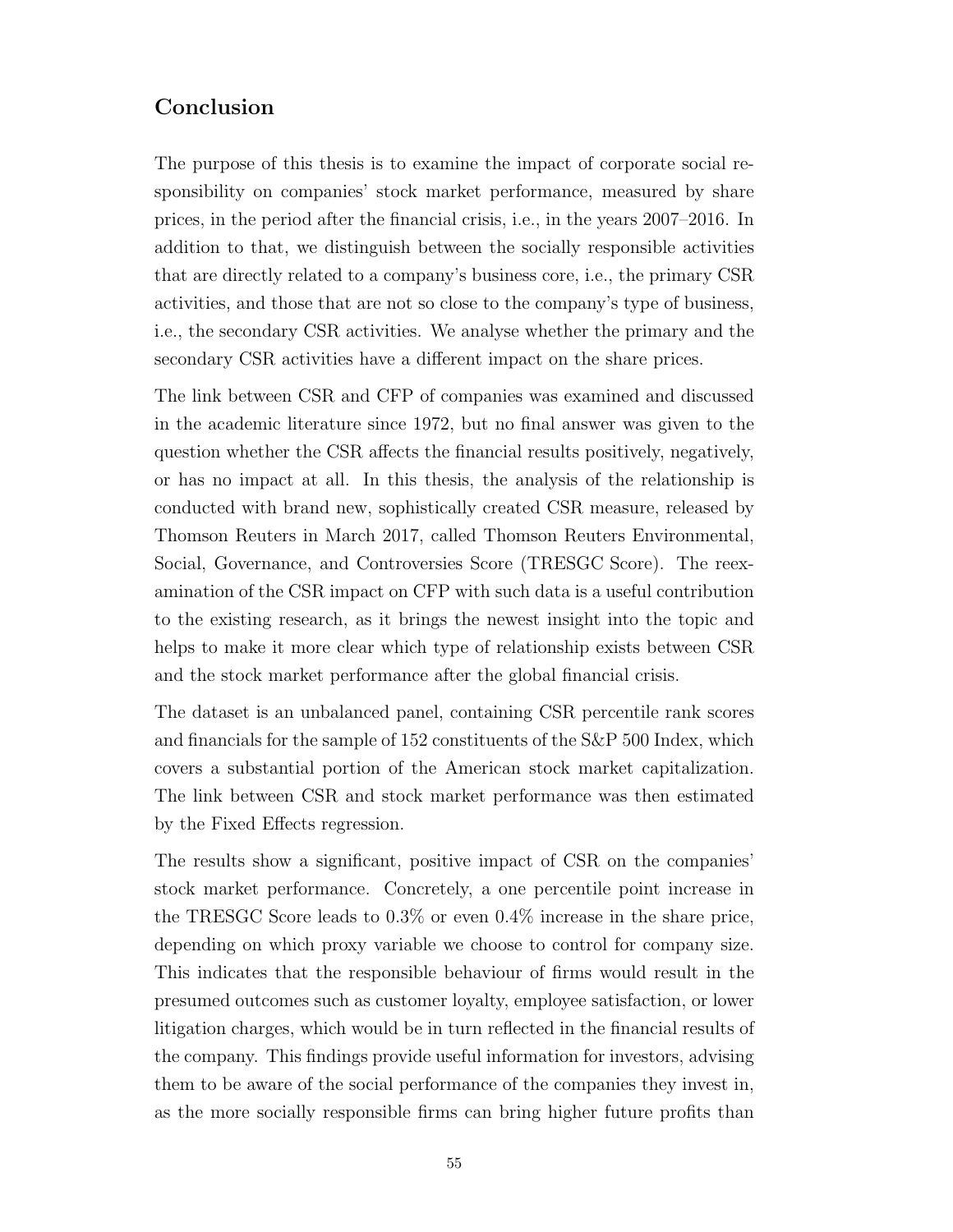## Conclusion

The purpose of this thesis is to examine the impact of corporate social responsibility on companies' stock market performance, measured by share prices, in the period after the financial crisis, i.e., in the years 2007–2016. In addition to that, we distinguish between the socially responsible activities that are directly related to a company's business core, i.e., the primary [CSR](#page-11-0) activities, and those that are not so close to the company's type of business, i.e., the secondary [CSR](#page-11-0) activities. We analyse whether the primary and the secondary [CSR](#page-11-0) activities have a different impact on the share prices.

The link between [CSR](#page-11-0) and [CFP](#page-11-1) of companies was examined and discussed in the academic literature since 1972, but no final answer was given to the question whether the [CSR](#page-11-0) affects the financial results positively, negatively, or has no impact at all. In this thesis, the analysis of the relationship is conducted with brand new, sophistically created [CSR](#page-11-0) measure, released by Thomson Reuters in March 2017, called Thomson Reuters Environmental, Social, Governance, and Controversies Score [\(TRESGC Score\)](#page-11-14). The reexamination of the [CSR](#page-11-0) impact on [CFP](#page-11-1) with such data is a useful contribution to the existing research, as it brings the newest insight into the topic and helps to make it more clear which type of relationship exists between [CSR](#page-11-0) and the stock market performance after the global financial crisis.

The dataset is an unbalanced panel, containing [CSR](#page-11-0) percentile rank scores and financials for the sample of 152 constituents of the [S&P](#page-11-4) 500 Index, which covers a substantial portion of the American stock market capitalization. The link between [CSR](#page-11-0) and stock market performance was then estimated by the Fixed Effects regression.

The results show a significant, positive impact of [CSR](#page-11-0) on the companies' stock market performance. Concretely, a one percentile point increase in the [TRESGC Score](#page-11-14) leads to 0.3% or even 0.4% increase in the share price, depending on which proxy variable we choose to control for company size. This indicates that the responsible behaviour of firms would result in the presumed outcomes such as customer loyalty, employee satisfaction, or lower litigation charges, which would be in turn reflected in the financial results of the company. This findings provide useful information for investors, advising them to be aware of the social performance of the companies they invest in, as the more socially responsible firms can bring higher future profits than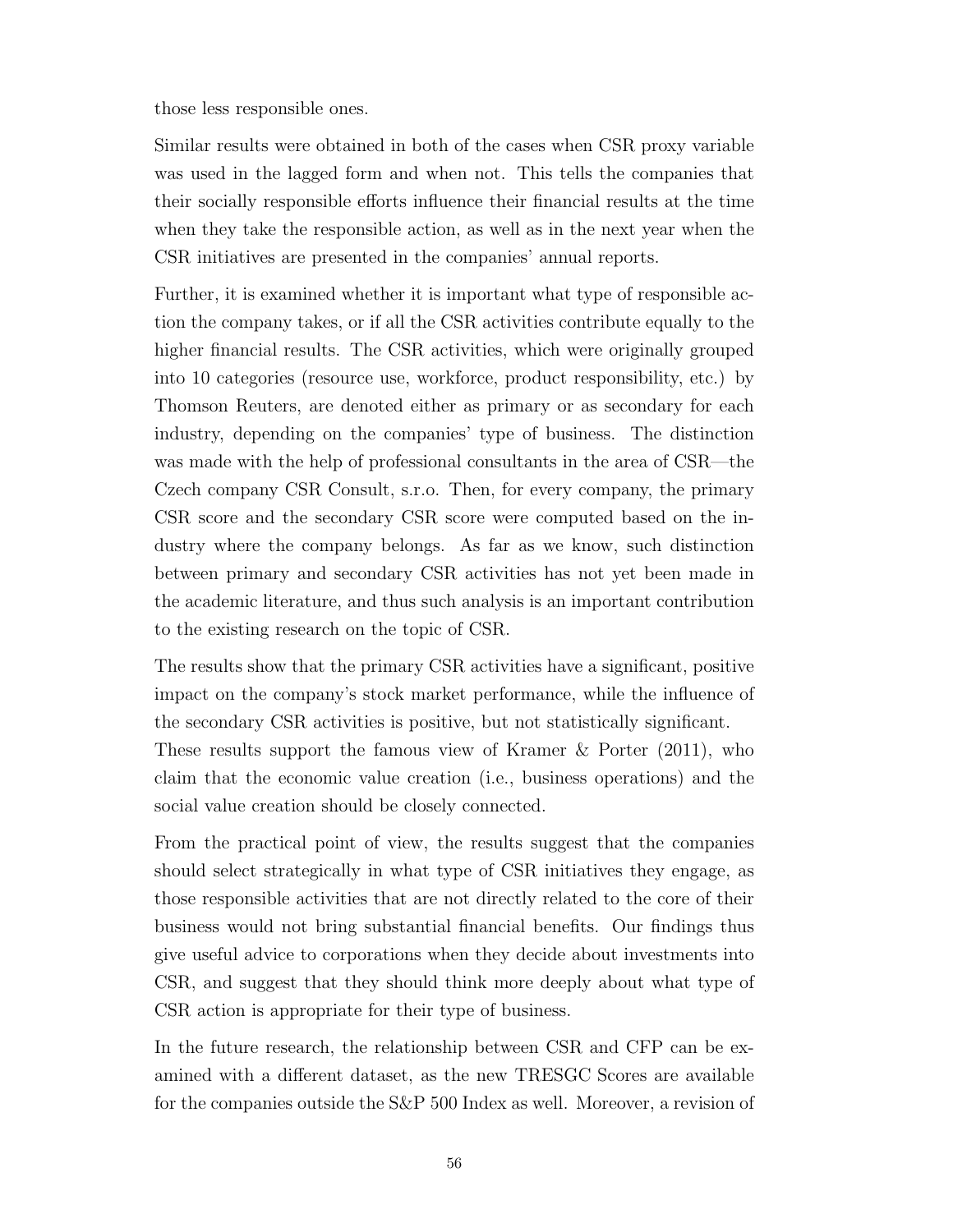those less responsible ones.

Similar results were obtained in both of the cases when [CSR](#page-11-0) proxy variable was used in the lagged form and when not. This tells the companies that their socially responsible efforts influence their financial results at the time when they take the responsible action, as well as in the next year when the [CSR](#page-11-0) initiatives are presented in the companies' annual reports.

Further, it is examined whether it is important what type of responsible action the company takes, or if all the [CSR](#page-11-0) activities contribute equally to the higher financial results. The [CSR](#page-11-0) activities, which were originally grouped into 10 categories (resource use, workforce, product responsibility, etc.) by Thomson Reuters, are denoted either as primary or as secondary for each industry, depending on the companies' type of business. The distinction was made with the help of professional consultants in the area of [CSR—](#page-11-0)the Czech company CSR Consult, s.r.o. Then, for every company, the primary [CSR](#page-11-0) score and the secondary [CSR](#page-11-0) score were computed based on the industry where the company belongs. As far as we know, such distinction between primary and secondary [CSR](#page-11-0) activities has not yet been made in the academic literature, and thus such analysis is an important contribution to the existing research on the topic of [CSR.](#page-11-0)

The results show that the primary [CSR](#page-11-0) activities have a significant, positive impact on the company's stock market performance, while the influence of the secondary [CSR](#page-11-0) activities is positive, but not statistically significant. These results support the famous view of [Kramer & Porter](#page-74-4) [\(2011\)](#page-74-4), who claim that the economic value creation (i.e., business operations) and the

social value creation should be closely connected. From the practical point of view, the results suggest that the companies should select strategically in what type of [CSR](#page-11-0) initiatives they engage, as those responsible activities that are not directly related to the core of their business would not bring substantial financial benefits. Our findings thus give useful advice to corporations when they decide about investments into [CSR,](#page-11-0) and suggest that they should think more deeply about what type of

In the future research, the relationship between [CSR](#page-11-0) and [CFP](#page-11-1) can be examined with a different dataset, as the new [TRESGC Scores](#page-11-14) are available for the companies outside the [S&P](#page-11-4) 500 Index as well. Moreover, a revision of

[CSR](#page-11-0) action is appropriate for their type of business.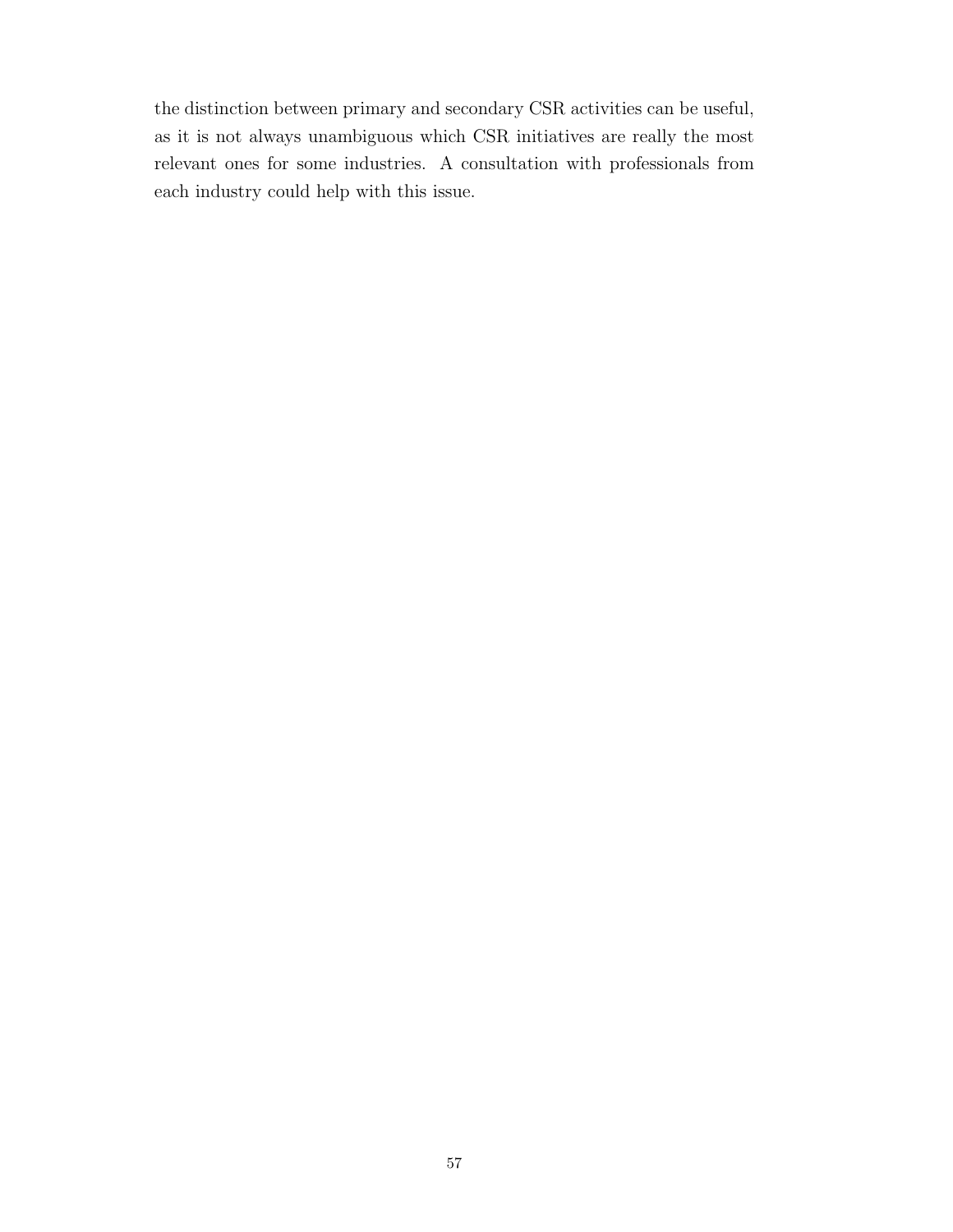the distinction between primary and secondary [CSR](#page-11-0) activities can be useful, as it is not always unambiguous which [CSR](#page-11-0) initiatives are really the most relevant ones for some industries. A consultation with professionals from each industry could help with this issue.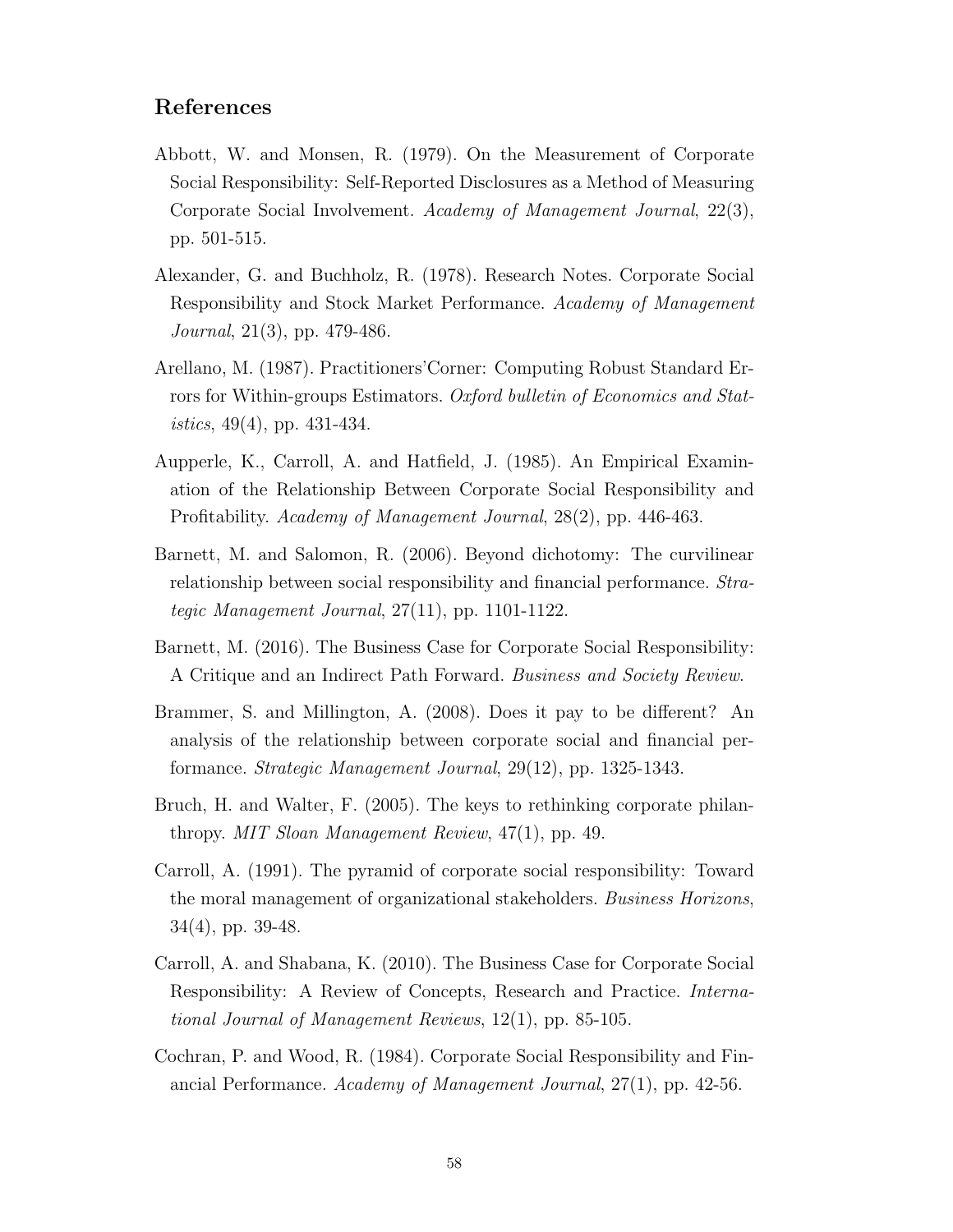## References

- Abbott, W. and Monsen, R. (1979). On the Measurement of Corporate Social Responsibility: Self-Reported Disclosures as a Method of Measuring Corporate Social Involvement. Academy of Management Journal, 22(3), pp. 501-515.
- Alexander, G. and Buchholz, R. (1978). Research Notes. Corporate Social Responsibility and Stock Market Performance. Academy of Management Journal, 21(3), pp. 479-486.
- Arellano, M. (1987). Practitioners'Corner: Computing Robust Standard Errors for Within-groups Estimators. Oxford bulletin of Economics and Stat*istics*,  $49(4)$ , pp.  $431-434$ .
- Aupperle, K., Carroll, A. and Hatfield, J. (1985). An Empirical Examination of the Relationship Between Corporate Social Responsibility and Profitability. Academy of Management Journal, 28(2), pp. 446-463.
- Barnett, M. and Salomon, R. (2006). Beyond dichotomy: The curvilinear relationship between social responsibility and financial performance. Strategic Management Journal, 27(11), pp. 1101-1122.
- Barnett, M. (2016). The Business Case for Corporate Social Responsibility: A Critique and an Indirect Path Forward. Business and Society Review.
- Brammer, S. and Millington, A. (2008). Does it pay to be different? An analysis of the relationship between corporate social and financial performance. Strategic Management Journal, 29(12), pp. 1325-1343.
- Bruch, H. and Walter, F. (2005). The keys to rethinking corporate philanthropy. MIT Sloan Management Review, 47(1), pp. 49.
- Carroll, A. (1991). The pyramid of corporate social responsibility: Toward the moral management of organizational stakeholders. Business Horizons, 34(4), pp. 39-48.
- Carroll, A. and Shabana, K. (2010). The Business Case for Corporate Social Responsibility: A Review of Concepts, Research and Practice. International Journal of Management Reviews, 12(1), pp. 85-105.
- Cochran, P. and Wood, R. (1984). Corporate Social Responsibility and Financial Performance. Academy of Management Journal, 27(1), pp. 42-56.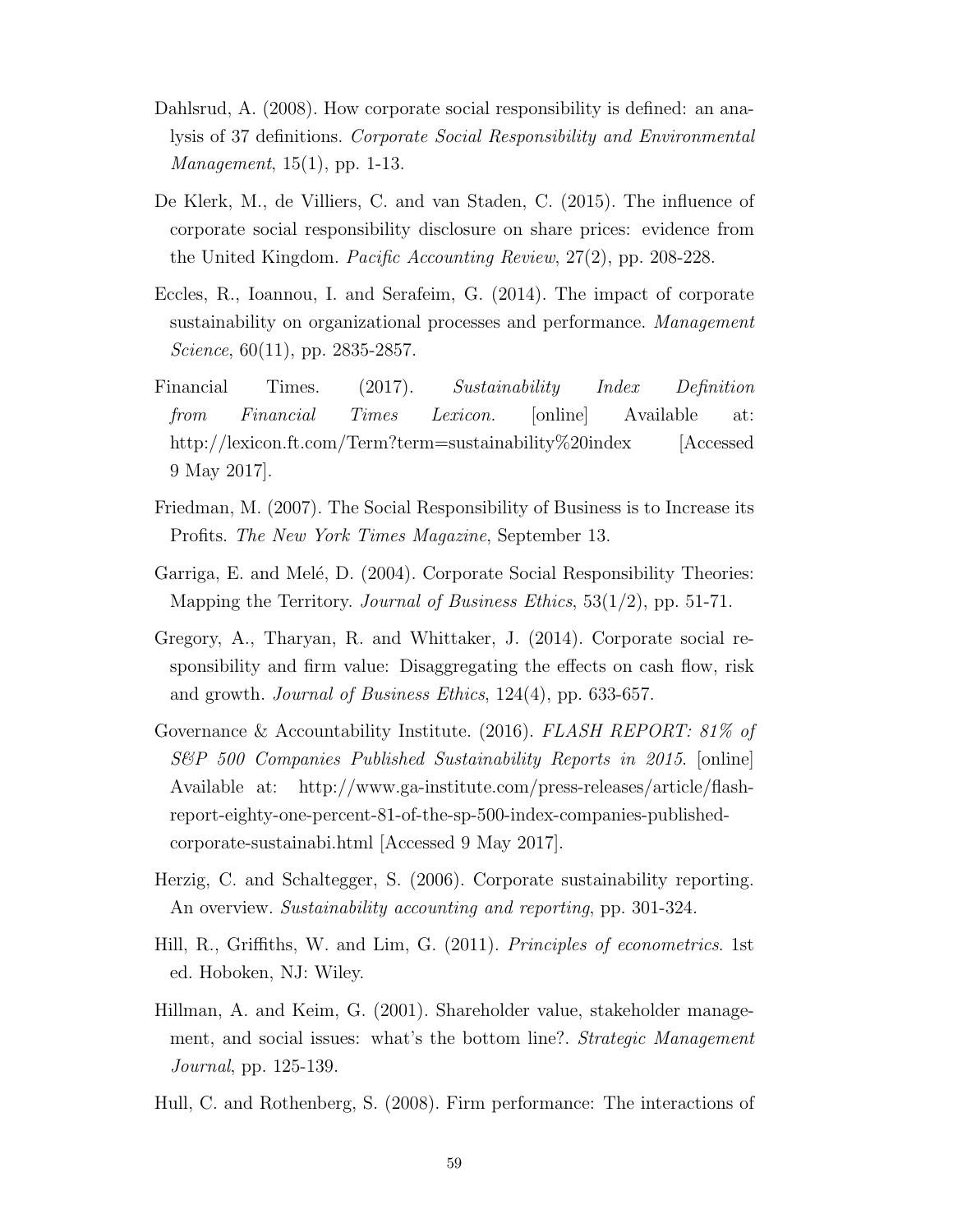- Dahlsrud, A. (2008). How corporate social responsibility is defined: an analysis of 37 definitions. Corporate Social Responsibility and Environmental Management, 15(1), pp. 1-13.
- De Klerk, M., de Villiers, C. and van Staden, C. (2015). The influence of corporate social responsibility disclosure on share prices: evidence from the United Kingdom. Pacific Accounting Review, 27(2), pp. 208-228.
- Eccles, R., Ioannou, I. and Serafeim, G. (2014). The impact of corporate sustainability on organizational processes and performance. Management Science,  $60(11)$ , pp. 2835-2857.
- Financial Times. (2017). Sustainability Index Definition from Financial Times Lexicon. [online] Available at: http://lexicon.ft.com/Term?term=sustainability%20index [Accessed 9 May 2017].
- Friedman, M. (2007). The Social Responsibility of Business is to Increase its Profits. The New York Times Magazine, September 13.
- Garriga, E. and Melé, D. (2004). Corporate Social Responsibility Theories: Mapping the Territory. Journal of Business Ethics,  $53(1/2)$ , pp. 51-71.
- Gregory, A., Tharyan, R. and Whittaker, J. (2014). Corporate social responsibility and firm value: Disaggregating the effects on cash flow, risk and growth. Journal of Business Ethics, 124(4), pp. 633-657.
- Governance & Accountability Institute. (2016). FLASH REPORT: 81% of S&P 500 Companies Published Sustainability Reports in 2015. [online] Available at: http://www.ga-institute.com/press-releases/article/flashreport-eighty-one-percent-81-of-the-sp-500-index-companies-publishedcorporate-sustainabi.html [Accessed 9 May 2017].
- Herzig, C. and Schaltegger, S. (2006). Corporate sustainability reporting. An overview. Sustainability accounting and reporting, pp. 301-324.
- Hill, R., Griffiths, W. and Lim, G. (2011). Principles of econometrics. 1st ed. Hoboken, NJ: Wiley.
- Hillman, A. and Keim, G. (2001). Shareholder value, stakeholder management, and social issues: what's the bottom line?. Strategic Management Journal, pp. 125-139.
- Hull, C. and Rothenberg, S. (2008). Firm performance: The interactions of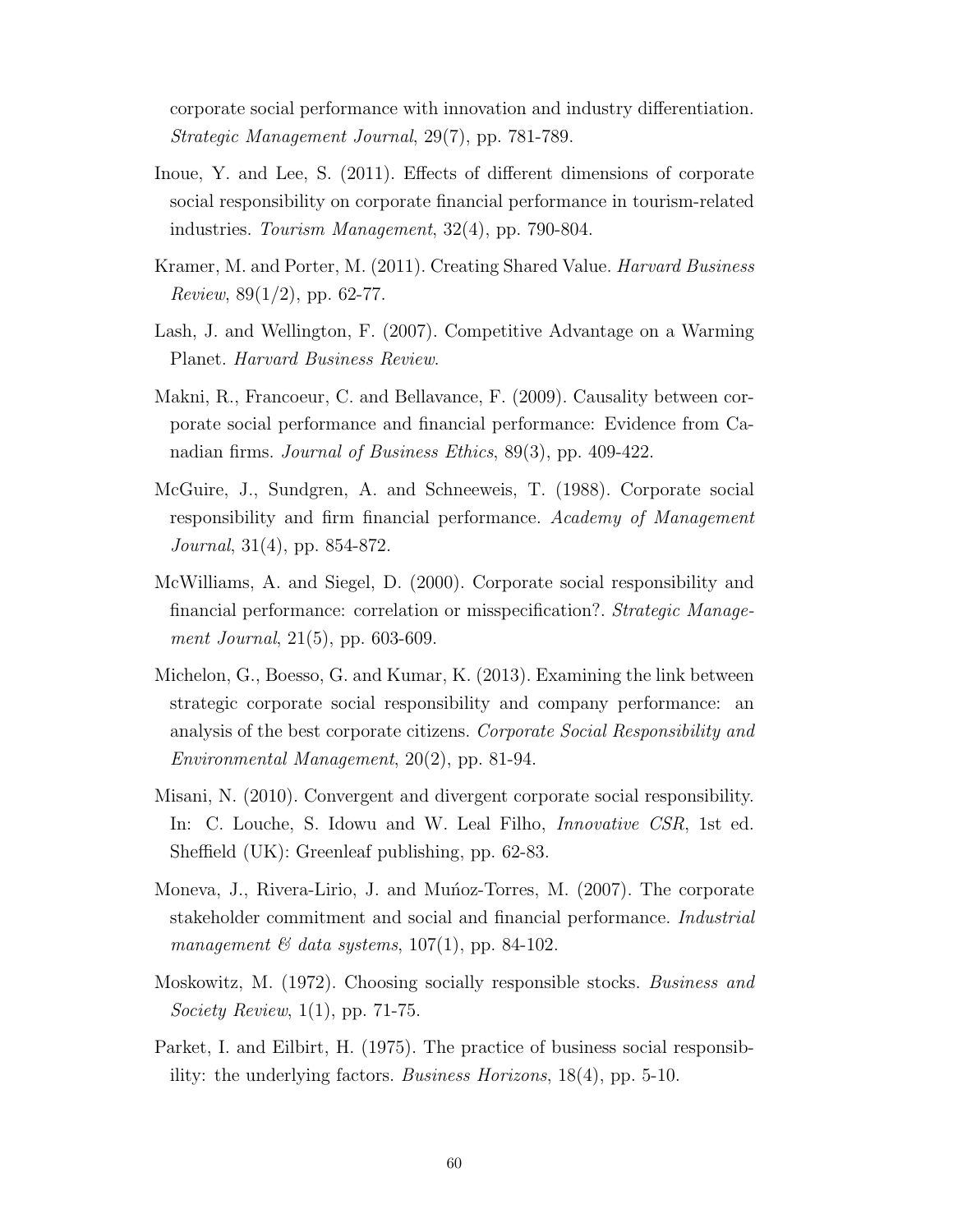corporate social performance with innovation and industry differentiation. Strategic Management Journal, 29(7), pp. 781-789.

- Inoue, Y. and Lee, S. (2011). Effects of different dimensions of corporate social responsibility on corporate financial performance in tourism-related industries. Tourism Management, 32(4), pp. 790-804.
- Kramer, M. and Porter, M. (2011). Creating Shared Value. Harvard Business *Review*,  $89(1/2)$ , pp. 62-77.
- Lash, J. and Wellington, F. (2007). Competitive Advantage on a Warming Planet. Harvard Business Review.
- Makni, R., Francoeur, C. and Bellavance, F. (2009). Causality between corporate social performance and financial performance: Evidence from Canadian firms. Journal of Business Ethics, 89(3), pp. 409-422.
- McGuire, J., Sundgren, A. and Schneeweis, T. (1988). Corporate social responsibility and firm financial performance. Academy of Management Journal, 31(4), pp. 854-872.
- McWilliams, A. and Siegel, D. (2000). Corporate social responsibility and financial performance: correlation or misspecification?. Strategic Management Journal, 21(5), pp. 603-609.
- Michelon, G., Boesso, G. and Kumar, K. (2013). Examining the link between strategic corporate social responsibility and company performance: an analysis of the best corporate citizens. Corporate Social Responsibility and Environmental Management, 20(2), pp. 81-94.
- Misani, N. (2010). Convergent and divergent corporate social responsibility. In: C. Louche, S. Idowu and W. Leal Filho, Innovative CSR, 1st ed. Sheffield (UK): Greenleaf publishing, pp. 62-83.
- Moneva, J., Rivera-Lirio, J. and Munoz-Torres, M. (2007). The corporate stakeholder commitment and social and financial performance. Industrial management  $\mathcal C$  data systems, 107(1), pp. 84-102.
- Moskowitz, M. (1972). Choosing socially responsible stocks. Business and Society Review, 1(1), pp. 71-75.
- Parket, I. and Eilbirt, H. (1975). The practice of business social responsibility: the underlying factors. Business Horizons, 18(4), pp. 5-10.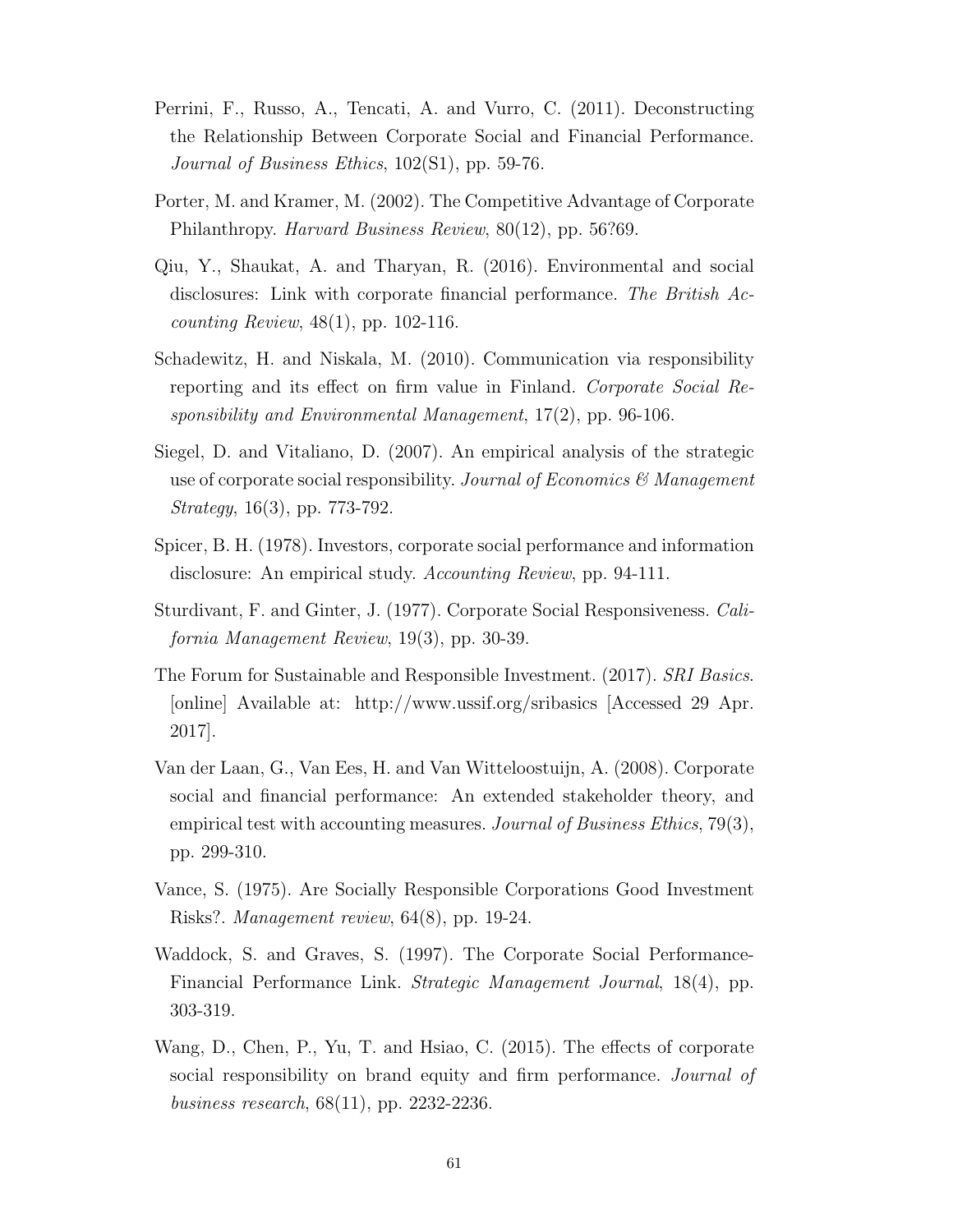- Perrini, F., Russo, A., Tencati, A. and Vurro, C. (2011). Deconstructing the Relationship Between Corporate Social and Financial Performance. Journal of Business Ethics, 102(S1), pp. 59-76.
- Porter, M. and Kramer, M. (2002). The Competitive Advantage of Corporate Philanthropy. Harvard Business Review, 80(12), pp. 56?69.
- Qiu, Y., Shaukat, A. and Tharyan, R. (2016). Environmental and social disclosures: Link with corporate financial performance. The British Accounting Review, 48(1), pp. 102-116.
- Schadewitz, H. and Niskala, M. (2010). Communication via responsibility reporting and its effect on firm value in Finland. Corporate Social Responsibility and Environmental Management, 17(2), pp. 96-106.
- Siegel, D. and Vitaliano, D. (2007). An empirical analysis of the strategic use of corporate social responsibility. Journal of Economics  $\mathscr B$  Management Strategy, 16(3), pp. 773-792.
- Spicer, B. H. (1978). Investors, corporate social performance and information disclosure: An empirical study. Accounting Review, pp. 94-111.
- Sturdivant, F. and Ginter, J. (1977). Corporate Social Responsiveness. California Management Review, 19(3), pp. 30-39.
- The Forum for Sustainable and Responsible Investment. (2017). SRI Basics. [online] Available at: http://www.ussif.org/sribasics [Accessed 29 Apr. 2017].
- Van der Laan, G., Van Ees, H. and Van Witteloostuijn, A. (2008). Corporate social and financial performance: An extended stakeholder theory, and empirical test with accounting measures. Journal of Business Ethics, 79(3), pp. 299-310.
- Vance, S. (1975). Are Socially Responsible Corporations Good Investment Risks?. Management review, 64(8), pp. 19-24.
- Waddock, S. and Graves, S. (1997). The Corporate Social Performance-Financial Performance Link. Strategic Management Journal, 18(4), pp. 303-319.
- Wang, D., Chen, P., Yu, T. and Hsiao, C. (2015). The effects of corporate social responsibility on brand equity and firm performance. *Journal of* business research, 68(11), pp. 2232-2236.